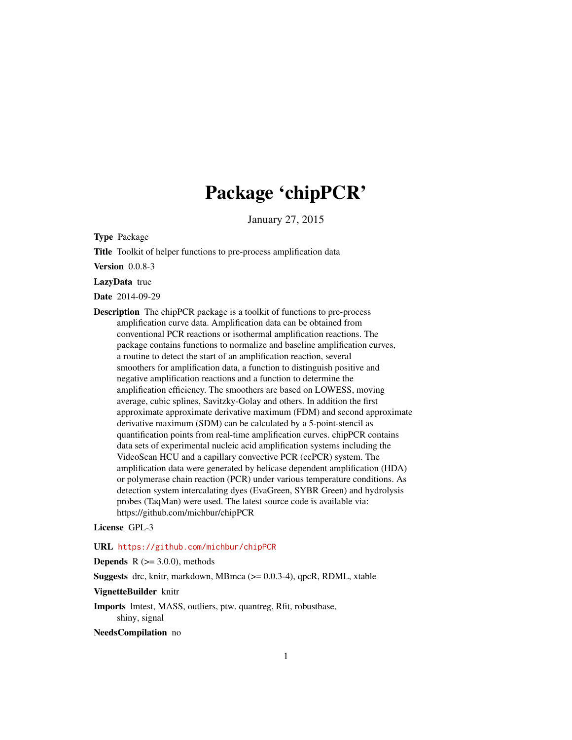# Package 'chipPCR'

January 27, 2015

<span id="page-0-0"></span>Type Package

Title Toolkit of helper functions to pre-process amplification data

Version 0.0.8-3

LazyData true

Date 2014-09-29

Description The chipPCR package is a toolkit of functions to pre-process amplification curve data. Amplification data can be obtained from conventional PCR reactions or isothermal amplification reactions. The package contains functions to normalize and baseline amplification curves, a routine to detect the start of an amplification reaction, several smoothers for amplification data, a function to distinguish positive and negative amplification reactions and a function to determine the amplification efficiency. The smoothers are based on LOWESS, moving average, cubic splines, Savitzky-Golay and others. In addition the first approximate approximate derivative maximum (FDM) and second approximate derivative maximum (SDM) can be calculated by a 5-point-stencil as quantification points from real-time amplification curves. chipPCR contains data sets of experimental nucleic acid amplification systems including the VideoScan HCU and a capillary convective PCR (ccPCR) system. The amplification data were generated by helicase dependent amplification (HDA) or polymerase chain reaction (PCR) under various temperature conditions. As detection system intercalating dyes (EvaGreen, SYBR Green) and hydrolysis probes (TaqMan) were used. The latest source code is available via: https://github.com/michbur/chipPCR

License GPL-3

URL <https://github.com/michbur/chipPCR>

**Depends** R  $(>= 3.0.0)$ , methods

**Suggests** drc, knitr, markdown, MBmca  $(>= 0.0.3-4)$ , qpcR, RDML, xtable

VignetteBuilder knitr

Imports lmtest, MASS, outliers, ptw, quantreg, Rfit, robustbase, shiny, signal

NeedsCompilation no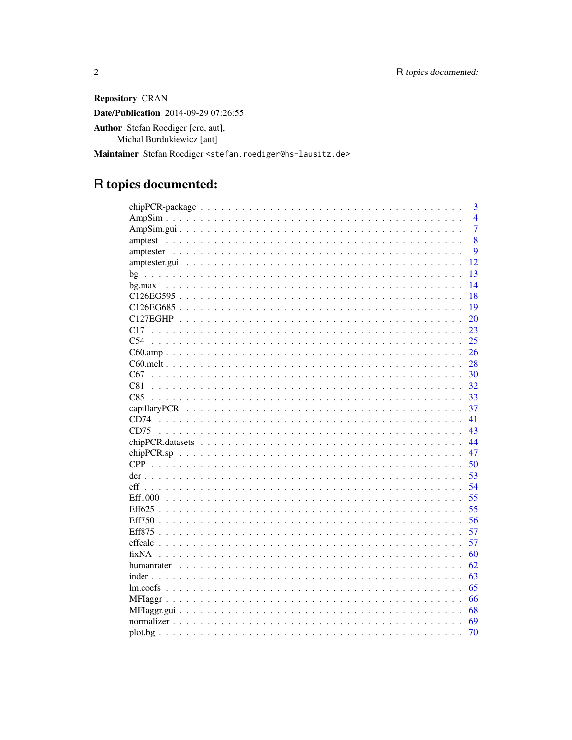Repository CRAN Date/Publication 2014-09-29 07:26:55 Author Stefan Roediger [cre, aut], Michal Burdukiewicz [aut]

Maintainer Stefan Roediger <stefan.roediger@hs-lausitz.de>

# R topics documented:

| 3                     |
|-----------------------|
| $\overline{4}$        |
| $\overline{7}$        |
| 8<br>amptest          |
| 9                     |
| 12                    |
| 13                    |
| 14                    |
| 18                    |
| 19                    |
| 20                    |
| 23<br>C <sub>17</sub> |
| C <sub>54</sub><br>25 |
| 26                    |
| 28                    |
| 30<br>C67             |
| C81<br>32             |
| C85<br>33             |
| 37                    |
| 41                    |
| CD75<br>43            |
| 44                    |
| 47                    |
| 50                    |
| 53                    |
| 54<br>eff             |
| 55                    |
| 55                    |
| 56                    |
| 57                    |
| 57                    |
| fixNA<br>60           |
| 62                    |
| 63                    |
| 65                    |
| 66                    |
| 68                    |
| 69                    |
| 70                    |
|                       |

 $\sqrt{2}$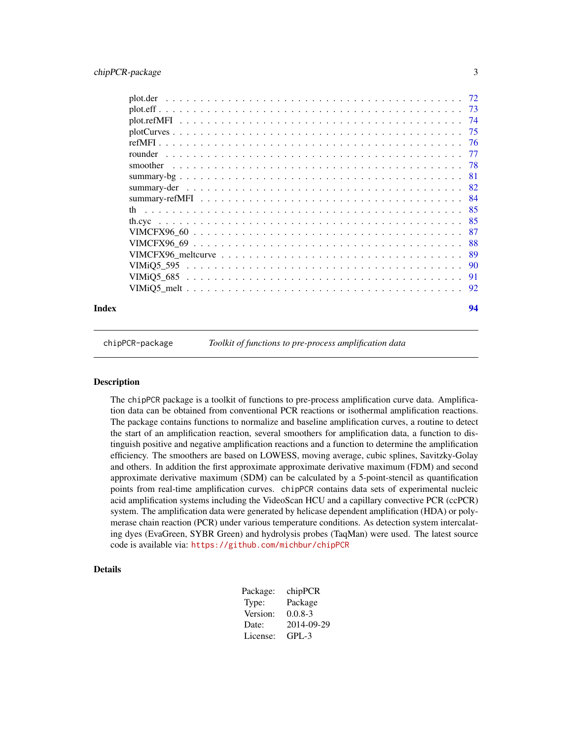<span id="page-2-0"></span>

| Index |            | 94 |
|-------|------------|----|
|       |            |    |
|       |            |    |
|       | VIMiO5 595 |    |
|       |            |    |
|       |            |    |
|       |            |    |
|       |            |    |
|       |            |    |
|       |            |    |
|       |            |    |
|       |            |    |
|       | smoother   |    |
|       |            |    |
|       |            |    |
|       |            |    |
|       |            |    |
|       |            |    |
|       |            |    |

chipPCR-package *Toolkit of functions to pre-process amplification data*

#### **Description**

The chipPCR package is a toolkit of functions to pre-process amplification curve data. Amplification data can be obtained from conventional PCR reactions or isothermal amplification reactions. The package contains functions to normalize and baseline amplification curves, a routine to detect the start of an amplification reaction, several smoothers for amplification data, a function to distinguish positive and negative amplification reactions and a function to determine the amplification efficiency. The smoothers are based on LOWESS, moving average, cubic splines, Savitzky-Golay and others. In addition the first approximate approximate derivative maximum (FDM) and second approximate derivative maximum (SDM) can be calculated by a 5-point-stencil as quantification points from real-time amplification curves. chipPCR contains data sets of experimental nucleic acid amplification systems including the VideoScan HCU and a capillary convective PCR (ccPCR) system. The amplification data were generated by helicase dependent amplification (HDA) or polymerase chain reaction (PCR) under various temperature conditions. As detection system intercalating dyes (EvaGreen, SYBR Green) and hydrolysis probes (TaqMan) were used. The latest source code is available via: <https://github.com/michbur/chipPCR>

# Details

| Package: | chipPCR     |
|----------|-------------|
| Type:    | Package     |
| Version: | $0.0.8 - 3$ |
| Date:    | 2014-09-29  |
| License: | $GPI - 3$   |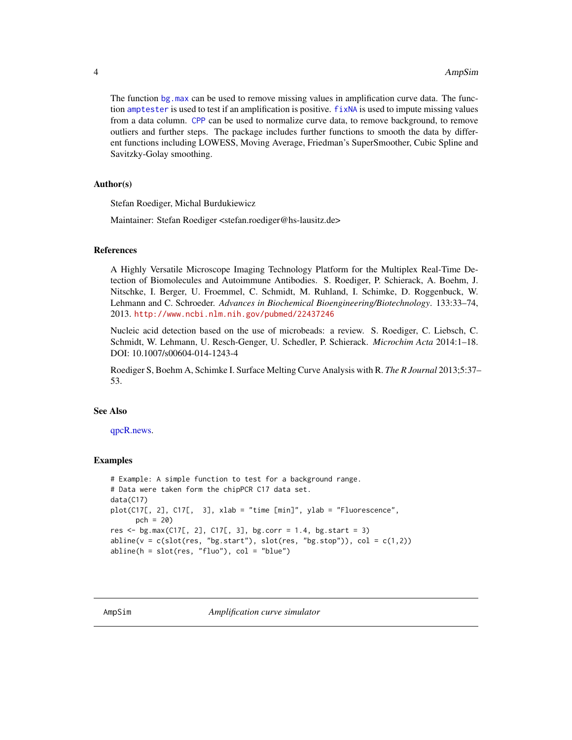The function [bg.max](#page-13-1) can be used to remove missing values in amplification curve data. The function [amptester](#page-8-1) is used to test if an amplification is positive. [fixNA](#page-59-1) is used to impute missing values from a data column. [CPP](#page-49-1) can be used to normalize curve data, to remove background, to remove outliers and further steps. The package includes further functions to smooth the data by different functions including LOWESS, Moving Average, Friedman's SuperSmoother, Cubic Spline and Savitzky-Golay smoothing.

# Author(s)

Stefan Roediger, Michal Burdukiewicz

Maintainer: Stefan Roediger <stefan.roediger@hs-lausitz.de>

#### References

A Highly Versatile Microscope Imaging Technology Platform for the Multiplex Real-Time Detection of Biomolecules and Autoimmune Antibodies. S. Roediger, P. Schierack, A. Boehm, J. Nitschke, I. Berger, U. Froemmel, C. Schmidt, M. Ruhland, I. Schimke, D. Roggenbuck, W. Lehmann and C. Schroeder. *Advances in Biochemical Bioengineering/Biotechnology*. 133:33–74, 2013. <http://www.ncbi.nlm.nih.gov/pubmed/22437246>

Nucleic acid detection based on the use of microbeads: a review. S. Roediger, C. Liebsch, C. Schmidt, W. Lehmann, U. Resch-Genger, U. Schedler, P. Schierack. *Microchim Acta* 2014:1–18. DOI: 10.1007/s00604-014-1243-4

Roediger S, Boehm A, Schimke I. Surface Melting Curve Analysis with R. *The R Journal* 2013;5:37– 53.

#### See Also

[qpcR.news.](#page-0-0)

# Examples

```
# Example: A simple function to test for a background range.
# Data were taken form the chipPCR C17 data set.
data(C17)
plot(C17[, 2], C17[, 3], xlab = "time [min]", ylab = "Fluorescence",
     pch = 20)
res \leq bg.max(C17[, 2], C17[, 3], bg.corr = 1.4, bg.start = 3)
abline(v = c(slot(res, "bg.start"), slot(res, "bg.stop")), col = c(1,2))abline(h = slot(res, "fluo"), col = "blue")
```
<span id="page-3-1"></span>AmpSim *Amplification curve simulator*

<span id="page-3-0"></span>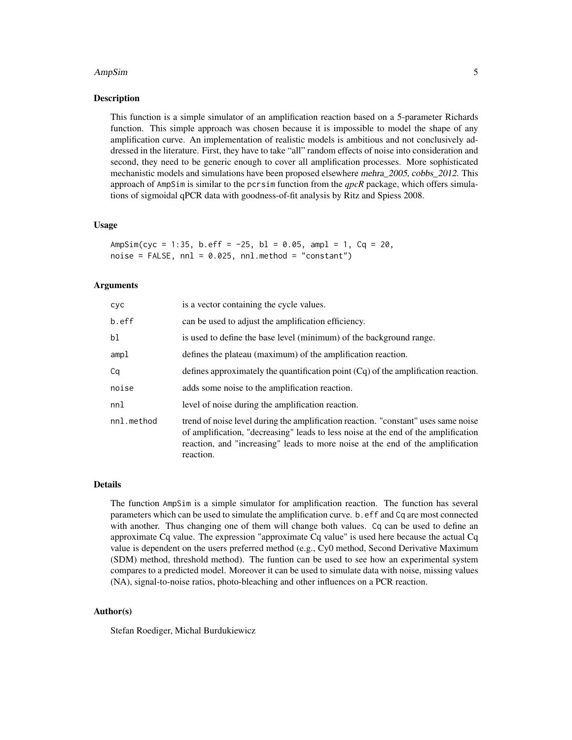#### AmpSim 5

# Description

This function is a simple simulator of an amplification reaction based on a 5-parameter Richards function. This simple approach was chosen because it is impossible to model the shape of any amplification curve. An implementation of realistic models is ambitious and not conclusively addressed in the literature. First, they have to take "all" random effects of noise into consideration and second, they need to be generic enough to cover all amplification processes. More sophisticated mechanistic models and simulations have been proposed elsewhere mehra\_2005, cobbs\_2012. This approach of AmpSim is similar to the pcrsim function from the *qpcR* package, which offers simulations of sigmoidal qPCR data with goodness-of-fit analysis by Ritz and Spiess 2008.

# Usage

AmpSim(cyc = 1:35, b.eff =  $-25$ , bl = 0.05, ampl = 1, Cq = 20,  $noise = FALSE, nn1 = 0.025, nn1.method = "constant")$ 

#### Arguments

| cyc        | is a vector containing the cycle values.                                                                                                                                                                                                                                |
|------------|-------------------------------------------------------------------------------------------------------------------------------------------------------------------------------------------------------------------------------------------------------------------------|
| b.eff      | can be used to adjust the amplification efficiency.                                                                                                                                                                                                                     |
| b1         | is used to define the base level (minimum) of the background range.                                                                                                                                                                                                     |
| ampl       | defines the plateau (maximum) of the amplification reaction.                                                                                                                                                                                                            |
| Сa         | defines approximately the quantification point $(Cq)$ of the amplification reaction.                                                                                                                                                                                    |
| noise      | adds some noise to the amplification reaction.                                                                                                                                                                                                                          |
| nnl        | level of noise during the amplification reaction.                                                                                                                                                                                                                       |
| nnl.method | trend of noise level during the amplification reaction. "constant" uses same noise<br>of amplification, "decreasing" leads to less noise at the end of the amplification<br>reaction, and "increasing" leads to more noise at the end of the amplification<br>reaction. |

#### Details

The function AmpSim is a simple simulator for amplification reaction. The function has several parameters which can be used to simulate the amplification curve. b.eff and Cq are most connected with another. Thus changing one of them will change both values. Cq can be used to define an approximate Cq value. The expression "approximate Cq value" is used here because the actual Cq value is dependent on the users preferred method (e.g., Cy0 method, Second Derivative Maximum (SDM) method, threshold method). The funtion can be used to see how an experimental system compares to a predicted model. Moreover it can be used to simulate data with noise, missing values (NA), signal-to-noise ratios, photo-bleaching and other influences on a PCR reaction.

# Author(s)

Stefan Roediger, Michal Burdukiewicz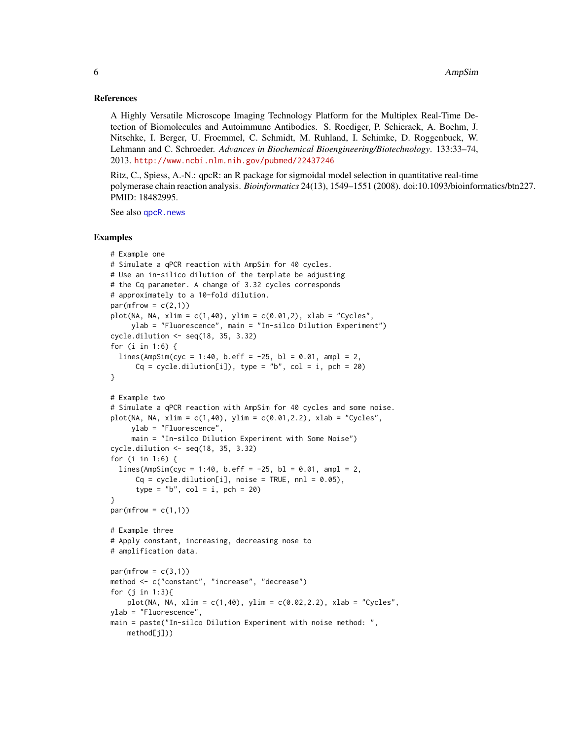#### References

A Highly Versatile Microscope Imaging Technology Platform for the Multiplex Real-Time Detection of Biomolecules and Autoimmune Antibodies. S. Roediger, P. Schierack, A. Boehm, J. Nitschke, I. Berger, U. Froemmel, C. Schmidt, M. Ruhland, I. Schimke, D. Roggenbuck, W. Lehmann and C. Schroeder. *Advances in Biochemical Bioengineering/Biotechnology*. 133:33–74, 2013. <http://www.ncbi.nlm.nih.gov/pubmed/22437246>

Ritz, C., Spiess, A.-N.: qpcR: an R package for sigmoidal model selection in quantitative real-time polymerase chain reaction analysis. *Bioinformatics* 24(13), 1549–1551 (2008). doi:10.1093/bioinformatics/btn227. PMID: 18482995.

See also [qpcR.news](#page-0-0)

# Examples

```
# Example one
# Simulate a qPCR reaction with AmpSim for 40 cycles.
# Use an in-silico dilution of the template be adjusting
# the Cq parameter. A change of 3.32 cycles corresponds
# approximately to a 10-fold dilution.
par(mfrow = c(2,1))plot(NA, NA, xlim = c(1,40), ylim = c(0.01,2), xlab = "Cycles",ylab = "Fluorescence", main = "In-silco Dilution Experiment")
cycle.dilution <- seq(18, 35, 3.32)
for (i in 1:6) {
  lines(AmpSim(cyc = 1:40, b.eff = -25, bl = 0.01, ampl = 2,Cq = cycle.dilution[i]), type = "b", col = i, pch = 20)}
# Example two
# Simulate a qPCR reaction with AmpSim for 40 cycles and some noise.
plot(NA, NA, xlim = c(1,40), ylim = c(0.01, 2.2), xlab = "Cycles",ylab = "Fluorescence",
     main = "In-silco Dilution Experiment with Some Noise")
cycle.dilution <- seq(18, 35, 3.32)
for (i in 1:6) {
  lines(AmpSim(cyc = 1:40, b.eff = -25, bl = 0.01, ampl = 2,Cq = cycle.dilution[i], noise = TRUE, nn1 = 0.05),type = nb'', col = i, pch = 20)
}
par(mfrow = c(1,1))# Example three
# Apply constant, increasing, decreasing nose to
# amplification data.
par(mfrow = c(3,1))method <- c("constant", "increase", "decrease")
for (j in 1:3){
    plot(NA, NA, xlim = c(1,40), ylim = c(0.02,2.2), xlab = "Cycles",
ylab = "Fluorescence",
main = paste("In-silco Dilution Experiment with noise method: ",
   method[j]))
```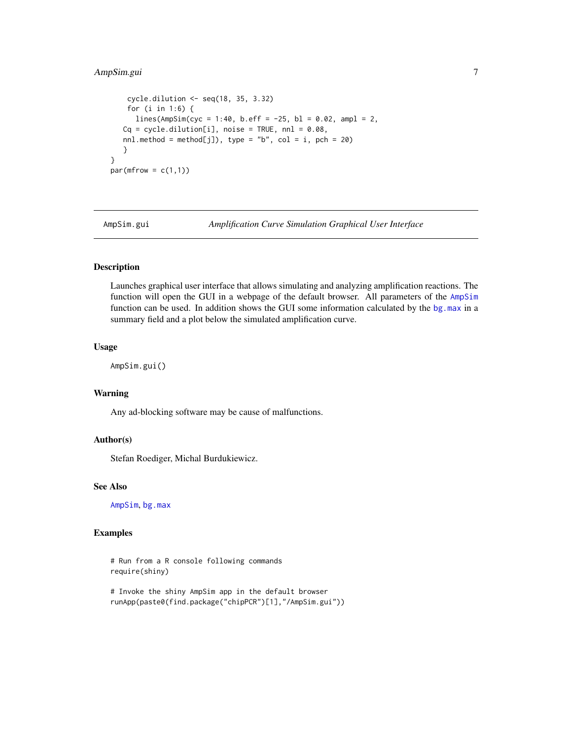# <span id="page-6-0"></span>AmpSim.gui 7

```
cycle.dilution <- seq(18, 35, 3.32)
   for (i in 1:6) {
     lines(AmpSim(cyc = 1:40, b.eff = -25, bl = 0.02, ampl = 2,Cq = cycle.dilution[i], noise = TRUE, nn1 = 0.08,nnl.method = method[j]), type = "b", col = i, pch = 20)
  }
}
par(mfrow = c(1,1))
```
AmpSim.gui *Amplification Curve Simulation Graphical User Interface*

# Description

Launches graphical user interface that allows simulating and analyzing amplification reactions. The function will open the GUI in a webpage of the default browser. All parameters of the [AmpSim](#page-3-1) function can be used. In addition shows the GUI some information calculated by the [bg.max](#page-13-1) in a summary field and a plot below the simulated amplification curve.

#### Usage

AmpSim.gui()

# Warning

Any ad-blocking software may be cause of malfunctions.

# Author(s)

Stefan Roediger, Michal Burdukiewicz.

# See Also

[AmpSim](#page-3-1), [bg.max](#page-13-1)

# Examples

```
# Run from a R console following commands
require(shiny)
```

```
# Invoke the shiny AmpSim app in the default browser
runApp(paste0(find.package("chipPCR")[1],"/AmpSim.gui"))
```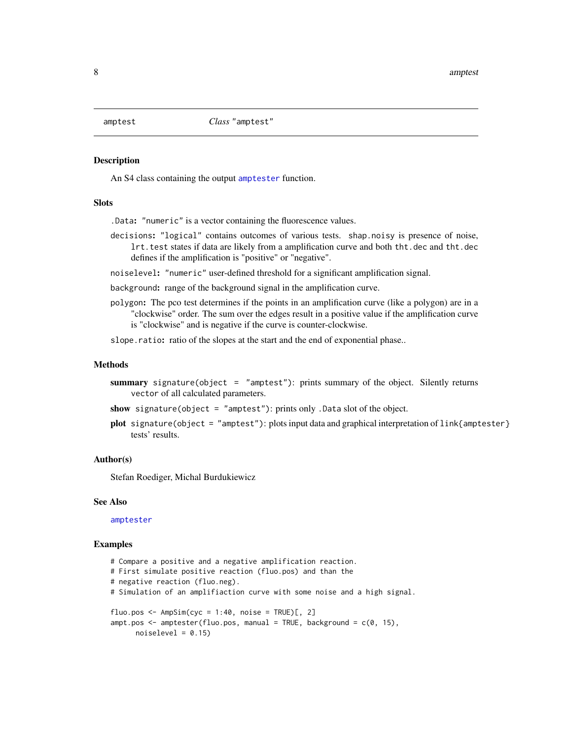<span id="page-7-0"></span>

#### <span id="page-7-1"></span>Description

An S4 class containing the output [amptester](#page-8-1) function.

# **Slots**

.Data: "numeric" is a vector containing the fluorescence values.

decisions: "logical" contains outcomes of various tests. shap.noisy is presence of noise, lrt.test states if data are likely from a amplification curve and both tht.dec and tht.dec defines if the amplification is "positive" or "negative".

noiselevel: "numeric" user-defined threshold for a significant amplification signal.

background: range of the background signal in the amplification curve.

polygon: The pco test determines if the points in an amplification curve (like a polygon) are in a "clockwise" order. The sum over the edges result in a positive value if the amplification curve is "clockwise" and is negative if the curve is counter-clockwise.

slope.ratio: ratio of the slopes at the start and the end of exponential phase..

# Methods

summary signature(object = "amptest"): prints summary of the object. Silently returns vector of all calculated parameters.

show signature(object = "amptest"): prints only .Data slot of the object.

plot signature(object = "amptest"): plots input data and graphical interpretation of link{amptester} tests' results.

#### Author(s)

Stefan Roediger, Michal Burdukiewicz

#### See Also

[amptester](#page-8-1)

#### Examples

# Compare a positive and a negative amplification reaction. # First simulate positive reaction (fluo.pos) and than the # negative reaction (fluo.neg). # Simulation of an amplifiaction curve with some noise and a high signal. fluo.pos <-  $AmpSim(cyc = 1:40, noise = TRUE)[$ , 2] ampt.pos  $\leq$  amptester(fluo.pos, manual = TRUE, background =  $c(0, 15)$ ,  $noiselevel = 0.15$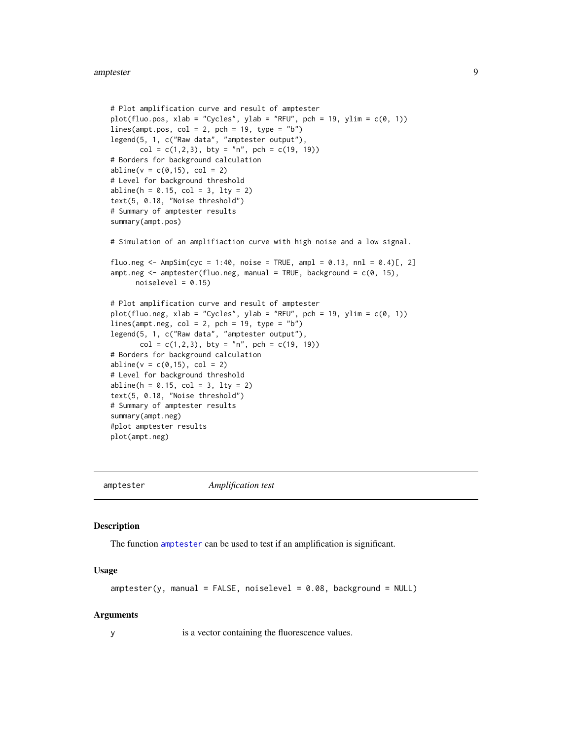```
# Plot amplification curve and result of amptester
plot(fluo.pos, xlab = "Cycles", ylab = "RFU", pch = 19, ylim = c(0, 1))
lines(ampt.pos, col = 2, pch = 19, type = "b")
legend(5, 1, c("Raw data", "amptester output"),
      col = c(1, 2, 3), bty = "n", pch = c(19, 19)# Borders for background calculation
abline(v = c(0, 15), col = 2)# Level for background threshold
abline(h = 0.15, col = 3, lty = 2)text(5, 0.18, "Noise threshold")
# Summary of amptester results
summary(ampt.pos)
# Simulation of an amplifiaction curve with high noise and a low signal.
fluo.neg <- AmpSim(cyc = 1:40, noise = TRUE, ampl = 0.13, nnl = 0.4)[, 2]
ampt.neg \leq amptester(fluo.neg, manual = TRUE, background = c(0, 15),noiselevel = 0.15# Plot amplification curve and result of amptester
plot(fluo.neg, xlab = "Cycles", ylab = "RFU", pch = 19, ylim = c(0, 1))
lines(ampt.neg, col = 2, pch = 19, type = "b")legend(5, 1, c("Raw data", "amptester output"),
      col = c(1, 2, 3), bty = "n", pch = c(19, 19)# Borders for background calculation
abline(v = c(0, 15), col = 2)# Level for background threshold
abline(h = 0.15, col = 3, lty = 2)text(5, 0.18, "Noise threshold")
# Summary of amptester results
summary(ampt.neg)
#plot amptester results
plot(ampt.neg)
```
<span id="page-8-1"></span>amptester *Amplification test*

#### **Description**

The function [amptester](#page-8-1) can be used to test if an amplification is significant.

#### Usage

```
amptester(y, manual = FALSE, noiselevel = 0.08, background = NULL)
```
#### **Arguments**

y is a vector containing the fluorescence values.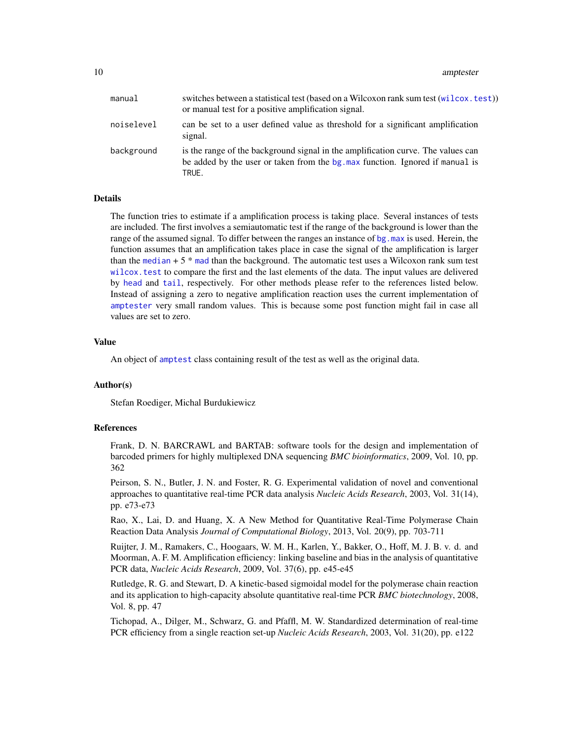| manual     | switches between a statistical test (based on a Wilcoxon rank sum test (wilcox.test))<br>or manual test for a positive amplification signal.                               |
|------------|----------------------------------------------------------------------------------------------------------------------------------------------------------------------------|
| noiselevel | can be set to a user defined value as threshold for a significant amplification<br>signal.                                                                                 |
| background | is the range of the background signal in the amplification curve. The values can<br>be added by the user or taken from the bg, max function. Ignored if manual is<br>TRUE. |

# **Details**

The function tries to estimate if a amplification process is taking place. Several instances of tests are included. The first involves a semiautomatic test if the range of the background is lower than the range of the assumed signal. To differ between the ranges an instance of bg, max is used. Herein, the function assumes that an amplification takes place in case the signal of the amplification is larger than the [median](#page-0-0)  $+5$  \* [mad](#page-0-0) than the background. The automatic test uses a Wilcoxon rank sum test [wilcox.test](#page-0-0) to compare the first and the last elements of the data. The input values are delivered by [head](#page-0-0) and [tail](#page-0-0), respectively. For other methods please refer to the references listed below. Instead of assigning a zero to negative amplification reaction uses the current implementation of [amptester](#page-8-1) very small random values. This is because some post function might fail in case all values are set to zero.

#### Value

An object of [amptest](#page-7-1) class containing result of the test as well as the original data.

#### Author(s)

Stefan Roediger, Michal Burdukiewicz

#### References

Frank, D. N. BARCRAWL and BARTAB: software tools for the design and implementation of barcoded primers for highly multiplexed DNA sequencing *BMC bioinformatics*, 2009, Vol. 10, pp. 362

Peirson, S. N., Butler, J. N. and Foster, R. G. Experimental validation of novel and conventional approaches to quantitative real-time PCR data analysis *Nucleic Acids Research*, 2003, Vol. 31(14), pp. e73-e73

Rao, X., Lai, D. and Huang, X. A New Method for Quantitative Real-Time Polymerase Chain Reaction Data Analysis *Journal of Computational Biology*, 2013, Vol. 20(9), pp. 703-711

Ruijter, J. M., Ramakers, C., Hoogaars, W. M. H., Karlen, Y., Bakker, O., Hoff, M. J. B. v. d. and Moorman, A. F. M. Amplification efficiency: linking baseline and bias in the analysis of quantitative PCR data, *Nucleic Acids Research*, 2009, Vol. 37(6), pp. e45-e45

Rutledge, R. G. and Stewart, D. A kinetic-based sigmoidal model for the polymerase chain reaction and its application to high-capacity absolute quantitative real-time PCR *BMC biotechnology*, 2008, Vol. 8, pp. 47

Tichopad, A., Dilger, M., Schwarz, G. and Pfaffl, M. W. Standardized determination of real-time PCR efficiency from a single reaction set-up *Nucleic Acids Research*, 2003, Vol. 31(20), pp. e122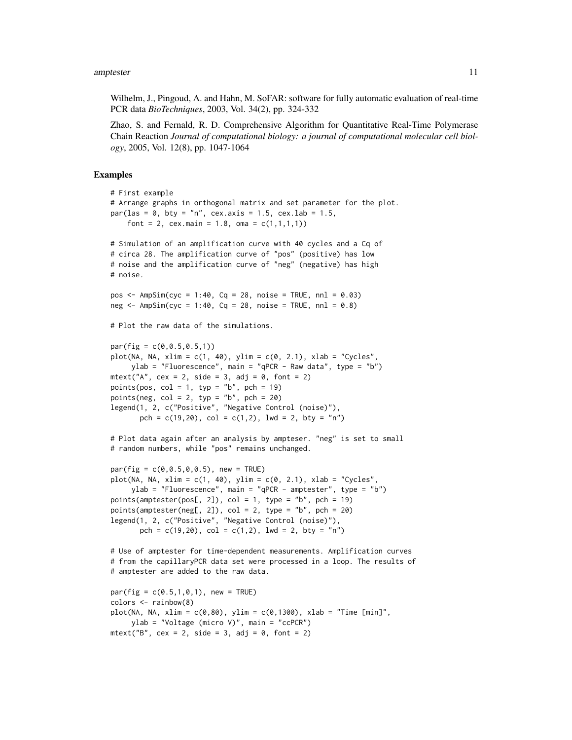Wilhelm, J., Pingoud, A. and Hahn, M. SoFAR: software for fully automatic evaluation of real-time PCR data *BioTechniques*, 2003, Vol. 34(2), pp. 324-332

Zhao, S. and Fernald, R. D. Comprehensive Algorithm for Quantitative Real-Time Polymerase Chain Reaction *Journal of computational biology: a journal of computational molecular cell biology*, 2005, Vol. 12(8), pp. 1047-1064

# Examples

```
# First example
# Arrange graphs in orthogonal matrix and set parameter for the plot.
par(las = 0, bty = "n", cex. axis = 1.5, cex. lab = 1.5,font = 2, cex.main = 1.8, oma = c(1,1,1,1))
# Simulation of an amplification curve with 40 cycles and a Cq of
# circa 28. The amplification curve of "pos" (positive) has low
# noise and the amplification curve of "neg" (negative) has high
# noise.
pos <- AmpSim(cyc = 1:40, Cq = 28, noise = TRUE, nnl = 0.03)
neg \leq AmpSim(cyc = 1:40, Cq = 28, noise = TRUE, nnl = 0.8)
# Plot the raw data of the simulations.
par(fig = c(0, 0.5, 0.5, 1))plot(NA, NA, xlim = c(1, 40), ylim = c(0, 2.1), xlab = "Cycles",
     ylab = "Fluorescence", main = "qPCR - Raw data", type = "b")
mtext("A", cex = 2, side = 3, adj = 0, font = 2)
points(pos, col = 1, typ = "b", pch = 19)
points(neg, col = 2, typ = nb'', pch = 20)
legend(1, 2, c("Positive", "Negative Control (noise)"),
       pch = c(19, 20), col = c(1, 2), lwd = 2, bty = "n")
# Plot data again after an analysis by ampteser. "neg" is set to small
# random numbers, while "pos" remains unchanged.
par(fig = c(0, 0.5, 0.0.5), new = TRUE)
plot(NA, NA, xlim = c(1, 40), ylim = c(0, 2.1), xlab = "Cycles",ylab = "Fluorescence", main = "qPCR - amptester", type = "b")
points(amptester(pos[, 2]), col = 1, type = "b", pch = 19)points(amptester(neg[, 2]), col = 2, type = "b", pch = 20)
legend(1, 2, c("Positive", "Negative Control (noise)"),
       pch = c(19, 20), col = c(1, 2), 1wd = 2, bty = "n")# Use of amptester for time-dependent measurements. Amplification curves
# from the capillaryPCR data set were processed in a loop. The results of
# amptester are added to the raw data.
par(fig = c(0.5, 1, 0, 1), new = TRUE)colors <- rainbow(8)
plot(NA, NA, xlim = c(0, 80), ylim = c(0, 1300), xlab = "Time [min]",ylab = "Voltage (micro V)", main = "ccPCR")
mtext{text("B", cex = 2, side = 3, adj = 0, font = 2)}
```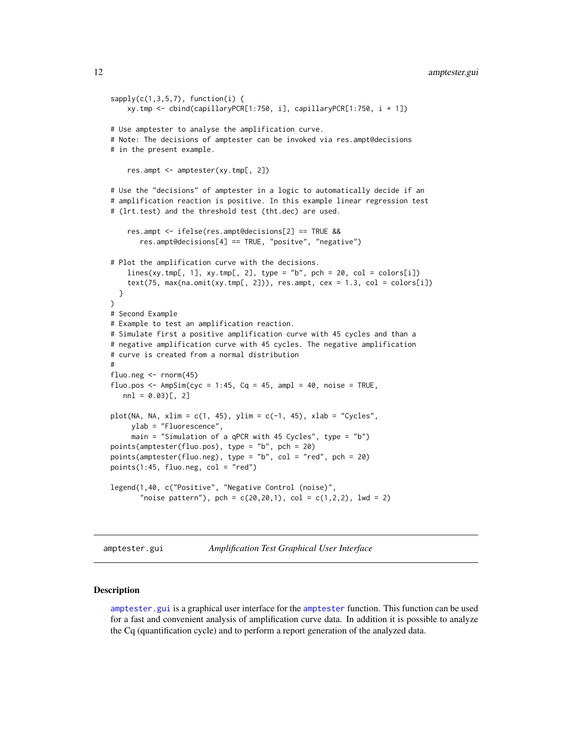```
12 amptester.gui
```

```
sapply(c(1,3,5,7), function(i)xy.tmp <- cbind(capillaryPCR[1:750, i], capillaryPCR[1:750, i + 1])
# Use amptester to analyse the amplification curve.
# Note: The decisions of amptester can be invoked via res.ampt@decisions
# in the present example.
    res.ampt <- amptester(xy.tmp[, 2])
# Use the "decisions" of amptester in a logic to automatically decide if an
# amplification reaction is positive. In this example linear regression test
# (lrt.test) and the threshold test (tht.dec) are used.
    res.ampt <- ifelse(res.ampt@decisions[2] == TRUE &&
      res.ampt@decisions[4] == TRUE, "positve", "negative")
# Plot the amplification curve with the decisions.
    lines(xy.tmp[, 1], xy.tmp[, 2], type = "b", pch = 20, col = colors[i])text(75, max(na.omit(xy.tmp[, 2])), res.ampt, cex = 1.3, col = colors[i])
 }
)
# Second Example
# Example to test an amplification reaction.
# Simulate first a positive amplification curve with 45 cycles and than a
# negative amplification curve with 45 cycles. The negative amplification
# curve is created from a normal distribution
#
fluo.neg \le rnorm(45)
fluo.pos <- AmpSim(cyc = 1:45, Cq = 45, ampl = 40, noise = TRUE,
  nnl = 0.03)[, 2]plot(NA, NA, xlim = c(1, 45), ylim = c(-1, 45), xlab = "Cycles",
     ylab = "Fluorescence",
     main = "Simulation of a qPCR with 45 Cycles", type = "b")
points(amptester(fluo.pos), type = "b", pch = 20)
points(amptester(fluo.neg), type = "b", col = "red", pch = 20)
points(1:45, flow, neg, col = "red")legend(1,40, c("Positive", "Negative Control (noise)",
       "noise pattern"), pch = c(20, 20, 1), col = c(1, 2, 2), lwd = 2)
```
<span id="page-11-1"></span>amptester.gui *Amplification Test Graphical User Interface*

# Description

[amptester.gui](#page-11-1) is a graphical user interface for the [amptester](#page-8-1) function. This function can be used for a fast and convenient analysis of amplification curve data. In addition it is possible to analyze the Cq (quantification cycle) and to perform a report generation of the analyzed data.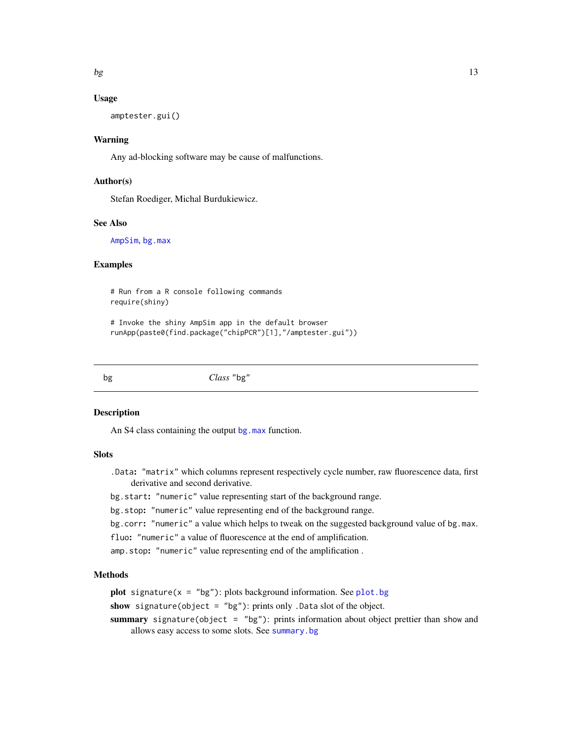# <span id="page-12-0"></span>Usage

amptester.gui()

# Warning

Any ad-blocking software may be cause of malfunctions.

# Author(s)

Stefan Roediger, Michal Burdukiewicz.

# See Also

[AmpSim](#page-3-1), [bg.max](#page-13-1)

# Examples

# Run from a R console following commands require(shiny)

# Invoke the shiny AmpSim app in the default browser runApp(paste0(find.package("chipPCR")[1],"/amptester.gui"))

bg *Class* "bg"

#### <span id="page-12-1"></span>Description

An S4 class containing the output [bg.max](#page-13-1) function.

# **Slots**

.Data: "matrix" which columns represent respectively cycle number, raw fluorescence data, first derivative and second derivative.

bg.start: "numeric" value representing start of the background range.

bg.stop: "numeric" value representing end of the background range.

bg.corr: "numeric" a value which helps to tweak on the suggested background value of bg.max.

- fluo: "numeric" a value of fluorescence at the end of amplification.
- amp.stop: "numeric" value representing end of the amplification .

# Methods

**plot** signature( $x = "bg"$ ): plots background information. See [plot.bg](#page-69-1)

show signature(object = "bg"): prints only .Data slot of the object.

summary signature(object =  $"bg"$ ): prints information about object prettier than show and allows easy access to some slots. See [summary.bg](#page-80-1)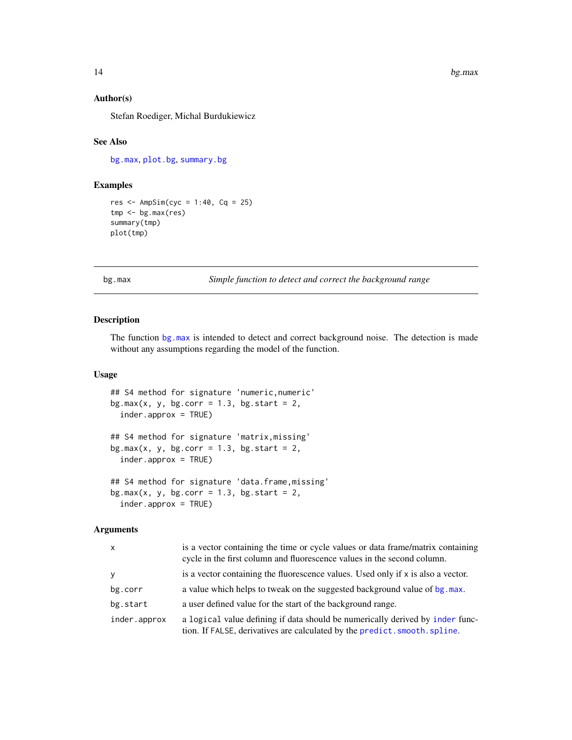# <span id="page-13-0"></span>Author(s)

Stefan Roediger, Michal Burdukiewicz

# See Also

[bg.max](#page-13-1), [plot.bg](#page-69-1), [summary.bg](#page-80-1)

# Examples

```
res <- AmpSim(cyc = 1:40, Cq = 25)
tmp <- bg.max(res)
summary(tmp)
plot(tmp)
```
<span id="page-13-1"></span>bg.max *Simple function to detect and correct the background range*

#### Description

The function [bg.max](#page-13-1) is intended to detect and correct background noise. The detection is made without any assumptions regarding the model of the function.

# Usage

```
## S4 method for signature 'numeric,numeric'
bg.max(x, y, bg.corr = 1.3, bg.start = 2,
  inder.approx = TRUE)
## S4 method for signature 'matrix,missing'
bg.max(x, y, bg.corr = 1.3, bg.start = 2,
  inder.approx = TRUE)
## S4 method for signature 'data.frame,missing'
bg.max(x, y, bg.corr = 1.3, bg.start = 2,
  inder.approx = TRUE)
```
# Arguments

| $\mathsf{x}$ | is a vector containing the time or cycle values or data frame/matrix containing<br>cycle in the first column and fluorescence values in the second column.  |
|--------------|-------------------------------------------------------------------------------------------------------------------------------------------------------------|
| y            | is a vector containing the fluorescence values. Used only if $x$ is also a vector.                                                                          |
| bg.corr      | a value which helps to tweak on the suggested background value of bg. max.                                                                                  |
| bg.start     | a user defined value for the start of the background range.                                                                                                 |
| inder.approx | a logical value defining if data should be numerically derived by inder func-<br>tion. If FALSE, derivatives are calculated by the predict. smooth. spline. |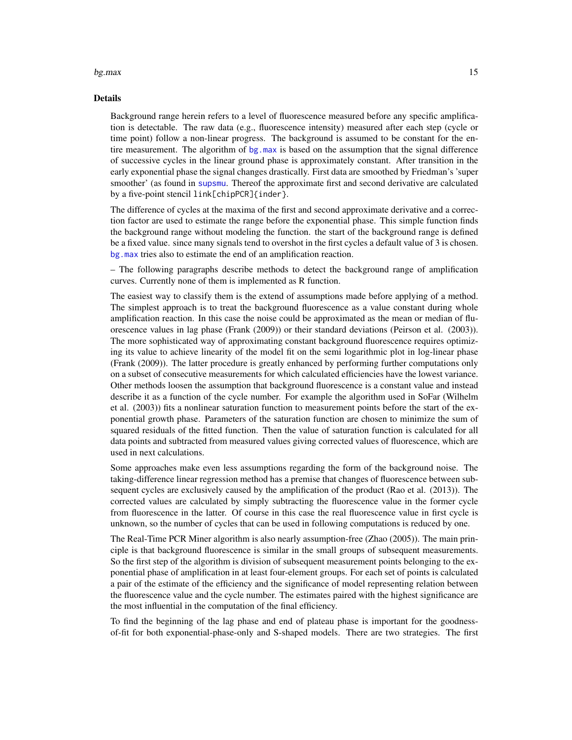#### $bg.max$  and the set of the set of the set of the set of the set of the set of the set of the set of the set of the set of the set of the set of the set of the set of the set of the set of the set of the set of the set of the

#### Details

Background range herein refers to a level of fluorescence measured before any specific amplification is detectable. The raw data (e.g., fluorescence intensity) measured after each step (cycle or time point) follow a non-linear progress. The background is assumed to be constant for the entire measurement. The algorithm of [bg.max](#page-13-1) is based on the assumption that the signal difference of successive cycles in the linear ground phase is approximately constant. After transition in the early exponential phase the signal changes drastically. First data are smoothed by Friedman's 'super smoother' (as found in [supsmu](#page-0-0). Thereof the approximate first and second derivative are calculated by a five-point stencil link[chipPCR]{inder}.

The difference of cycles at the maxima of the first and second approximate derivative and a correction factor are used to estimate the range before the exponential phase. This simple function finds the background range without modeling the function. the start of the background range is defined be a fixed value. since many signals tend to overshot in the first cycles a default value of 3 is chosen. [bg.max](#page-13-1) tries also to estimate the end of an amplification reaction.

– The following paragraphs describe methods to detect the background range of amplification curves. Currently none of them is implemented as R function.

The easiest way to classify them is the extend of assumptions made before applying of a method. The simplest approach is to treat the background fluorescence as a value constant during whole amplification reaction. In this case the noise could be approximated as the mean or median of fluorescence values in lag phase (Frank (2009)) or their standard deviations (Peirson et al. (2003)). The more sophisticated way of approximating constant background fluorescence requires optimizing its value to achieve linearity of the model fit on the semi logarithmic plot in log-linear phase (Frank (2009)). The latter procedure is greatly enhanced by performing further computations only on a subset of consecutive measurements for which calculated efficiencies have the lowest variance. Other methods loosen the assumption that background fluorescence is a constant value and instead describe it as a function of the cycle number. For example the algorithm used in SoFar (Wilhelm et al. (2003)) fits a nonlinear saturation function to measurement points before the start of the exponential growth phase. Parameters of the saturation function are chosen to minimize the sum of squared residuals of the fitted function. Then the value of saturation function is calculated for all data points and subtracted from measured values giving corrected values of fluorescence, which are used in next calculations.

Some approaches make even less assumptions regarding the form of the background noise. The taking-difference linear regression method has a premise that changes of fluorescence between subsequent cycles are exclusively caused by the amplification of the product (Rao et al. (2013)). The corrected values are calculated by simply subtracting the fluorescence value in the former cycle from fluorescence in the latter. Of course in this case the real fluorescence value in first cycle is unknown, so the number of cycles that can be used in following computations is reduced by one.

The Real-Time PCR Miner algorithm is also nearly assumption-free (Zhao (2005)). The main principle is that background fluorescence is similar in the small groups of subsequent measurements. So the first step of the algorithm is division of subsequent measurement points belonging to the exponential phase of amplification in at least four-element groups. For each set of points is calculated a pair of the estimate of the efficiency and the significance of model representing relation between the fluorescence value and the cycle number. The estimates paired with the highest significance are the most influential in the computation of the final efficiency.

To find the beginning of the lag phase and end of plateau phase is important for the goodnessof-fit for both exponential-phase-only and S-shaped models. There are two strategies. The first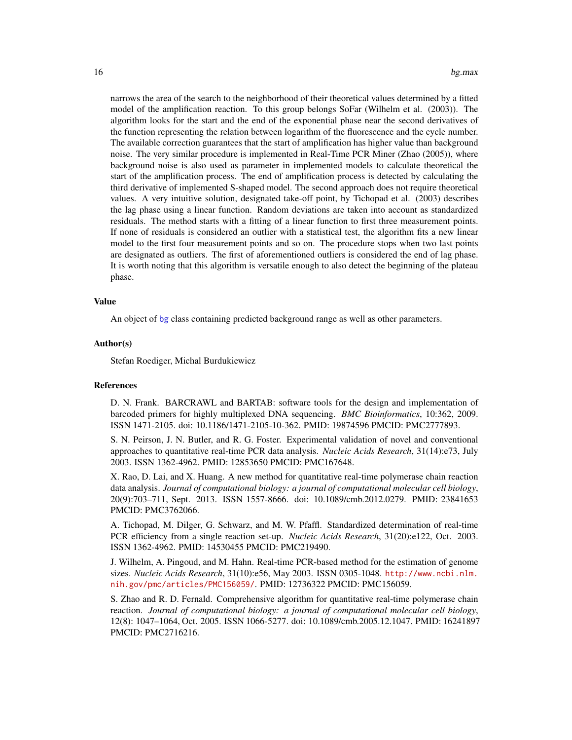narrows the area of the search to the neighborhood of their theoretical values determined by a fitted model of the amplification reaction. To this group belongs SoFar (Wilhelm et al. (2003)). The algorithm looks for the start and the end of the exponential phase near the second derivatives of the function representing the relation between logarithm of the fluorescence and the cycle number. The available correction guarantees that the start of amplification has higher value than background noise. The very similar procedure is implemented in Real-Time PCR Miner (Zhao (2005)), where background noise is also used as parameter in implemented models to calculate theoretical the start of the amplification process. The end of amplification process is detected by calculating the third derivative of implemented S-shaped model. The second approach does not require theoretical values. A very intuitive solution, designated take-off point, by Tichopad et al. (2003) describes the lag phase using a linear function. Random deviations are taken into account as standardized residuals. The method starts with a fitting of a linear function to first three measurement points. If none of residuals is considered an outlier with a statistical test, the algorithm fits a new linear model to the first four measurement points and so on. The procedure stops when two last points are designated as outliers. The first of aforementioned outliers is considered the end of lag phase. It is worth noting that this algorithm is versatile enough to also detect the beginning of the plateau phase.

#### Value

An object of [bg](#page-12-1) class containing predicted background range as well as other parameters.

# Author(s)

Stefan Roediger, Michal Burdukiewicz

#### References

D. N. Frank. BARCRAWL and BARTAB: software tools for the design and implementation of barcoded primers for highly multiplexed DNA sequencing. *BMC Bioinformatics*, 10:362, 2009. ISSN 1471-2105. doi: 10.1186/1471-2105-10-362. PMID: 19874596 PMCID: PMC2777893.

S. N. Peirson, J. N. Butler, and R. G. Foster. Experimental validation of novel and conventional approaches to quantitative real-time PCR data analysis. *Nucleic Acids Research*, 31(14):e73, July 2003. ISSN 1362-4962. PMID: 12853650 PMCID: PMC167648.

X. Rao, D. Lai, and X. Huang. A new method for quantitative real-time polymerase chain reaction data analysis. *Journal of computational biology: a journal of computational molecular cell biology*, 20(9):703–711, Sept. 2013. ISSN 1557-8666. doi: 10.1089/cmb.2012.0279. PMID: 23841653 PMCID: PMC3762066.

A. Tichopad, M. Dilger, G. Schwarz, and M. W. Pfaffl. Standardized determination of real-time PCR efficiency from a single reaction set-up. *Nucleic Acids Research*, 31(20):e122, Oct. 2003. ISSN 1362-4962. PMID: 14530455 PMCID: PMC219490.

J. Wilhelm, A. Pingoud, and M. Hahn. Real-time PCR-based method for the estimation of genome sizes. *Nucleic Acids Research*, 31(10):e56, May 2003. ISSN 0305-1048. [http://www.ncbi.nlm.](http://www.ncbi.nlm. nih.gov/pmc/articles/PMC156059/) [nih.gov/pmc/articles/PMC156059/](http://www.ncbi.nlm. nih.gov/pmc/articles/PMC156059/). PMID: 12736322 PMCID: PMC156059.

S. Zhao and R. D. Fernald. Comprehensive algorithm for quantitative real-time polymerase chain reaction. *Journal of computational biology: a journal of computational molecular cell biology*, 12(8): 1047–1064, Oct. 2005. ISSN 1066-5277. doi: 10.1089/cmb.2005.12.1047. PMID: 16241897 PMCID: PMC2716216.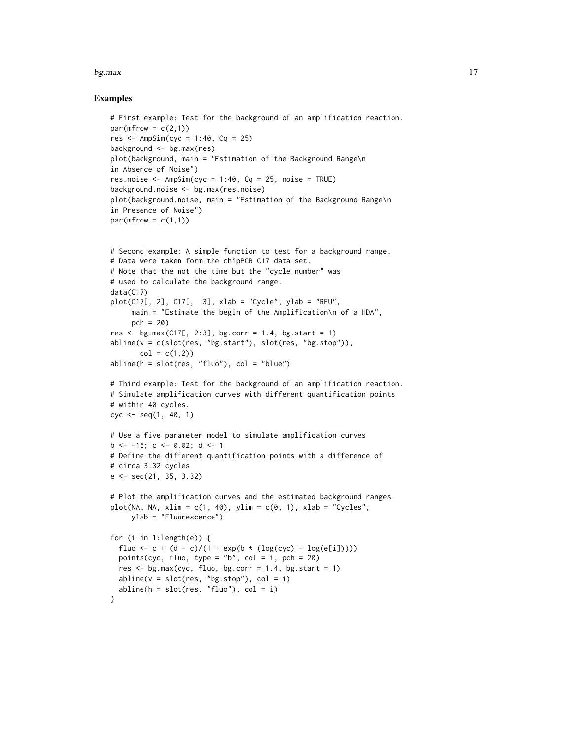#### $bg.max$   $17$

#### Examples

```
# First example: Test for the background of an amplification reaction.
par(mfrow = c(2,1))res \leq AmpSim(cyc = 1:40, Cq = 25)
background <- bg.max(res)
plot(background, main = "Estimation of the Background Range\n
in Absence of Noise")
res.noise \leq AmpSim(cyc = 1:40, Cq = 25, noise = TRUE)
background.noise <- bg.max(res.noise)
plot(background.noise, main = "Estimation of the Background Range\n
in Presence of Noise")
par(mfrow = c(1,1))# Second example: A simple function to test for a background range.
# Data were taken form the chipPCR C17 data set.
# Note that the not the time but the "cycle number" was
# used to calculate the background range.
data(C17)
plot(C17[, 2], C17[, 3], xlab = "Cycle", ylab = "RFU",
     main = "Estimate the begin of the Amplification\n of a HDA",
     pch = 20)
res \leq bg.max(C17[, 2:3], bg.corr = 1.4, bg.start = 1)
abline(v = c(slot(res, "bg.start"), slot(res, "bg.stop")),
       col = c(1, 2)abline(h = slot(res, "fluo"), col = "blue")
# Third example: Test for the background of an amplification reaction.
# Simulate amplification curves with different quantification points
# within 40 cycles.
cyc <- seq(1, 40, 1)
# Use a five parameter model to simulate amplification curves
b \le -15; c \le -0.02; d \le -1# Define the different quantification points with a difference of
# circa 3.32 cycles
e \leq - \text{seq}(21, 35, 3.32)# Plot the amplification curves and the estimated background ranges.
plot(NA, NA, xlim = c(1, 40), ylim = c(0, 1), xlab = "Cycles",ylab = "Fluorescence")
for (i in 1:length(e)) {
```

```
fluo <- c + (d - c)/(1 + exp(b * (log(cyc) - log(e[i]))))
 points(cyc, fluo, type = "b", col = i, pch = 20)
 res \leq bg.max(cyc, fluo, bg.corr = 1.4, bg.start = 1)
 abline(v = slot(res, "bg.stop"), col = i)abline(h = slot(res, "fluo"), col = i)
}
```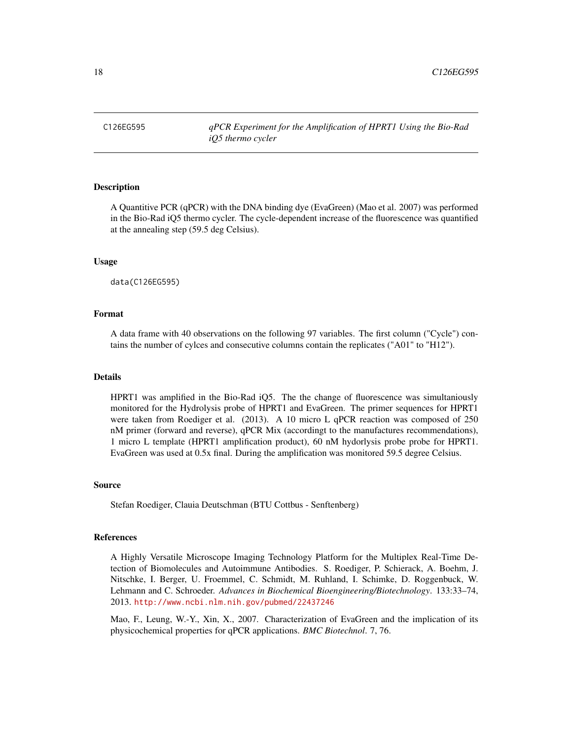<span id="page-17-0"></span>

# **Description**

A Quantitive PCR (qPCR) with the DNA binding dye (EvaGreen) (Mao et al. 2007) was performed in the Bio-Rad iQ5 thermo cycler. The cycle-dependent increase of the fluorescence was quantified at the annealing step (59.5 deg Celsius).

#### Usage

data(C126EG595)

# Format

A data frame with 40 observations on the following 97 variables. The first column ("Cycle") contains the number of cylces and consecutive columns contain the replicates ("A01" to "H12").

# Details

HPRT1 was amplified in the Bio-Rad iQ5. The the change of fluorescence was simultaniously monitored for the Hydrolysis probe of HPRT1 and EvaGreen. The primer sequences for HPRT1 were taken from Roediger et al. (2013). A 10 micro L qPCR reaction was composed of 250 nM primer (forward and reverse), qPCR Mix (accordingt to the manufactures recommendations), 1 micro L template (HPRT1 amplification product), 60 nM hydorlysis probe probe for HPRT1. EvaGreen was used at 0.5x final. During the amplification was monitored 59.5 degree Celsius.

#### Source

Stefan Roediger, Clauia Deutschman (BTU Cottbus - Senftenberg)

#### References

A Highly Versatile Microscope Imaging Technology Platform for the Multiplex Real-Time Detection of Biomolecules and Autoimmune Antibodies. S. Roediger, P. Schierack, A. Boehm, J. Nitschke, I. Berger, U. Froemmel, C. Schmidt, M. Ruhland, I. Schimke, D. Roggenbuck, W. Lehmann and C. Schroeder. *Advances in Biochemical Bioengineering/Biotechnology*. 133:33–74, 2013. <http://www.ncbi.nlm.nih.gov/pubmed/22437246>

Mao, F., Leung, W.-Y., Xin, X., 2007. Characterization of EvaGreen and the implication of its physicochemical properties for qPCR applications. *BMC Biotechnol*. 7, 76.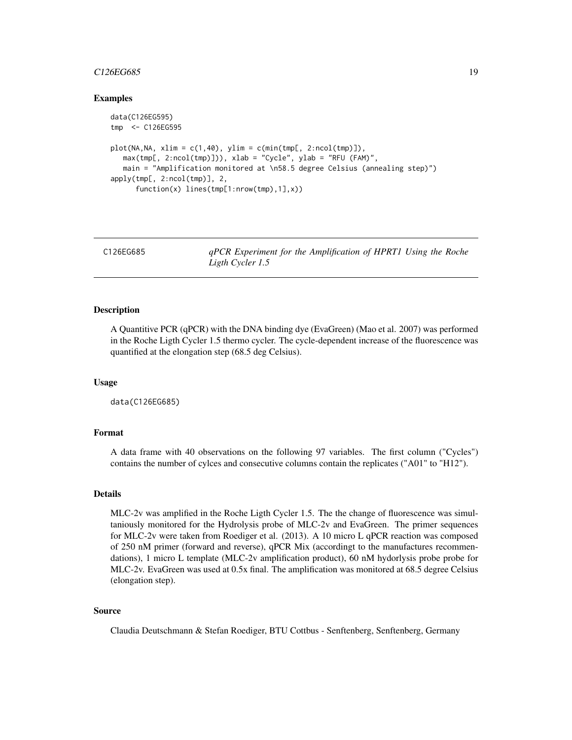# <span id="page-18-0"></span> $C126EG685$  19

# Examples

```
data(C126EG595)
tmp <- C126EG595
plot(NA,NA, xlim = c(1,40), ylim = c(min(tmp[, 2:ncol(tmp)]),max(tmp[, 2:ncol(tmp)])), xlab = "Cycle", ylab = "RFU (FAM)",
  main = "Amplification monitored at \n58.5 degree Celsius (annealing step)")
apply(tmp[, 2:ncol(tmp)], 2,
     function(x) lines(tmp[1:nrow(tmp),1],x))
```
C126EG685 *qPCR Experiment for the Amplification of HPRT1 Using the Roche Ligth Cycler 1.5*

# Description

A Quantitive PCR (qPCR) with the DNA binding dye (EvaGreen) (Mao et al. 2007) was performed in the Roche Ligth Cycler 1.5 thermo cycler. The cycle-dependent increase of the fluorescence was quantified at the elongation step (68.5 deg Celsius).

# Usage

data(C126EG685)

# Format

A data frame with 40 observations on the following 97 variables. The first column ("Cycles") contains the number of cylces and consecutive columns contain the replicates ("A01" to "H12").

# Details

MLC-2v was amplified in the Roche Ligth Cycler 1.5. The the change of fluorescence was simultaniously monitored for the Hydrolysis probe of MLC-2v and EvaGreen. The primer sequences for MLC-2v were taken from Roediger et al. (2013). A 10 micro L qPCR reaction was composed of 250 nM primer (forward and reverse), qPCR Mix (accordingt to the manufactures recommendations), 1 micro L template (MLC-2v amplification product), 60 nM hydorlysis probe probe for MLC-2v. EvaGreen was used at 0.5x final. The amplification was monitored at 68.5 degree Celsius (elongation step).

# Source

Claudia Deutschmann & Stefan Roediger, BTU Cottbus - Senftenberg, Senftenberg, Germany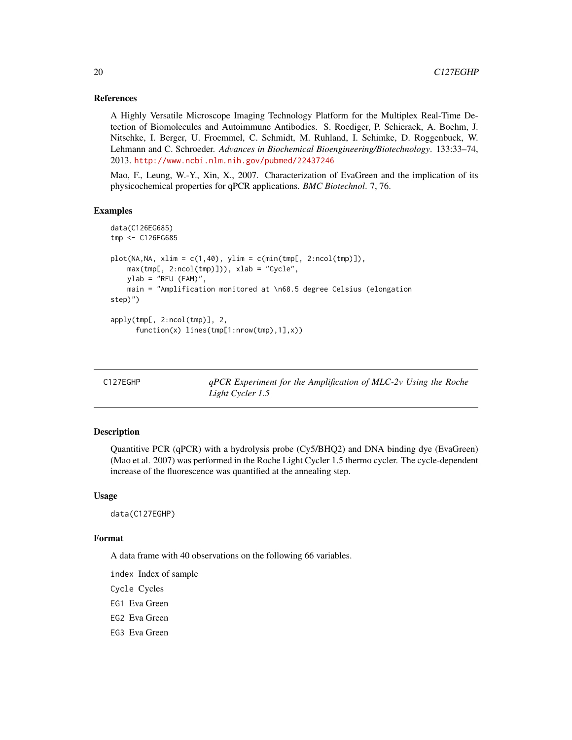# References

A Highly Versatile Microscope Imaging Technology Platform for the Multiplex Real-Time Detection of Biomolecules and Autoimmune Antibodies. S. Roediger, P. Schierack, A. Boehm, J. Nitschke, I. Berger, U. Froemmel, C. Schmidt, M. Ruhland, I. Schimke, D. Roggenbuck, W. Lehmann and C. Schroeder. *Advances in Biochemical Bioengineering/Biotechnology*. 133:33–74, 2013. <http://www.ncbi.nlm.nih.gov/pubmed/22437246>

Mao, F., Leung, W.-Y., Xin, X., 2007. Characterization of EvaGreen and the implication of its physicochemical properties for qPCR applications. *BMC Biotechnol*. 7, 76.

#### Examples

```
data(C126EG685)
tmp <- C126EG685
plot(NA,NA, xlim = c(1,40), ylim = c(min(tmp[, 2:ncol(tmp)]),max(tmp[, 2:ncol(tmp)]), xlab = "Cycle",ylab = "RFU (FAM)",main = "Amplification monitored at \n68.5 degree Celsius (elongation
step)")
apply(tmp[, 2:ncol(tmp)], 2,
      function(x) lines(tmp[1:nrow(tmp),1],x))
```

| C127EGHP |  |  |  |  |  |
|----------|--|--|--|--|--|
|----------|--|--|--|--|--|

C127EGHP *qPCR Experiment for the Amplification of MLC-2v Using the Roche Light Cycler 1.5*

# Description

Quantitive PCR (qPCR) with a hydrolysis probe (Cy5/BHQ2) and DNA binding dye (EvaGreen) (Mao et al. 2007) was performed in the Roche Light Cycler 1.5 thermo cycler. The cycle-dependent increase of the fluorescence was quantified at the annealing step.

#### Usage

data(C127EGHP)

# Format

A data frame with 40 observations on the following 66 variables.

index Index of sample Cycle Cycles EG1 Eva Green EG2 Eva Green EG3 Eva Green

<span id="page-19-0"></span>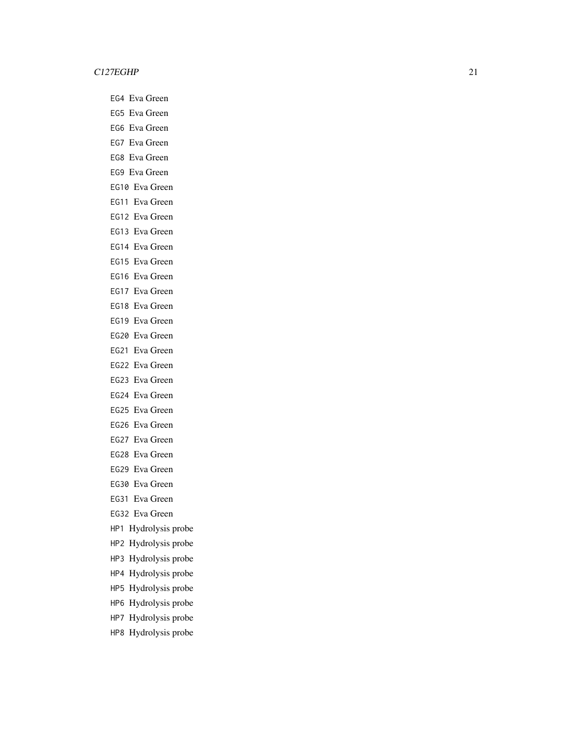EG4 Eva Green EG5 Eva Green EG6 Eva Green EG7 Eva Green EG8 Eva Green EG9 Eva Green EG10 Eva Green EG11 Eva Green EG12 Eva Green EG13 Eva Green EG14 Eva Green EG15 Eva Green EG16 Eva Green EG17 Eva Green EG18 Eva Green EG19 Eva Green EG20 Eva Green EG21 Eva Green EG22 Eva Green EG23 Eva Green EG24 Eva Green EG25 Eva Green EG26 Eva Green EG27 Eva Green EG28 Eva Green EG29 Eva Green EG30 Eva Green EG31 Eva Green EG32 Eva Green HP1 Hydrolysis probe HP2 Hydrolysis probe HP3 Hydrolysis probe HP4 Hydrolysis probe

- HP5 Hydrolysis probe
- HP6 Hydrolysis probe
- HP7 Hydrolysis probe
- HP8 Hydrolysis probe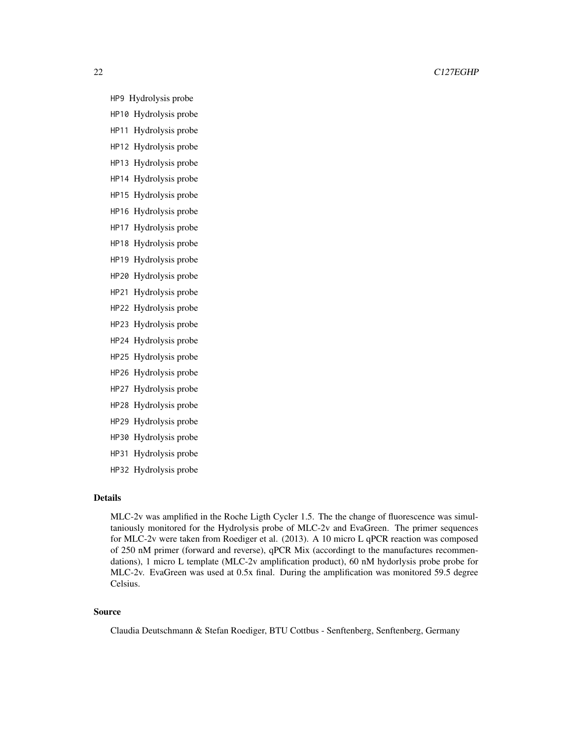# 22 C127EGHP

HP9 Hydrolysis probe

- HP10 Hydrolysis probe
- HP11 Hydrolysis probe
- HP12 Hydrolysis probe HP13 Hydrolysis probe
- HP14 Hydrolysis probe
- HP15 Hydrolysis probe
- HP16 Hydrolysis probe
- HP17 Hydrolysis probe
- HP18 Hydrolysis probe
- HP19 Hydrolysis probe
- HP20 Hydrolysis probe
- HP21 Hydrolysis probe
- HP22 Hydrolysis probe
- HP23 Hydrolysis probe
- HP24 Hydrolysis probe
- HP25 Hydrolysis probe
- HP26 Hydrolysis probe
- HP27 Hydrolysis probe
- HP28 Hydrolysis probe
- HP29 Hydrolysis probe
- HP30 Hydrolysis probe
- HP31 Hydrolysis probe
- HP32 Hydrolysis probe

# Details

MLC-2v was amplified in the Roche Ligth Cycler 1.5. The the change of fluorescence was simultaniously monitored for the Hydrolysis probe of MLC-2v and EvaGreen. The primer sequences for MLC-2v were taken from Roediger et al. (2013). A 10 micro L qPCR reaction was composed of 250 nM primer (forward and reverse), qPCR Mix (accordingt to the manufactures recommendations), 1 micro L template (MLC-2v amplification product), 60 nM hydorlysis probe probe for MLC-2v. EvaGreen was used at 0.5x final. During the amplification was monitored 59.5 degree Celsius.

# Source

Claudia Deutschmann & Stefan Roediger, BTU Cottbus - Senftenberg, Senftenberg, Germany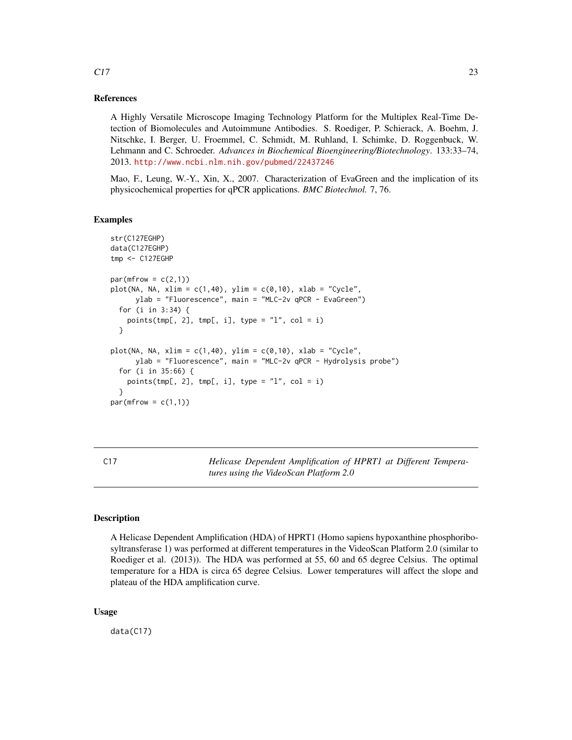# References

A Highly Versatile Microscope Imaging Technology Platform for the Multiplex Real-Time Detection of Biomolecules and Autoimmune Antibodies. S. Roediger, P. Schierack, A. Boehm, J. Nitschke, I. Berger, U. Froemmel, C. Schmidt, M. Ruhland, I. Schimke, D. Roggenbuck, W. Lehmann and C. Schroeder. *Advances in Biochemical Bioengineering/Biotechnology*. 133:33–74, 2013. <http://www.ncbi.nlm.nih.gov/pubmed/22437246>

Mao, F., Leung, W.-Y., Xin, X., 2007. Characterization of EvaGreen and the implication of its physicochemical properties for qPCR applications. *BMC Biotechnol.* 7, 76.

# Examples

```
str(C127EGHP)
data(C127EGHP)
tmp <- C127EGHP
par(mfrow = c(2,1))plot(NA, NA, xlim = c(1,40), ylim = c(0,10), xlab = "Cycle",ylab = "Fluorescence", main = "MLC-2v qPCR - EvaGreen")
 for (i in 3:34) {
    points(tmp[, 2], tmp[, i], type = "l", col = i)}
plot(NA, NA, xlim = c(1,40), ylim = c(0,10), xlab = "Cycle",ylab = "Fluorescence", main = "MLC-2v qPCR - Hydrolysis probe")
 for (i in 35:66) {
   points(tmp[, 2], tmp[, i], type = "l", col = i)}
par(mfrow = c(1,1))
```
C17 *Helicase Dependent Amplification of HPRT1 at Different Temperatures using the VideoScan Platform 2.0*

# **Description**

A Helicase Dependent Amplification (HDA) of HPRT1 (Homo sapiens hypoxanthine phosphoribosyltransferase 1) was performed at different temperatures in the VideoScan Platform 2.0 (similar to Roediger et al. (2013)). The HDA was performed at 55, 60 and 65 degree Celsius. The optimal temperature for a HDA is circa 65 degree Celsius. Lower temperatures will affect the slope and plateau of the HDA amplification curve.

# Usage

data(C17)

<span id="page-22-0"></span> $C17$  23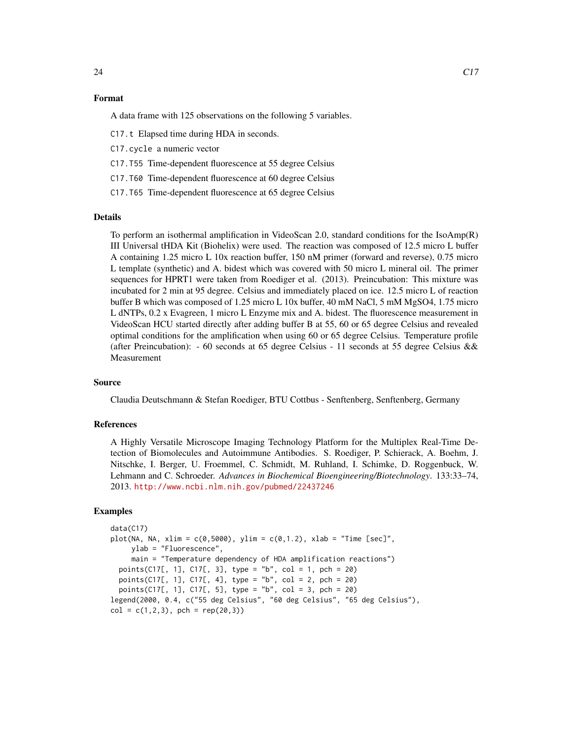# Format

A data frame with 125 observations on the following 5 variables.

C17.t Elapsed time during HDA in seconds.

C17.cycle a numeric vector

C17.T55 Time-dependent fluorescence at 55 degree Celsius

C17.T60 Time-dependent fluorescence at 60 degree Celsius

C17.T65 Time-dependent fluorescence at 65 degree Celsius

# Details

To perform an isothermal amplification in VideoScan 2.0, standard conditions for the IsoAmp(R) III Universal tHDA Kit (Biohelix) were used. The reaction was composed of 12.5 micro L buffer A containing 1.25 micro L 10x reaction buffer, 150 nM primer (forward and reverse), 0.75 micro L template (synthetic) and A. bidest which was covered with 50 micro L mineral oil. The primer sequences for HPRT1 were taken from Roediger et al. (2013). Preincubation: This mixture was incubated for 2 min at 95 degree. Celsius and immediately placed on ice. 12.5 micro L of reaction buffer B which was composed of 1.25 micro L 10x buffer, 40 mM NaCl, 5 mM MgSO4, 1.75 micro L dNTPs, 0.2 x Evagreen, 1 micro L Enzyme mix and A. bidest. The fluorescence measurement in VideoScan HCU started directly after adding buffer B at 55, 60 or 65 degree Celsius and revealed optimal conditions for the amplification when using 60 or 65 degree Celsius. Temperature profile (after Preincubation): - 60 seconds at 65 degree Celsius - 11 seconds at 55 degree Celsius & & Measurement

# Source

Claudia Deutschmann & Stefan Roediger, BTU Cottbus - Senftenberg, Senftenberg, Germany

# References

A Highly Versatile Microscope Imaging Technology Platform for the Multiplex Real-Time Detection of Biomolecules and Autoimmune Antibodies. S. Roediger, P. Schierack, A. Boehm, J. Nitschke, I. Berger, U. Froemmel, C. Schmidt, M. Ruhland, I. Schimke, D. Roggenbuck, W. Lehmann and C. Schroeder. *Advances in Biochemical Bioengineering/Biotechnology*. 133:33–74, 2013. <http://www.ncbi.nlm.nih.gov/pubmed/22437246>

# Examples

```
data(C17)
plot(NA, NA, xlim = c(0, 5000), ylim = c(0, 1.2), xlab = "Time [sec]",ylab = "Fluorescence",
    main = "Temperature dependency of HDA amplification reactions")
 points(C17[, 1], C17[, 3], type = "b", col = 1, pch = 20)
 points(C17[, 1], C17[, 4], type = "b", col = 2, pch = 20)
 points(C17[, 1], C17[, 5], type = "b", col = 3, pch = 20)
legend(2000, 0.4, c("55 deg Celsius", "60 deg Celsius", "65 deg Celsius"),
col = c(1, 2, 3), pch = rep(20, 3))
```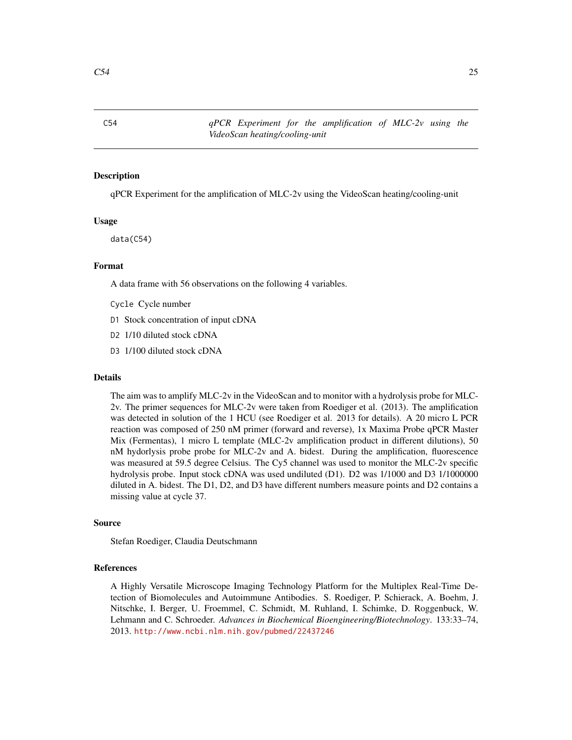<span id="page-24-0"></span>C54 *qPCR Experiment for the amplification of MLC-2v using the VideoScan heating/cooling-unit*

#### **Description**

qPCR Experiment for the amplification of MLC-2v using the VideoScan heating/cooling-unit

# Usage

data(C54)

# Format

A data frame with 56 observations on the following 4 variables.

- Cycle Cycle number
- D1 Stock concentration of input cDNA
- D2 1/10 diluted stock cDNA
- D3 1/100 diluted stock cDNA

#### Details

The aim was to amplify MLC-2v in the VideoScan and to monitor with a hydrolysis probe for MLC-2v. The primer sequences for MLC-2v were taken from Roediger et al. (2013). The amplification was detected in solution of the 1 HCU (see Roediger et al. 2013 for details). A 20 micro L PCR reaction was composed of 250 nM primer (forward and reverse), 1x Maxima Probe qPCR Master Mix (Fermentas), 1 micro L template (MLC-2v amplification product in different dilutions), 50 nM hydorlysis probe probe for MLC-2v and A. bidest. During the amplification, fluorescence was measured at 59.5 degree Celsius. The Cy5 channel was used to monitor the MLC-2v specific hydrolysis probe. Input stock cDNA was used undiluted (D1). D2 was 1/1000 and D3 1/1000000 diluted in A. bidest. The D1, D2, and D3 have different numbers measure points and D2 contains a missing value at cycle 37.

#### Source

Stefan Roediger, Claudia Deutschmann

#### References

A Highly Versatile Microscope Imaging Technology Platform for the Multiplex Real-Time Detection of Biomolecules and Autoimmune Antibodies. S. Roediger, P. Schierack, A. Boehm, J. Nitschke, I. Berger, U. Froemmel, C. Schmidt, M. Ruhland, I. Schimke, D. Roggenbuck, W. Lehmann and C. Schroeder. *Advances in Biochemical Bioengineering/Biotechnology*. 133:33–74, 2013. <http://www.ncbi.nlm.nih.gov/pubmed/22437246>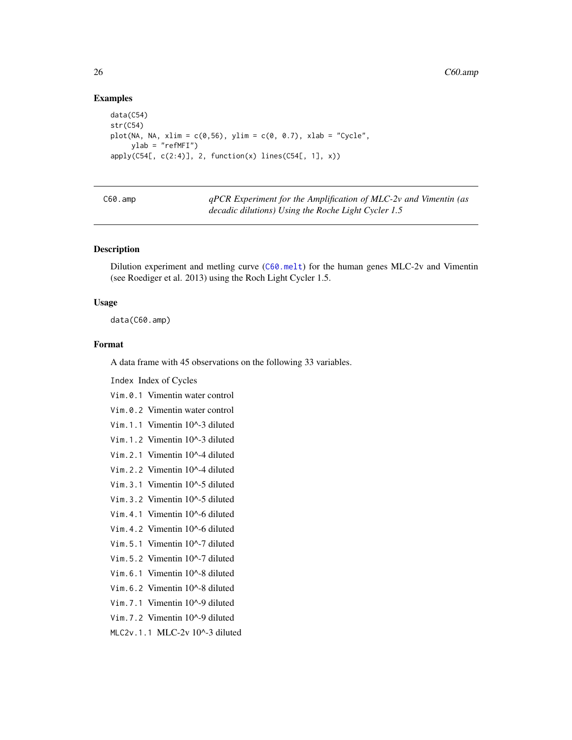# Examples

```
data(C54)
str(C54)
plot(NA, NA, xlim = c(0, 56), ylim = c(0, 0.7), xlab = "Cycle",ylab = "refMFI")
apply(C54[, c(2:4)], 2, function(x) lines(C54[, 1], x)
```
<span id="page-25-1"></span>

| C60.amp |  |
|---------|--|
|---------|--|

C60.amp *qPCR Experiment for the Amplification of MLC-2v and Vimentin (as decadic dilutions) Using the Roche Light Cycler 1.5*

# Description

Dilution experiment and metling curve ([C60.melt](#page-27-1)) for the human genes MLC-2v and Vimentin (see Roediger et al. 2013) using the Roch Light Cycler 1.5.

#### Usage

data(C60.amp)

# Format

A data frame with 45 observations on the following 33 variables.

Index Index of Cycles

Vim.0.1 Vimentin water control

Vim.0.2 Vimentin water control

Vim.1.1 Vimentin 10^-3 diluted

Vim.1.2 Vimentin 10^-3 diluted

Vim.2.1 Vimentin 10^-4 diluted

Vim.2.2 Vimentin 10^-4 diluted

Vim.3.1 Vimentin 10^-5 diluted

Vim.3.2 Vimentin 10^-5 diluted

Vim.4.1 Vimentin 10^-6 diluted

Vim.4.2 Vimentin 10^-6 diluted

Vim.5.1 Vimentin 10^-7 diluted

- Vim.5.2 Vimentin 10^-7 diluted
- Vim.6.1 Vimentin 10^-8 diluted
- Vim.6.2 Vimentin 10^-8 diluted
- Vim.7.1 Vimentin 10^-9 diluted
- Vim.7.2 Vimentin 10^-9 diluted

MLC2v.1.1 MLC-2v 10^-3 diluted

<span id="page-25-0"></span>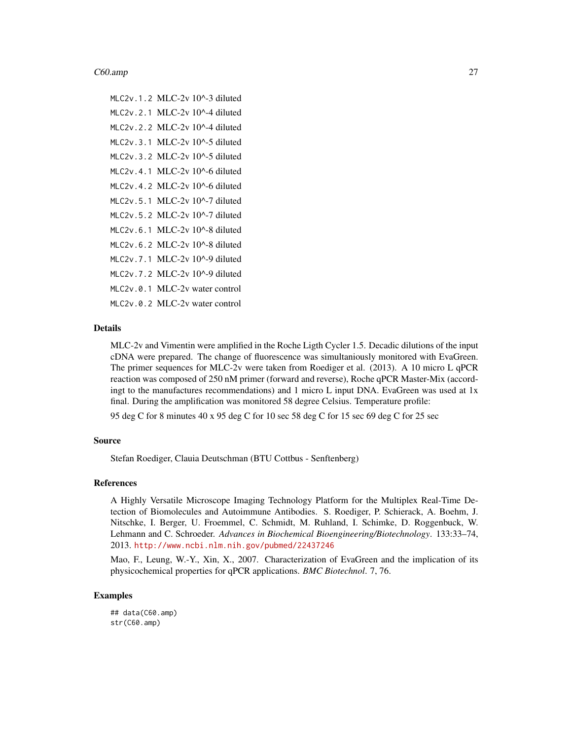#### $C60.$ amp  $27$

MLC2v.1.2 MLC-2v 10^-3 diluted MLC2v.2.1 MLC-2v 10^-4 diluted MLC2v.2.2 MLC-2v 10^-4 diluted MLC2v.3.1 MLC-2v 10^-5 diluted MLC2v.3.2 MLC-2v 10^-5 diluted MLC2v.4.1 MLC-2v 10^-6 diluted MLC2v.4.2 MLC-2v 10^-6 diluted MLC2v.5.1 MLC-2v 10^-7 diluted MLC2v.5.2 MLC-2v 10^-7 diluted MLC2v.6.1 MLC-2v 10^-8 diluted MLC2v.6.2 MLC-2v 10^-8 diluted MLC2v.7.1 MLC-2v 10^-9 diluted MLC2v.7.2 MLC-2v 10^-9 diluted MLC2v.0.1 MLC-2v water control MLC2v.0.2 MLC-2v water control

# Details

MLC-2v and Vimentin were amplified in the Roche Ligth Cycler 1.5. Decadic dilutions of the input cDNA were prepared. The change of fluorescence was simultaniously monitored with EvaGreen. The primer sequences for MLC-2v were taken from Roediger et al. (2013). A 10 micro L qPCR reaction was composed of 250 nM primer (forward and reverse), Roche qPCR Master-Mix (accordingt to the manufactures recommendations) and 1 micro L input DNA. EvaGreen was used at 1x final. During the amplification was monitored 58 degree Celsius. Temperature profile:

95 deg C for 8 minutes 40 x 95 deg C for 10 sec 58 deg C for 15 sec 69 deg C for 25 sec

# Source

Stefan Roediger, Clauia Deutschman (BTU Cottbus - Senftenberg)

# References

A Highly Versatile Microscope Imaging Technology Platform for the Multiplex Real-Time Detection of Biomolecules and Autoimmune Antibodies. S. Roediger, P. Schierack, A. Boehm, J. Nitschke, I. Berger, U. Froemmel, C. Schmidt, M. Ruhland, I. Schimke, D. Roggenbuck, W. Lehmann and C. Schroeder. *Advances in Biochemical Bioengineering/Biotechnology*. 133:33–74, 2013. <http://www.ncbi.nlm.nih.gov/pubmed/22437246>

Mao, F., Leung, W.-Y., Xin, X., 2007. Characterization of EvaGreen and the implication of its physicochemical properties for qPCR applications. *BMC Biotechnol*. 7, 76.

# Examples

## data(C60.amp) str(C60.amp)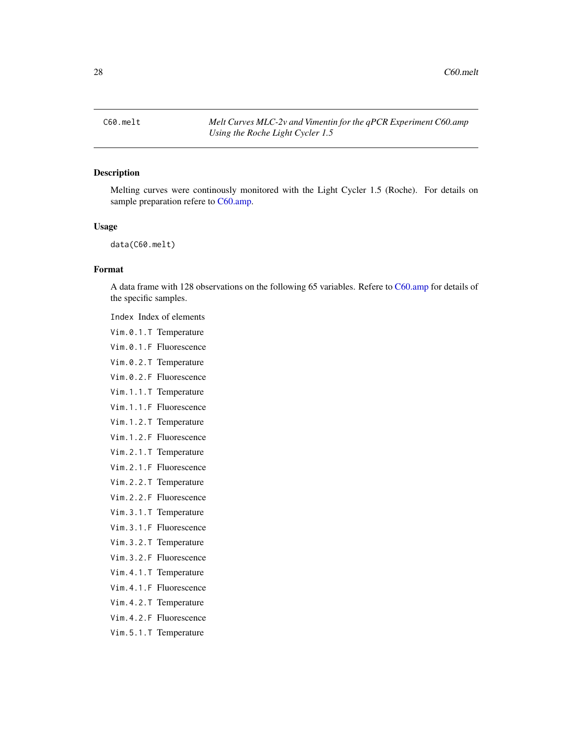<span id="page-27-1"></span><span id="page-27-0"></span>C60.melt *Melt Curves MLC-2v and Vimentin for the qPCR Experiment C60.amp Using the Roche Light Cycler 1.5*

# Description

Melting curves were continously monitored with the Light Cycler 1.5 (Roche). For details on sample preparation refere to [C60.amp.](#page-25-1)

#### Usage

data(C60.melt)

# Format

A data frame with 128 observations on the following 65 variables. Refere to [C60.amp](#page-25-1) for details of the specific samples.

Index Index of elements

- Vim.0.1.T Temperature
- Vim.0.1.F Fluorescence
- Vim.0.2.T Temperature
- Vim.0.2.F Fluorescence
- Vim.1.1.T Temperature
- Vim.1.1.F Fluorescence
- Vim.1.2.T Temperature
- Vim.1.2.F Fluorescence
- Vim.2.1.T Temperature
- Vim.2.1.F Fluorescence
- Vim.2.2.T Temperature
- Vim.2.2.F Fluorescence
- Vim.3.1.T Temperature
- Vim.3.1.F Fluorescence
- Vim.3.2.T Temperature
- Vim.3.2.F Fluorescence
- Vim.4.1.T Temperature
- Vim.4.1.F Fluorescence
- Vim.4.2.T Temperature
- Vim.4.2.F Fluorescence
- Vim.5.1.T Temperature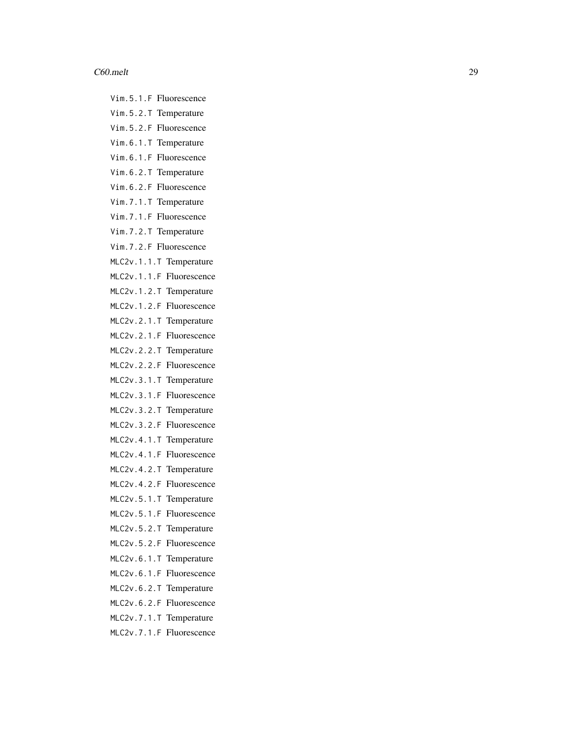#### $C60.$ melt  $29$

Vim.5.1.F Fluorescence Vim.5.2.T Temperature Vim.5.2.F Fluorescence Vim.6.1.T Temperature

- Vim.6.1.F Fluorescence
- Vim.6.2.T Temperature
- Vim.6.2.F Fluorescence
- Vim.7.1.T Temperature
- Vim.7.1.F Fluorescence
- Vim.7.2.T Temperature
- Vim.7.2.F Fluorescence
- MLC2v.1.1.T Temperature
- MLC2v.1.1.F Fluorescence
- MLC2v.1.2.T Temperature
- MLC2v.1.2.F Fluorescence
- MLC2v.2.1.T Temperature
- MLC2v.2.1.F Fluorescence
- MLC2v.2.2.T Temperature
- MLC2v.2.2.F Fluorescence
- MLC2v.3.1.T Temperature
- MLC2v.3.1.F Fluorescence
- MLC2v.3.2.T Temperature
- MLC2v.3.2.F Fluorescence
- MLC2v.4.1.T Temperature
- MLC2v.4.1.F Fluorescence
- MLC2v.4.2.T Temperature
- MLC2v.4.2.F Fluorescence
- MLC2v.5.1.T Temperature
- MLC2v.5.1.F Fluorescence
- MLC2v.5.2.T Temperature
- MLC2v.5.2.F Fluorescence
- MLC2v.6.1.T Temperature
- MLC2v.6.1.F Fluorescence
- MLC2v.6.2.T Temperature
- MLC2v.6.2.F Fluorescence
- MLC2v.7.1.T Temperature
- MLC2v.7.1.F Fluorescence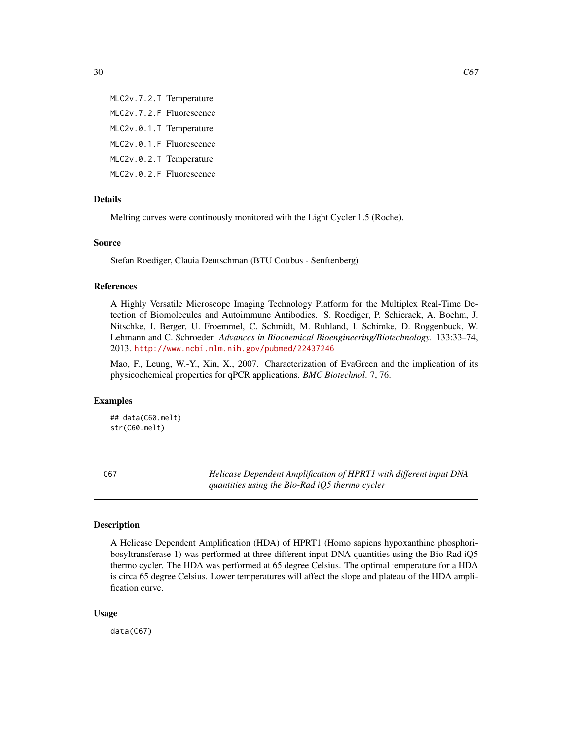<span id="page-29-0"></span>MLC2v.7.2.T Temperature MLC2v.7.2.F Fluorescence MLC2v.0.1.T Temperature MLC2v.0.1.F Fluorescence MLC2v.0.2.T Temperature MLC2v.0.2.F Fluorescence

#### Details

Melting curves were continously monitored with the Light Cycler 1.5 (Roche).

# Source

Stefan Roediger, Clauia Deutschman (BTU Cottbus - Senftenberg)

#### References

A Highly Versatile Microscope Imaging Technology Platform for the Multiplex Real-Time Detection of Biomolecules and Autoimmune Antibodies. S. Roediger, P. Schierack, A. Boehm, J. Nitschke, I. Berger, U. Froemmel, C. Schmidt, M. Ruhland, I. Schimke, D. Roggenbuck, W. Lehmann and C. Schroeder. *Advances in Biochemical Bioengineering/Biotechnology*. 133:33–74, 2013. <http://www.ncbi.nlm.nih.gov/pubmed/22437246>

Mao, F., Leung, W.-Y., Xin, X., 2007. Characterization of EvaGreen and the implication of its physicochemical properties for qPCR applications. *BMC Biotechnol*. 7, 76.

# Examples

## data(C60.melt) str(C60.melt)

C67 *Helicase Dependent Amplification of HPRT1 with different input DNA quantities using the Bio-Rad iQ5 thermo cycler*

#### **Description**

A Helicase Dependent Amplification (HDA) of HPRT1 (Homo sapiens hypoxanthine phosphoribosyltransferase 1) was performed at three different input DNA quantities using the Bio-Rad iQ5 thermo cycler. The HDA was performed at 65 degree Celsius. The optimal temperature for a HDA is circa 65 degree Celsius. Lower temperatures will affect the slope and plateau of the HDA amplification curve.

# Usage

data(C67)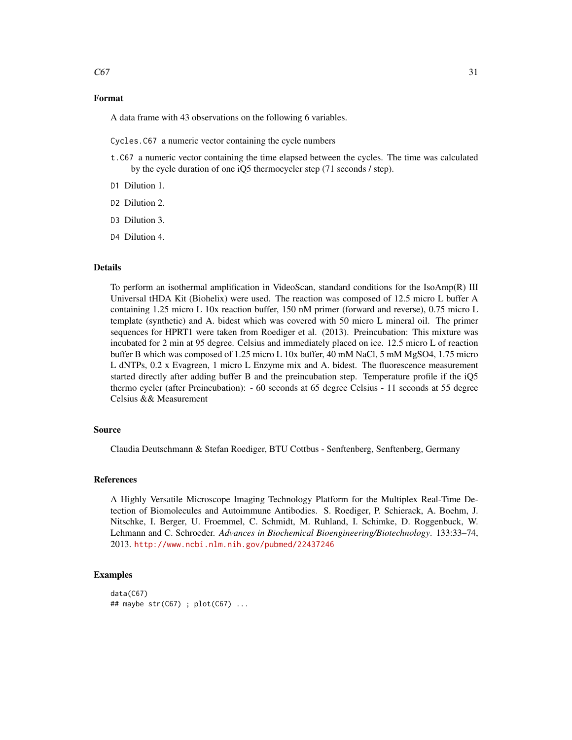# Format

A data frame with 43 observations on the following 6 variables.

Cycles.C67 a numeric vector containing the cycle numbers

- t.C67 a numeric vector containing the time elapsed between the cycles. The time was calculated by the cycle duration of one iQ5 thermocycler step (71 seconds / step).
- D1 Dilution 1.
- D<sub>2</sub> Dilution 2.
- D<sub>3</sub> Dilution 3.
- D4 Dilution 4.

# Details

To perform an isothermal amplification in VideoScan, standard conditions for the IsoAmp(R) III Universal tHDA Kit (Biohelix) were used. The reaction was composed of 12.5 micro L buffer A containing 1.25 micro L 10x reaction buffer, 150 nM primer (forward and reverse), 0.75 micro L template (synthetic) and A. bidest which was covered with 50 micro L mineral oil. The primer sequences for HPRT1 were taken from Roediger et al. (2013). Preincubation: This mixture was incubated for 2 min at 95 degree. Celsius and immediately placed on ice. 12.5 micro L of reaction buffer B which was composed of 1.25 micro L 10x buffer, 40 mM NaCl, 5 mM MgSO4, 1.75 micro L dNTPs, 0.2 x Evagreen, 1 micro L Enzyme mix and A. bidest. The fluorescence measurement started directly after adding buffer B and the preincubation step. Temperature profile if the iQ5 thermo cycler (after Preincubation): - 60 seconds at 65 degree Celsius - 11 seconds at 55 degree Celsius && Measurement

# Source

Claudia Deutschmann & Stefan Roediger, BTU Cottbus - Senftenberg, Senftenberg, Germany

# References

A Highly Versatile Microscope Imaging Technology Platform for the Multiplex Real-Time Detection of Biomolecules and Autoimmune Antibodies. S. Roediger, P. Schierack, A. Boehm, J. Nitschke, I. Berger, U. Froemmel, C. Schmidt, M. Ruhland, I. Schimke, D. Roggenbuck, W. Lehmann and C. Schroeder. *Advances in Biochemical Bioengineering/Biotechnology*. 133:33–74, 2013. <http://www.ncbi.nlm.nih.gov/pubmed/22437246>

# Examples

```
data(C67)
## maybe str(C67) ; plot(C67) ...
```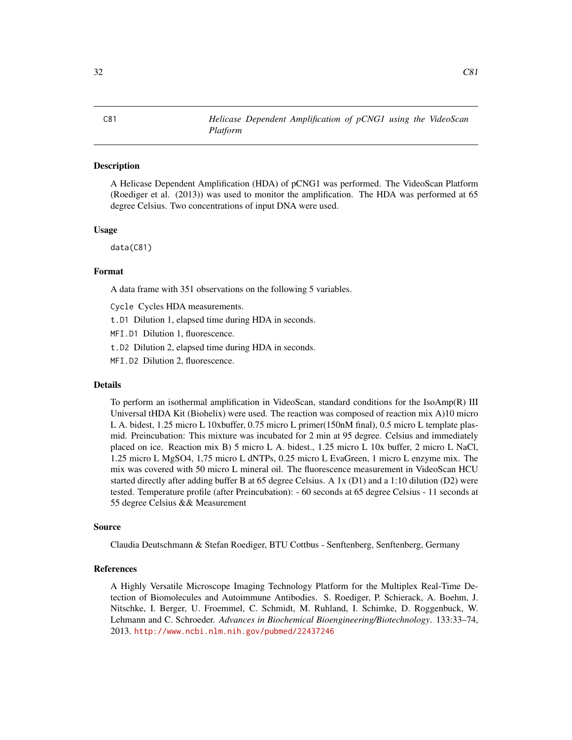# **Description**

A Helicase Dependent Amplification (HDA) of pCNG1 was performed. The VideoScan Platform (Roediger et al. (2013)) was used to monitor the amplification. The HDA was performed at 65 degree Celsius. Two concentrations of input DNA were used.

#### Usage

data(C81)

# Format

A data frame with 351 observations on the following 5 variables.

Cycle Cycles HDA measurements.

t.D1 Dilution 1, elapsed time during HDA in seconds.

MFI.D1 Dilution 1, fluorescence.

t.D2 Dilution 2, elapsed time during HDA in seconds.

MFI.D2 Dilution 2, fluorescence.

# Details

To perform an isothermal amplification in VideoScan, standard conditions for the IsoAmp(R) III Universal tHDA Kit (Biohelix) were used. The reaction was composed of reaction mix A)10 micro L A. bidest, 1.25 micro L 10xbuffer, 0.75 micro L primer(150nM final), 0.5 micro L template plasmid. Preincubation: This mixture was incubated for 2 min at 95 degree. Celsius and immediately placed on ice. Reaction mix B) 5 micro L A. bidest., 1.25 micro L 10x buffer, 2 micro L NaCl, 1.25 micro L MgSO4, 1,75 micro L dNTPs, 0.25 micro L EvaGreen, 1 micro L enzyme mix. The mix was covered with 50 micro L mineral oil. The fluorescence measurement in VideoScan HCU started directly after adding buffer B at 65 degree Celsius. A 1x (D1) and a 1:10 dilution (D2) were tested. Temperature profile (after Preincubation): - 60 seconds at 65 degree Celsius - 11 seconds at 55 degree Celsius && Measurement

#### Source

Claudia Deutschmann & Stefan Roediger, BTU Cottbus - Senftenberg, Senftenberg, Germany

# References

A Highly Versatile Microscope Imaging Technology Platform for the Multiplex Real-Time Detection of Biomolecules and Autoimmune Antibodies. S. Roediger, P. Schierack, A. Boehm, J. Nitschke, I. Berger, U. Froemmel, C. Schmidt, M. Ruhland, I. Schimke, D. Roggenbuck, W. Lehmann and C. Schroeder. *Advances in Biochemical Bioengineering/Biotechnology*. 133:33–74, 2013. <http://www.ncbi.nlm.nih.gov/pubmed/22437246>

<span id="page-31-0"></span>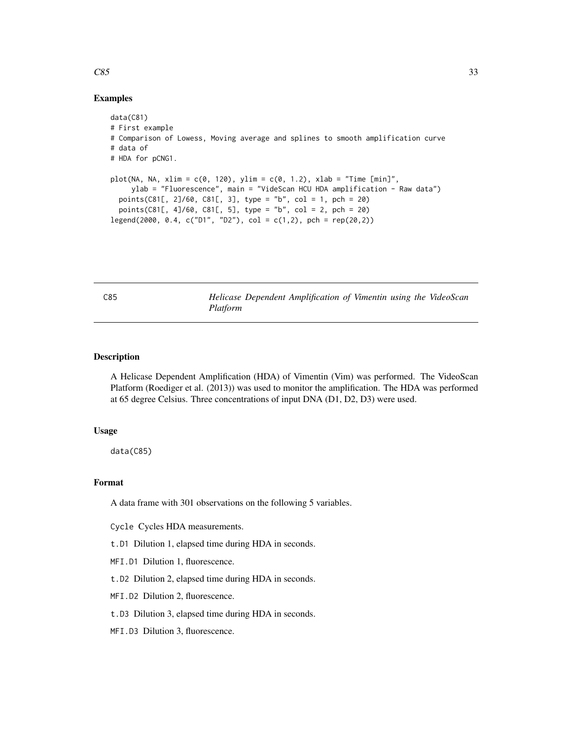# Examples

```
data(C81)
# First example
# Comparison of Lowess, Moving average and splines to smooth amplification curve
# data of
# HDA for pCNG1.
plot(NA, NA, xlim = c(0, 120), ylim = c(0, 1.2), xlab = "Time [min]",ylab = "Fluorescence", main = "VideScan HCU HDA amplification - Raw data")
 points(C81[, 2]/60, C81[, 3], type = "b", col = 1, pch = 20)
 points(C81[, 4]/60, C81[, 5], type = "b", col = 2, pch = 20)
legend(2000, 0.4, c("D1", "D2"), col = c(1,2), pch = rep(20,2))
```
C85 *Helicase Dependent Amplification of Vimentin using the VideoScan Platform*

# Description

A Helicase Dependent Amplification (HDA) of Vimentin (Vim) was performed. The VideoScan Platform (Roediger et al. (2013)) was used to monitor the amplification. The HDA was performed at 65 degree Celsius. Three concentrations of input DNA (D1, D2, D3) were used.

# Usage

data(C85)

# Format

A data frame with 301 observations on the following 5 variables.

Cycle Cycles HDA measurements.

t.D1 Dilution 1, elapsed time during HDA in seconds.

MFI.D1 Dilution 1, fluorescence.

t.D2 Dilution 2, elapsed time during HDA in seconds.

MFI.D2 Dilution 2, fluorescence.

t.D3 Dilution 3, elapsed time during HDA in seconds.

MFI.D3 Dilution 3, fluorescence.

<span id="page-32-0"></span> $\cos\theta$  33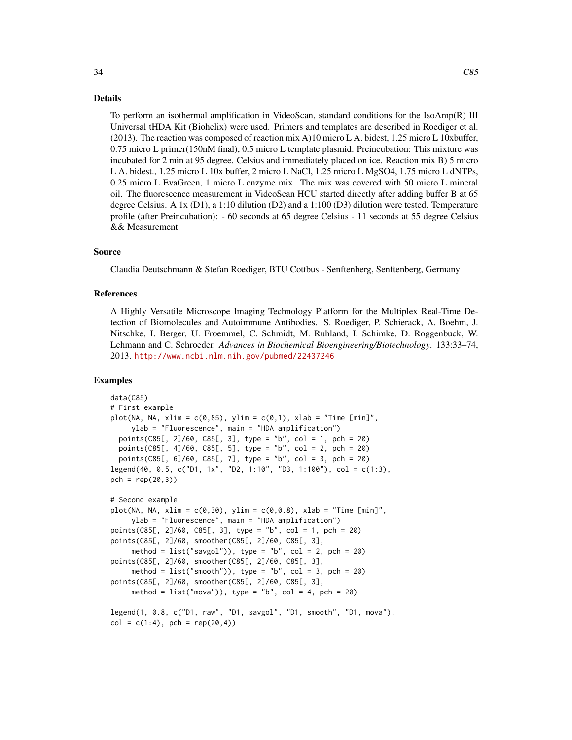#### Details

To perform an isothermal amplification in VideoScan, standard conditions for the IsoAmp(R) III Universal tHDA Kit (Biohelix) were used. Primers and templates are described in Roediger et al. (2013). The reaction was composed of reaction mix A)10 micro L A. bidest, 1.25 micro L 10xbuffer, 0.75 micro L primer(150nM final), 0.5 micro L template plasmid. Preincubation: This mixture was incubated for 2 min at 95 degree. Celsius and immediately placed on ice. Reaction mix B) 5 micro L A. bidest., 1.25 micro L 10x buffer, 2 micro L NaCl, 1.25 micro L MgSO4, 1.75 micro L dNTPs, 0.25 micro L EvaGreen, 1 micro L enzyme mix. The mix was covered with 50 micro L mineral oil. The fluorescence measurement in VideoScan HCU started directly after adding buffer B at 65 degree Celsius. A 1x (D1), a 1:10 dilution (D2) and a 1:100 (D3) dilution were tested. Temperature profile (after Preincubation): - 60 seconds at 65 degree Celsius - 11 seconds at 55 degree Celsius

#### Source

&& Measurement

Claudia Deutschmann & Stefan Roediger, BTU Cottbus - Senftenberg, Senftenberg, Germany

# References

A Highly Versatile Microscope Imaging Technology Platform for the Multiplex Real-Time Detection of Biomolecules and Autoimmune Antibodies. S. Roediger, P. Schierack, A. Boehm, J. Nitschke, I. Berger, U. Froemmel, C. Schmidt, M. Ruhland, I. Schimke, D. Roggenbuck, W. Lehmann and C. Schroeder. *Advances in Biochemical Bioengineering/Biotechnology*. 133:33–74, 2013. <http://www.ncbi.nlm.nih.gov/pubmed/22437246>

# Examples

```
data(C85)
# First example
plot(NA, NA, xlim = c(0,85), ylim = c(0,1), xlab = "Time [min]",
     ylab = "Fluorescence", main = "HDA amplification")
 points(C85[, 2]/60, C85[, 3], type = "b", col = 1, pch = 20)
 points(C85[, 4]/60, C85[, 5], type = "b", col = 2, pch = 20)
 points(C85[, 6]/60, C85[, 7], type = "b", col = 3, pch = 20)
legend(40, 0.5, c("D1, 1x", "D2, 1:10", "D3, 1:100"), col = c(1:3),
pch = rep(20, 3)# Second example
plot(NA, NA, xlim = c(0, 30), ylim = c(0, 0.8), xlab = "Time [min]",ylab = "Fluorescence", main = "HDA amplification")
points(C85[, 2]/60, C85[, 3], type = "b", col = 1, pch = 20)
points(C85[, 2]/60, smoother(C85[, 2]/60, C85[, 3],
     method = list("saygol")), type = "b", col = 2, pch = 20)
points(C85[, 2]/60, smoother(C85[, 2]/60, C85[, 3],
     method = list("smooth")), type = "b", col = 3, pch = 20)
points(C85[, 2]/60, smoother(C85[, 2]/60, C85[, 3],
     method = list("mova")), type = "b", col = 4, pch = 20)
legend(1, 0.8, c("D1, raw", "D1, savgol", "D1, smooth", "D1, mova"),
col = c(1:4), pch = rep(20,4)
```
 $34$  C85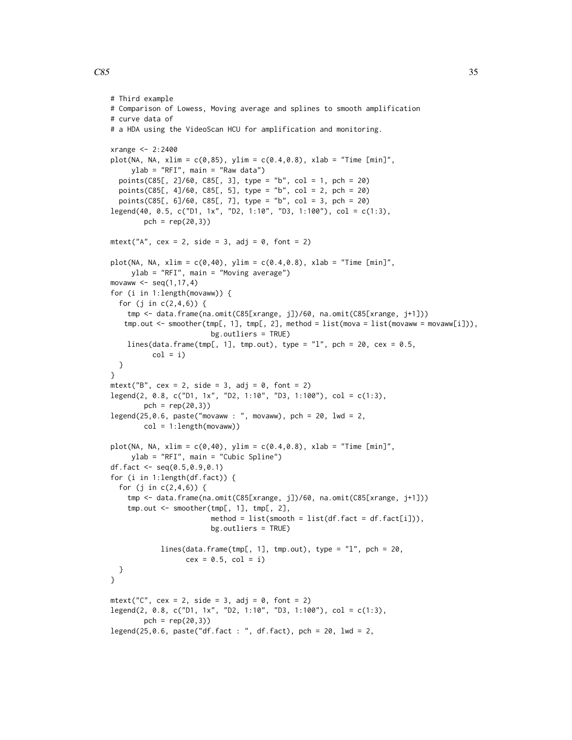```
# Third example
# Comparison of Lowess, Moving average and splines to smooth amplification
# curve data of
# a HDA using the VideoScan HCU for amplification and monitoring.
xrange <- 2:2400
plot(NA, NA, xlim = c(0,85), ylim = c(0.4,0.8), xlab = "Time [min]",
     ylab = "RFI", main = "Raw data")
  points(C85[, 2]/60, C85[, 3], type = "b", col = 1, pch = 20)
  points(C85[, 4]/60, C85[, 5], type = "b", col = 2, pch = 20)
  points(C85[, 6]/60, C85[, 7], type = "b", col = 3, pch = 20)
legend(40, 0.5, c("D1, 1x", "D2, 1:10", "D3, 1:100"), col = c(1:3),pch = rep(20, 3)mtext{text("A", cex = 2, side = 3, adj = 0, font = 2)}plot(NA, NA, xlim = c(0, 40), ylim = c(0.4, 0.8), xlab = "Time [min]",
    ylab = "RFI", main = "Moving average")
movaww \leq seq(1, 17, 4)for (i in 1:length(movaww)) {
  for (j in c(2,4,6)) {
   tmp <- data.frame(na.omit(C85[xrange, j])/60, na.omit(C85[xrange, j+1]))
   tmp.out <- smoother(tmp[, 1], tmp[, 2], method = list(mova = list(movaww = movaww[i])),
                        bg.outliers = TRUE)
    lines(data.frame(tmp[, 1], tmp.out), type = "1", pch = 20, cex = 0.5,
          col = i)}
}
mtext{text("B", cex = 2, side = 3, adj = 0, font = 2)}legend(2, 0.8, c("D1, 1x", "D2, 1:10", "D3, 1:100"), col = c(1:3),
        pch = rep(20,3)legend(25, 0.6, paste("movaww : ", movaww), pch = 20, lwd = 2,col = 1:length(movaww))plot(NA, NA, xlim = c(0, 40), ylim = c(0.4, 0.8), xlab = "Time [min]",
     ylab = "RFI", main = "Cubic Spline")
df.fact <- seq(0.5,0.9,0.1)
for (i in 1:length(df.fact)) {
  for (j in c(2,4,6)) {
    tmp <- data.frame(na.omit(C85[xrange, j])/60, na.omit(C85[xrange, j+1]))
    tmp.out <- smoother(tmp[, 1], tmp[, 2],
                        method = list(smooth = list(df.fact = df.fact[i]),bg.outliers = TRUE)
            lines(data.frame(tmp[, 1], tmp.out), type = "l", pch = 20,
                  cex = 0.5, col = i)
 }
}
mtext{text("C", cex = 2, side = 3, adj = 0, font = 2)}legend(2, 0.8, c("D1, 1x", "D2, 1:10", "D3, 1:100"), col = c(1:3),
        pch = rep(20, 3)legend(25,0.6, paste("df.fact : ", df.fact), pch = 20, lwd = 2,
```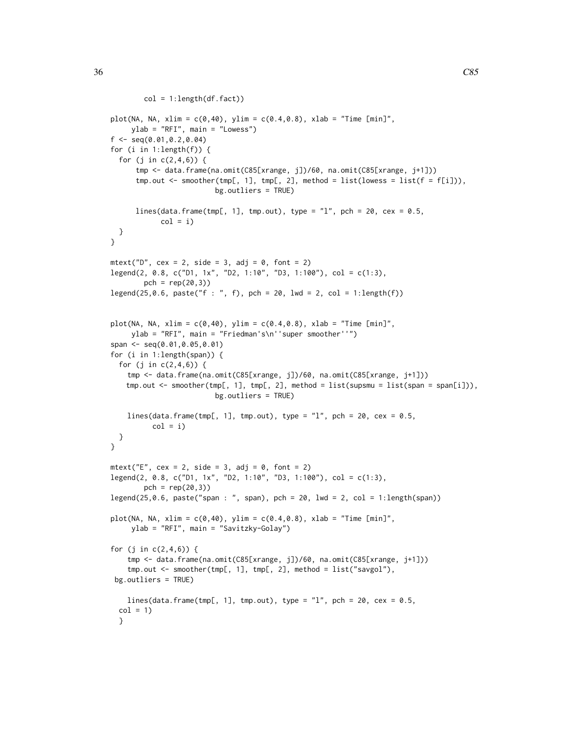```
col = 1: length(df.fact))
plot(NA, NA, xlim = c(0, 40), ylim = c(0.4, 0.8), xlab = "Time [min]",ylab = "RFI", main = "Lowess")
f \leftarrow \text{seq}(0.01, 0.2, 0.04)for (i in 1:length(f)) {
 for (j in c(2,4,6)) {
      tmp <- data.frame(na.omit(C85[xrange, j])/60, na.omit(C85[xrange, j+1]))
      tmp.out \leq smoother(tmp[, 1], tmp[, 2], method = list(lowess = list(f = f[i])),
                         bg.outliers = TRUE)
      lines(data.frame(tmp[, 1], tmp.out), type = "l", pch = 20, cex = 0.5,
            col = i}
}
mtext{text("D", cex = 2, side = 3, adj = 0, font = 2)}legend(2, 0.8, c("D1, 1x", "D2, 1:10", "D3, 1:100"), col = c(1:3),
        pch = rep(20,3)legend(25, 0.6, paste("f : ", f), pch = 20, lwd = 2, col = 1: length(f))plot(NA, NA, xlim = c(0, 40), ylim = c(0.4, 0.8), xlab = "Time [min]",ylab = "RFI", main = "Friedman's\n''super smoother''")
span <- seq(0.01,0.05,0.01)
for (i in 1:length(span)) {
 for (j in c(2,4,6)) {
   tmp <- data.frame(na.omit(C85[xrange, j])/60, na.omit(C85[xrange, j+1]))
   tmp.out <- smoother(tmp[, 1], tmp[, 2], method = list(supsmu = list(span = span[i])),
                         bg.outliers = TRUE)
   lines(data.frame(tmp[, 1], tmp.out), type = "l", pch = 20, cex = 0.5,
          col = i)}
}
mtext{text("E", cex = 2, side = 3, adj = 0, font = 2)}legend(2, 0.8, c("D1, 1x", "D2, 1:10", "D3, 1:100"), col = c(1:3),pch = rep(20, 3)legend(25, 0.6, paste("span : ", span), pch = 20, lwd = 2, col = 1:length(span))plot(NA, NA, xlim = c(0, 40), ylim = c(0.4, 0.8), xlab = "Time [min]",ylab = "RFI", main = "Savitzky-Golay")
for (j in c(2,4,6)) {
    tmp <- data.frame(na.omit(C85[xrange, j])/60, na.omit(C85[xrange, j+1]))
    tmp.out <- smoother(tmp[, 1], tmp[, 2], method = list("savgol"),
 bg.outliers = TRUE)
   lines(data.frame(tmp[, 1], tmp.out), type = "l", pch = 20, cex = 0.5,
 col = 1
```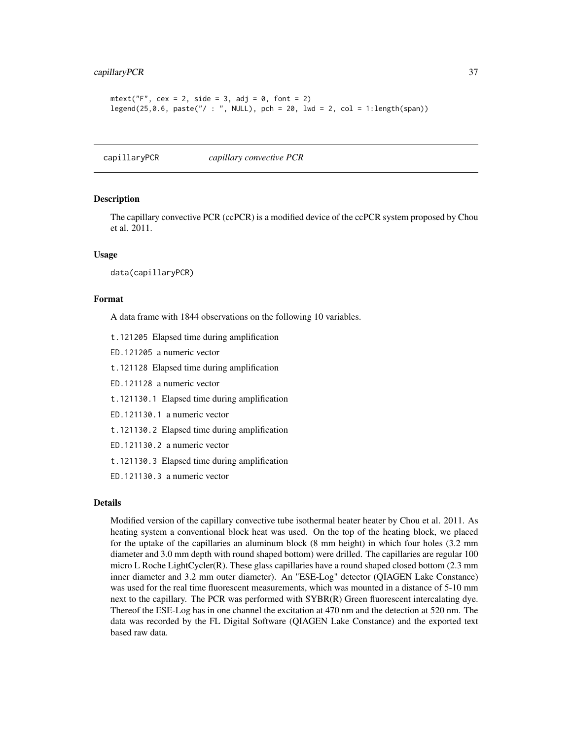## capillaryPCR 37

```
mtext{text("F", cex = 2, side = 3, adj = 0, font = 2)}legend(25, 0.6, paste(" / : ", NULL), pch = 20, lwd = 2, col = 1: length(span))
```
<span id="page-36-0"></span>capillaryPCR *capillary convective PCR*

#### Description

The capillary convective PCR (ccPCR) is a modified device of the ccPCR system proposed by Chou et al. 2011.

#### Usage

data(capillaryPCR)

# Format

A data frame with 1844 observations on the following 10 variables.

t.121205 Elapsed time during amplification

ED.121205 a numeric vector

t.121128 Elapsed time during amplification

ED.121128 a numeric vector

t.121130.1 Elapsed time during amplification

ED.121130.1 a numeric vector

t.121130.2 Elapsed time during amplification

ED.121130.2 a numeric vector

t.121130.3 Elapsed time during amplification

ED.121130.3 a numeric vector

#### Details

Modified version of the capillary convective tube isothermal heater heater by Chou et al. 2011. As heating system a conventional block heat was used. On the top of the heating block, we placed for the uptake of the capillaries an aluminum block (8 mm height) in which four holes (3.2 mm diameter and 3.0 mm depth with round shaped bottom) were drilled. The capillaries are regular 100 micro L Roche LightCycler(R). These glass capillaries have a round shaped closed bottom (2.3 mm inner diameter and 3.2 mm outer diameter). An "ESE-Log" detector (QIAGEN Lake Constance) was used for the real time fluorescent measurements, which was mounted in a distance of 5-10 mm next to the capillary. The PCR was performed with SYBR(R) Green fluorescent intercalating dye. Thereof the ESE-Log has in one channel the excitation at 470 nm and the detection at 520 nm. The data was recorded by the FL Digital Software (QIAGEN Lake Constance) and the exported text based raw data.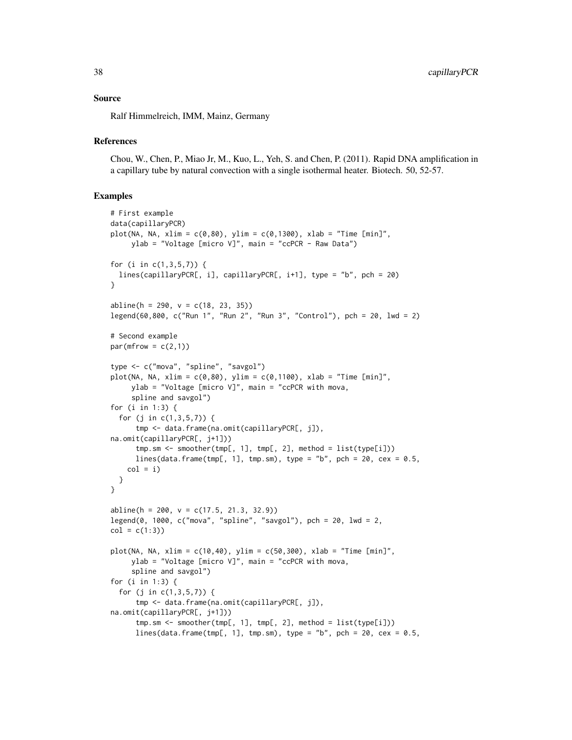#### Source

Ralf Himmelreich, IMM, Mainz, Germany

## **References**

Chou, W., Chen, P., Miao Jr, M., Kuo, L., Yeh, S. and Chen, P. (2011). Rapid DNA amplification in a capillary tube by natural convection with a single isothermal heater. Biotech. 50, 52-57.

```
# First example
data(capillaryPCR)
plot(NA, NA, xlim = c(0, 80), ylim = c(0, 1300), xlab = "Time [min]",ylab = "Voltage [micro V]", main = "ccPCR - Raw Data")
for (i in c(1,3,5,7)) {
  lines(capillaryPCR[, i], capillaryPCR[, i+1], type = "b", pch = 20)
}
abline(h = 290, v = c(18, 23, 35))legend(60,800, c("Run 1", "Run 2", "Run 3", "Control"), pch = 20, lwd = 2)
# Second example
par(mfrow = c(2,1))type <- c("mova", "spline", "savgol")
plot(NA, NA, xlim = c(0,80), ylim = c(0,1100), xlab = "Time [min]",
     ylab = "Voltage [micro V]", main = "ccPCR with mova,
     spline and savgol")
for (i in 1:3) {
  for (j in c(1,3,5,7)) {
      tmp <- data.frame(na.omit(capillaryPCR[, j]),
na.omit(capillaryPCR[, j+1]))
      tmp.sm <- smoother(tmp[, 1], tmp[, 2], method = list(type[i]))
      lines(data.frame(tmp[, 1], tmp.sm), type = "b", pch = 20, cex = 0.5,
    col = i}
}
abline(h = 200, v = c(17.5, 21.3, 32.9))legend(0, 1000, c("mova", "spline", "savgol"), pch = 20, lwd = 2,
col = c(1:3)plot(NA, NA, xlim = c(10,40), ylim = c(50,300), xlab = "Time [min]",
     ylab = "Voltage [micro V]", main = "ccPCR with mova,
     spline and savgol")
for (i in 1:3) {
  for (j in c(1,3,5,7)) {
      tmp <- data.frame(na.omit(capillaryPCR[, j]),
na.omit(capillaryPCR[, j+1]))
      tmp.sm \leq smoother(tmp[, 1], tmp[, 2], method = list(type[i]))lines(data.frame(tmp[, 1], tmp.sm), type = "b", pch = 20, cex = 0.5,
```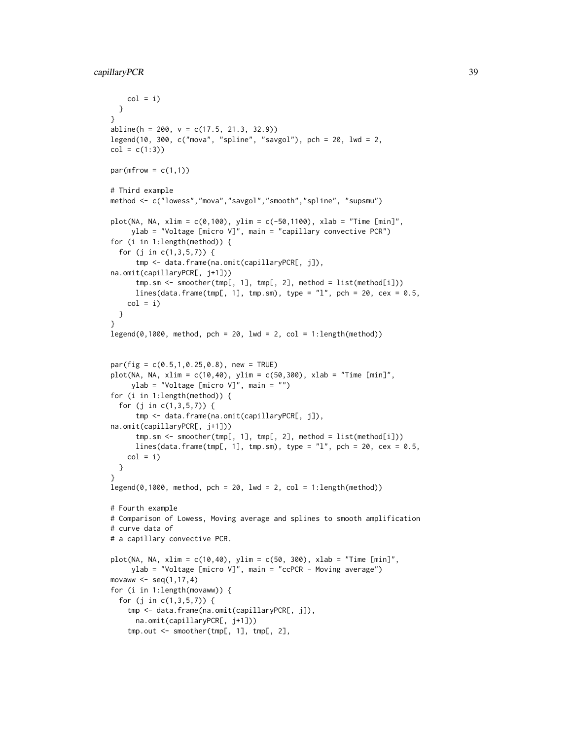```
col = i)}
}
abline(h = 200, v = c(17.5, 21.3, 32.9))legend(10, 300, c("mova", "spline", "savgol"), pch = 20, lwd = 2,
col = c(1:3)par(mfrow = c(1,1))# Third example
method <- c("lowess","mova","savgol","smooth","spline", "supsmu")
plot(NA, NA, xlim = c(0, 100), ylim = c(-50, 1100), xlab = "Time [min]",ylab = "Voltage [micro V]", main = "capillary convective PCR")
for (i in 1:length(method)) {
  for (j in c(1,3,5,7)) {
      tmp <- data.frame(na.omit(capillaryPCR[, j]),
na.omit(capillaryPCR[, j+1]))
      tmp.sm <- smoother(tmp[, 1], tmp[, 2], method = list(method[i]))
      lines(data.frame(tmp[, 1], tmp.sm), type = "1", pch = 20, cex = 0.5,
    col = i)}
}
legend(0,1000, method, pch = 20, lwd = 2, col = 1: length(method))par(fig = c(0.5, 1, 0.25, 0.8), new = TRUE)
plot(NA, NA, xlim = c(10, 40), ylim = c(50, 300), xlab = "Time [min]",ylab = "Voltage [micro V]", main = "")
for (i in 1:length(method)) {
  for (j in c(1,3,5,7)) {
      tmp <- data.frame(na.omit(capillaryPCR[, j]),
na.omit(capillaryPCR[, j+1]))
      tmp.sm \leq smoother(tmp[, 1], tmp[, 2], method = list(method[i]))lines(data.frame(tmp[, 1], tmp.sm), type = "1", pch = 20, cex = 0.5,
    col = i)}
}
legend(0,1000, method, pch = 20, lwd = 2, col = 1: length(method))# Fourth example
# Comparison of Lowess, Moving average and splines to smooth amplification
# curve data of
# a capillary convective PCR.
plot(NA, NA, xlim = c(10, 40), ylim = c(50, 300), xlab = "Time [min]",ylab = "Voltage [micro V]", main = "ccPCR - Moving average")
movaww \leq seq(1, 17, 4)for (i in 1:length(movaww)) {
  for (j in c(1,3,5,7)) {
    tmp <- data.frame(na.omit(capillaryPCR[, j]),
     na.omit(capillaryPCR[, j+1]))
    tmp.out <- smoother(tmp[, 1], tmp[, 2],
```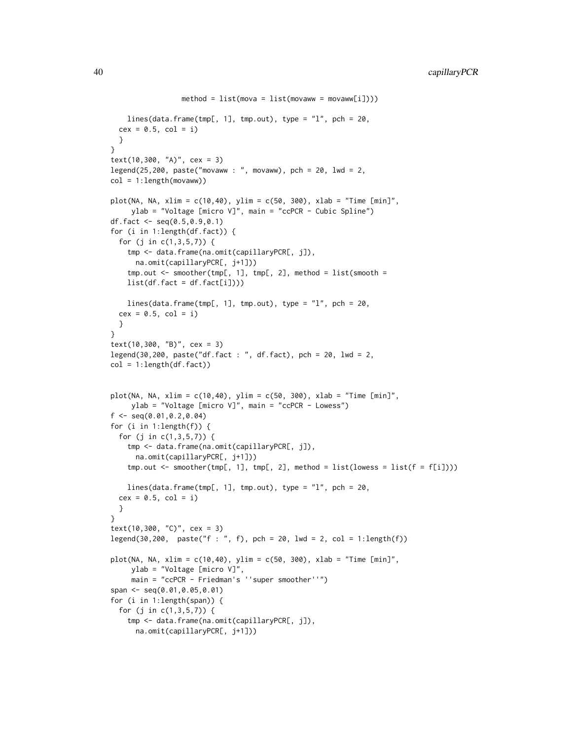```
method = list(mova = list(movaww = movaww[i]))lines(data.frame(tmp[, 1], tmp.out), type = "1", pch = 20,
  cex = 0.5, col = i)
  }
}
text(10,300, 'A)', cex = 3)legend(25,200, paste("movaww : ", movaww), pch = 20, lwd = 2,
col = 1:length(movaww)plot(NA, NA, xlim = c(10, 40), ylim = c(50, 300), xlab = "Time [min]",ylab = "Voltage [micro V]", main = "ccPCR - Cubic Spline")
df.fact <- seq(0.5, 0.9, 0.1)for (i in 1:length(df.fact)) {
  for (j in c(1,3,5,7)) {
    tmp <- data.frame(na.omit(capillaryPCR[, j]),
      na.omit(capillaryPCR[, j+1]))
    tmp.out <- smoother(tmp[, 1], tmp[, 2], method = list(smooth =
   list(df.fact = df.fact[i]))lines(data.frame(tmp[, 1], tmp.out), type = "1", pch = 20,
  cex = 0.5, col = i)
  }
}
text(10,300, "B)", cex = 3)
legend(30,200, paste("df.fact : ", df.fact), pch = 20, lwd = 2,
col = 1: length(df.fact))
plot(NA, NA, xlim = c(10, 40), ylim = c(50, 300), xlab = "Time [min]",ylab = "Voltage [micro V]", main = "ccPCR - Lowess")
f \leftarrow \text{seq}(0.01, 0.2, 0.04)for (i in 1:length(f)) {
  for (j in c(1,3,5,7)) {
    tmp <- data.frame(na.omit(capillaryPCR[, j]),
      na.omit(capillaryPCR[, j+1]))
    tmp.out <- smoother(tmp[, 1], tmp[, 2], method = list(lowess = list(f = f[i])))
    lines(data.frame(tmp[, 1], tmp.out), type = "1", pch = 20,
  cex = 0.5, col = i)
  }
}
text(10,300, "C)", cex = 3)
legend(30, 200, paste("f : ", f), pch = 20, lwd = 2, col = 1: length(f))plot(NA, NA, xlim = c(10, 40), ylim = c(50, 300), xlab = "Time [min]",ylab = "Voltage [micro V]",
     main = "ccPCR - Friedman's ''super smoother''")
span <- seq(0.01,0.05,0.01)
for (i in 1:length(span)) {
  for (j in c(1,3,5,7)) {
    tmp <- data.frame(na.omit(capillaryPCR[, j]),
      na.omit(capillaryPCR[, j+1]))
```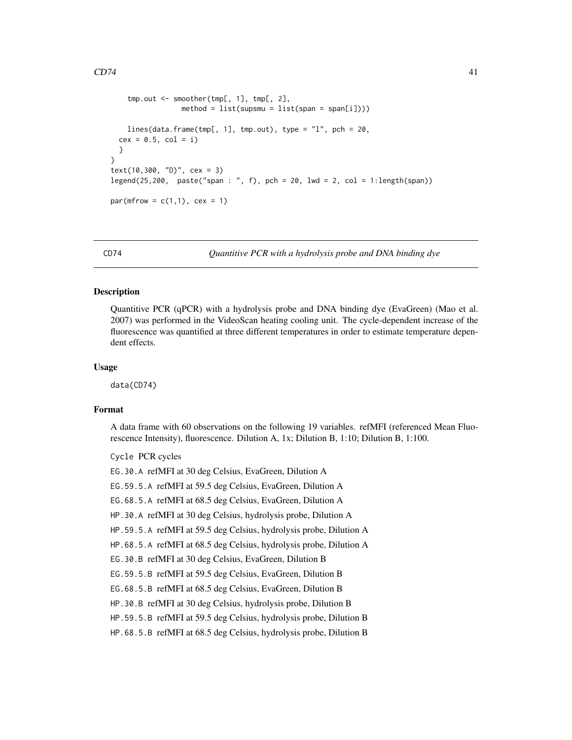```
tmp.out <- smoother(tmp[, 1], tmp[, 2],
                method = list(supsmu = list(span = span[i]))lines(data.frame(tmp[, 1], tmp.out), type = "l", pch = 20,
 cex = 0.5, col = i)
 }
}
text(10,300, "D)", cex = 3)
legend(25,200, paste("span : ", f), pch = 20, lwd = 2, col = 1:length(span))
par(mfrow = c(1,1), cex = 1)
```
<span id="page-40-0"></span>CD74 *Quantitive PCR with a hydrolysis probe and DNA binding dye*

# Description

Quantitive PCR (qPCR) with a hydrolysis probe and DNA binding dye (EvaGreen) (Mao et al. 2007) was performed in the VideoScan heating cooling unit. The cycle-dependent increase of the fluorescence was quantified at three different temperatures in order to estimate temperature dependent effects.

## Usage

data(CD74)

#### Format

A data frame with 60 observations on the following 19 variables. refMFI (referenced Mean Fluorescence Intensity), fluorescence. Dilution A, 1x; Dilution B, 1:10; Dilution B, 1:100.

Cycle PCR cycles

EG.30.A refMFI at 30 deg Celsius, EvaGreen, Dilution A

EG.59.5.A refMFI at 59.5 deg Celsius, EvaGreen, Dilution A

EG.68.5.A refMFI at 68.5 deg Celsius, EvaGreen, Dilution A

HP.30.A refMFI at 30 deg Celsius, hydrolysis probe, Dilution A

HP.59.5.A refMFI at 59.5 deg Celsius, hydrolysis probe, Dilution A

HP.68.5.A refMFI at 68.5 deg Celsius, hydrolysis probe, Dilution A

EG.30.B refMFI at 30 deg Celsius, EvaGreen, Dilution B

EG.59.5.B refMFI at 59.5 deg Celsius, EvaGreen, Dilution B

EG.68.5.B refMFI at 68.5 deg Celsius, EvaGreen, Dilution B

HP.30.B refMFI at 30 deg Celsius, hydrolysis probe, Dilution B

HP.59.5.B refMFI at 59.5 deg Celsius, hydrolysis probe, Dilution B

HP.68.5.B refMFI at 68.5 deg Celsius, hydrolysis probe, Dilution B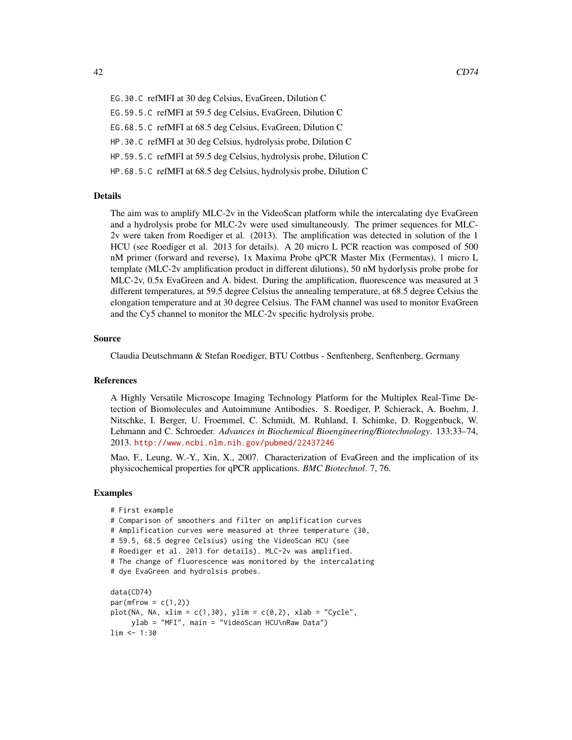EG.30.C refMFI at 30 deg Celsius, EvaGreen, Dilution C EG.59.5.C refMFI at 59.5 deg Celsius, EvaGreen, Dilution C EG.68.5.C refMFI at 68.5 deg Celsius, EvaGreen, Dilution C HP.30.C refMFI at 30 deg Celsius, hydrolysis probe, Dilution C HP.59.5.C refMFI at 59.5 deg Celsius, hydrolysis probe, Dilution C HP.68.5.C refMFI at 68.5 deg Celsius, hydrolysis probe, Dilution C

## Details

The aim was to amplify MLC-2v in the VideoScan platform while the intercalating dye EvaGreen and a hydrolysis probe for MLC-2v were used simultaneously. The primer sequences for MLC-2v were taken from Roediger et al. (2013). The amplification was detected in solution of the 1 HCU (see Roediger et al. 2013 for details). A 20 micro L PCR reaction was composed of 500 nM primer (forward and reverse), 1x Maxima Probe qPCR Master Mix (Fermentas), 1 micro L template (MLC-2v amplification product in different dilutions), 50 nM hydorlysis probe probe for MLC-2v, 0.5x EvaGreen and A. bidest. During the amplification, fluorescence was measured at 3 different temperatures, at 59.5 degree Celsius the annealing temperature, at 68.5 degree Celsius the elongation temperature and at 30 degree Celsius. The FAM channel was used to monitor EvaGreen and the Cy5 channel to monitor the MLC-2v specific hydrolysis probe.

## Source

Claudia Deutschmann & Stefan Roediger, BTU Cottbus - Senftenberg, Senftenberg, Germany

# References

A Highly Versatile Microscope Imaging Technology Platform for the Multiplex Real-Time Detection of Biomolecules and Autoimmune Antibodies. S. Roediger, P. Schierack, A. Boehm, J. Nitschke, I. Berger, U. Froemmel, C. Schmidt, M. Ruhland, I. Schimke, D. Roggenbuck, W. Lehmann and C. Schroeder. *Advances in Biochemical Bioengineering/Biotechnology*. 133:33–74, 2013. <http://www.ncbi.nlm.nih.gov/pubmed/22437246>

Mao, F., Leung, W.-Y., Xin, X., 2007. Characterization of EvaGreen and the implication of its physicochemical properties for qPCR applications. *BMC Biotechnol*. 7, 76.

```
# First example
# Comparison of smoothers and filter on amplification curves
# Amplification curves were measured at three temperature (30,
# 59.5, 68.5 degree Celsius) using the VideoScan HCU (see
# Roediger et al. 2013 for details). MLC-2v was amplified.
# The change of fluorescence was monitored by the intercalating
# dye EvaGreen and hydrolsis probes.
data(CD74)
par(mfrow = c(1,2))plot(NA, NA, xlim = c(1,30), ylim = c(0,2), xlab = "Cycle",ylab = "MFI", main = "VideoScan HCU\nRaw Data")
```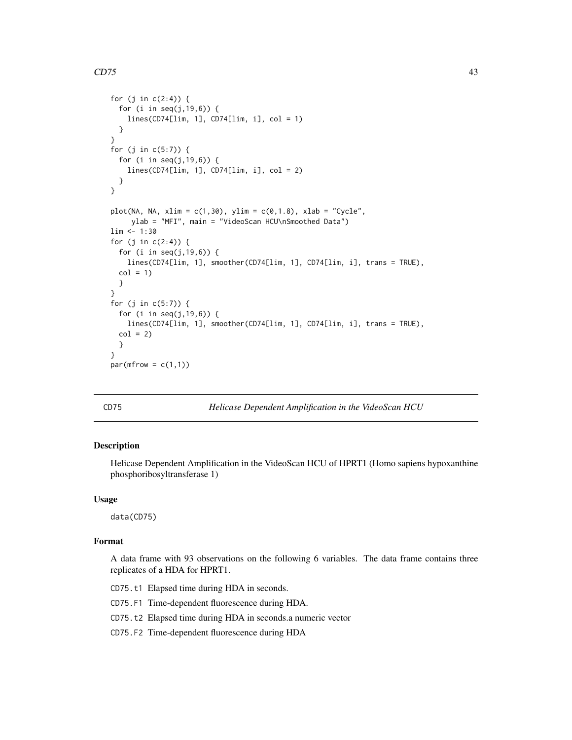```
for (j in c(2:4)) {
 for (i in seq(j,19,6)) {
   lines(CD74[lim, 1], CD74[lim, i], col = 1)
 }
}
for (j in c(5:7)) {
 for (i in seq(j,19,6)) {
   lines(CD74[lim, 1], CD74[lim, i], col = 2)
 }
}
plot(NA, NA, xlim = c(1,30), ylim = c(0,1.8), xlab = "Cycle",ylab = "MFI", main = "VideoScan HCU\nSmoothed Data")
lim <- 1:30
for (j in c(2:4)) {
 for (i in seq(j,19,6)) {
   lines(CD74[lim, 1], smoother(CD74[lim, 1], CD74[lim, i], trans = TRUE),
 col = 1}
}
for (j in c(5:7)) {
 for (i in seq(j,19,6)) {
   lines(CD74[lim, 1], smoother(CD74[lim, 1], CD74[lim, i], trans = TRUE),
 col = 2}
}
par(mfrow = c(1,1))
```
<span id="page-42-0"></span>

CD75 *Helicase Dependent Amplification in the VideoScan HCU*

# Description

Helicase Dependent Amplification in the VideoScan HCU of HPRT1 (Homo sapiens hypoxanthine phosphoribosyltransferase 1)

#### Usage

data(CD75)

## Format

A data frame with 93 observations on the following 6 variables. The data frame contains three replicates of a HDA for HPRT1.

CD75.t1 Elapsed time during HDA in seconds.

CD75.F1 Time-dependent fluorescence during HDA.

CD75.t2 Elapsed time during HDA in seconds.a numeric vector

CD75.F2 Time-dependent fluorescence during HDA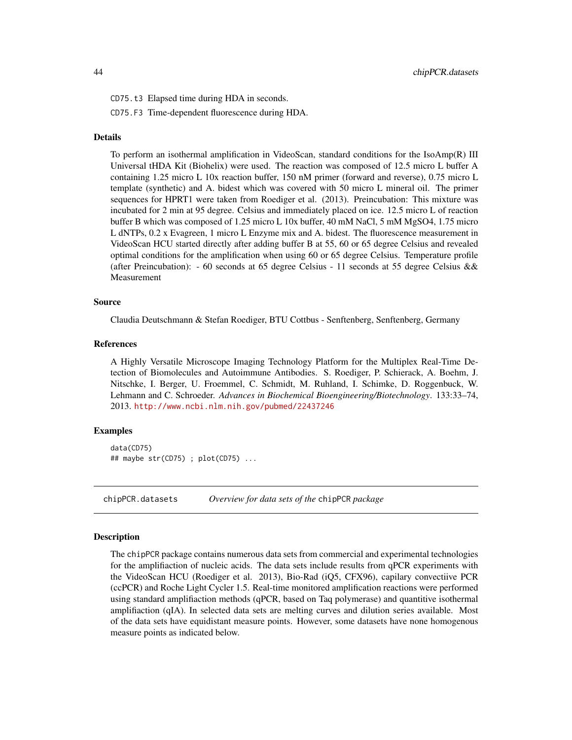CD75.t3 Elapsed time during HDA in seconds.

CD75.F3 Time-dependent fluorescence during HDA.

## Details

To perform an isothermal amplification in VideoScan, standard conditions for the IsoAmp(R) III Universal tHDA Kit (Biohelix) were used. The reaction was composed of 12.5 micro L buffer A containing 1.25 micro L 10x reaction buffer, 150 nM primer (forward and reverse), 0.75 micro L template (synthetic) and A. bidest which was covered with 50 micro L mineral oil. The primer sequences for HPRT1 were taken from Roediger et al. (2013). Preincubation: This mixture was incubated for 2 min at 95 degree. Celsius and immediately placed on ice. 12.5 micro L of reaction buffer B which was composed of 1.25 micro L 10x buffer, 40 mM NaCl, 5 mM MgSO4, 1.75 micro L dNTPs, 0.2 x Evagreen, 1 micro L Enzyme mix and A. bidest. The fluorescence measurement in VideoScan HCU started directly after adding buffer B at 55, 60 or 65 degree Celsius and revealed optimal conditions for the amplification when using 60 or 65 degree Celsius. Temperature profile (after Preincubation): - 60 seconds at 65 degree Celsius - 11 seconds at 55 degree Celsius && Measurement

## Source

Claudia Deutschmann & Stefan Roediger, BTU Cottbus - Senftenberg, Senftenberg, Germany

## References

A Highly Versatile Microscope Imaging Technology Platform for the Multiplex Real-Time Detection of Biomolecules and Autoimmune Antibodies. S. Roediger, P. Schierack, A. Boehm, J. Nitschke, I. Berger, U. Froemmel, C. Schmidt, M. Ruhland, I. Schimke, D. Roggenbuck, W. Lehmann and C. Schroeder. *Advances in Biochemical Bioengineering/Biotechnology*. 133:33–74, 2013. <http://www.ncbi.nlm.nih.gov/pubmed/22437246>

## Examples

data(CD75) ## maybe str(CD75) ; plot(CD75) ...

chipPCR.datasets *Overview for data sets of the* chipPCR *package*

#### **Description**

The chipPCR package contains numerous data sets from commercial and experimental technologies for the amplifiaction of nucleic acids. The data sets include results from qPCR experiments with the VideoScan HCU (Roediger et al. 2013), Bio-Rad (iQ5, CFX96), capilary convectiive PCR (ccPCR) and Roche Light Cycler 1.5. Real-time monitored amplification reactions were performed using standard amplifiaction methods (qPCR, based on Taq polymerase) and quantitive isothermal amplifiaction (qIA). In selected data sets are melting curves and dilution series available. Most of the data sets have equidistant measure points. However, some datasets have none homogenous measure points as indicated below.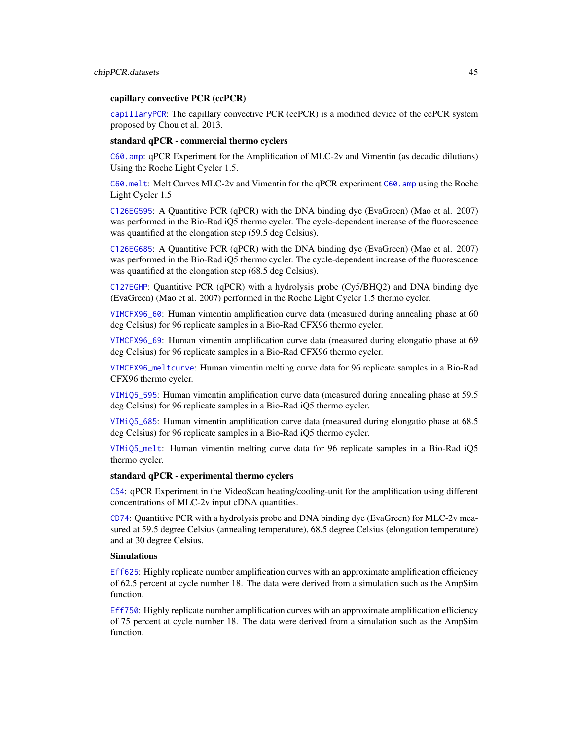#### capillary convective PCR (ccPCR)

[capillaryPCR](#page-36-0): The capillary convective PCR (ccPCR) is a modified device of the ccPCR system proposed by Chou et al. 2013.

#### standard qPCR - commercial thermo cyclers

[C60.amp](#page-25-0): qPCR Experiment for the Amplification of MLC-2v and Vimentin (as decadic dilutions) Using the Roche Light Cycler 1.5.

[C60.melt](#page-27-0): Melt Curves MLC-2v and Vimentin for the qPCR experiment [C60.amp](#page-25-0) using the Roche Light Cycler 1.5

[C126EG595](#page-17-0): A Quantitive PCR (qPCR) with the DNA binding dye (EvaGreen) (Mao et al. 2007) was performed in the Bio-Rad iQ5 thermo cycler. The cycle-dependent increase of the fluorescence was quantified at the elongation step (59.5 deg Celsius).

[C126EG685](#page-18-0): A Quantitive PCR (qPCR) with the DNA binding dye (EvaGreen) (Mao et al. 2007) was performed in the Bio-Rad iQ5 thermo cycler. The cycle-dependent increase of the fluorescence was quantified at the elongation step (68.5 deg Celsius).

[C127EGHP](#page-19-0): Quantitive PCR (qPCR) with a hydrolysis probe (Cy5/BHQ2) and DNA binding dye (EvaGreen) (Mao et al. 2007) performed in the Roche Light Cycler 1.5 thermo cycler.

[VIMCFX96\\_60](#page-86-0): Human vimentin amplification curve data (measured during annealing phase at 60 deg Celsius) for 96 replicate samples in a Bio-Rad CFX96 thermo cycler.

[VIMCFX96\\_69](#page-87-0): Human vimentin amplification curve data (measured during elongatio phase at 69 deg Celsius) for 96 replicate samples in a Bio-Rad CFX96 thermo cycler.

[VIMCFX96\\_meltcurve](#page-88-0): Human vimentin melting curve data for 96 replicate samples in a Bio-Rad CFX96 thermo cycler.

[VIMiQ5\\_595](#page-89-0): Human vimentin amplification curve data (measured during annealing phase at 59.5 deg Celsius) for 96 replicate samples in a Bio-Rad iQ5 thermo cycler.

[VIMiQ5\\_685](#page-90-0): Human vimentin amplification curve data (measured during elongatio phase at 68.5 deg Celsius) for 96 replicate samples in a Bio-Rad iQ5 thermo cycler.

[VIMiQ5\\_melt](#page-91-0): Human vimentin melting curve data for 96 replicate samples in a Bio-Rad iQ5 thermo cycler.

#### standard qPCR - experimental thermo cyclers

[C54](#page-24-0): qPCR Experiment in the VideoScan heating/cooling-unit for the amplification using different concentrations of MLC-2v input cDNA quantities.

[CD74](#page-40-0): Quantitive PCR with a hydrolysis probe and DNA binding dye (EvaGreen) for MLC-2v measured at 59.5 degree Celsius (annealing temperature), 68.5 degree Celsius (elongation temperature) and at 30 degree Celsius.

## Simulations

[Eff625](#page-54-0): Highly replicate number amplification curves with an approximate amplification efficiency of 62.5 percent at cycle number 18. The data were derived from a simulation such as the AmpSim function.

[Eff750](#page-55-0): Highly replicate number amplification curves with an approximate amplification efficiency of 75 percent at cycle number 18. The data were derived from a simulation such as the AmpSim function.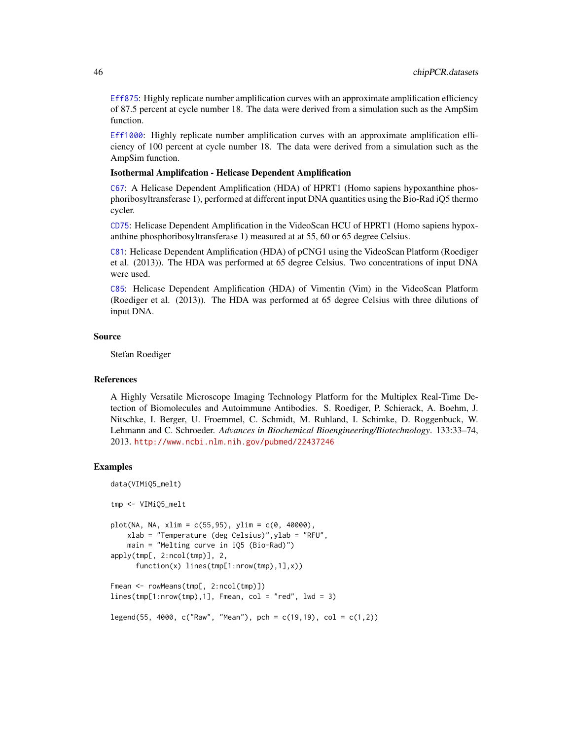[Eff875](#page-56-0): Highly replicate number amplification curves with an approximate amplification efficiency of 87.5 percent at cycle number 18. The data were derived from a simulation such as the AmpSim function.

[Eff1000](#page-54-1): Highly replicate number amplification curves with an approximate amplification efficiency of 100 percent at cycle number 18. The data were derived from a simulation such as the AmpSim function.

## Isothermal Amplifcation - Helicase Dependent Amplification

[C67](#page-29-0): A Helicase Dependent Amplification (HDA) of HPRT1 (Homo sapiens hypoxanthine phosphoribosyltransferase 1), performed at different input DNA quantities using the Bio-Rad iQ5 thermo cycler.

[CD75](#page-42-0): Helicase Dependent Amplification in the VideoScan HCU of HPRT1 (Homo sapiens hypoxanthine phosphoribosyltransferase 1) measured at at 55, 60 or 65 degree Celsius.

[C81](#page-31-0): Helicase Dependent Amplification (HDA) of pCNG1 using the VideoScan Platform (Roediger et al. (2013)). The HDA was performed at 65 degree Celsius. Two concentrations of input DNA were used.

[C85](#page-32-0): Helicase Dependent Amplification (HDA) of Vimentin (Vim) in the VideoScan Platform (Roediger et al. (2013)). The HDA was performed at 65 degree Celsius with three dilutions of input DNA.

#### Source

Stefan Roediger

## References

A Highly Versatile Microscope Imaging Technology Platform for the Multiplex Real-Time Detection of Biomolecules and Autoimmune Antibodies. S. Roediger, P. Schierack, A. Boehm, J. Nitschke, I. Berger, U. Froemmel, C. Schmidt, M. Ruhland, I. Schimke, D. Roggenbuck, W. Lehmann and C. Schroeder. *Advances in Biochemical Bioengineering/Biotechnology*. 133:33–74, 2013. <http://www.ncbi.nlm.nih.gov/pubmed/22437246>

```
data(VIMiQ5_melt)
tmp <- VIMiQ5_melt
plot(NA, NA, xlim = c(55,95), ylim = c(0, 40000),
    xlab = "Temperature (deg Celsius)",ylab = "RFU",
    main = "Melting curve in iQ5 (Bio-Rad)")
apply(tmp[, 2:ncol(tmp)], 2,
     function(x) lines(tmp[1:nrow(tmp),1],x))
Fmean <- rowMeans(tmp[, 2:ncol(tmp)])
lines(tmp[1:nrow(tmp),1], Fmean, col = "red", lwd = 3)legend(55, 4000, c("Raw", "Mean"), pch = c(19,19), col = c(1,2))
```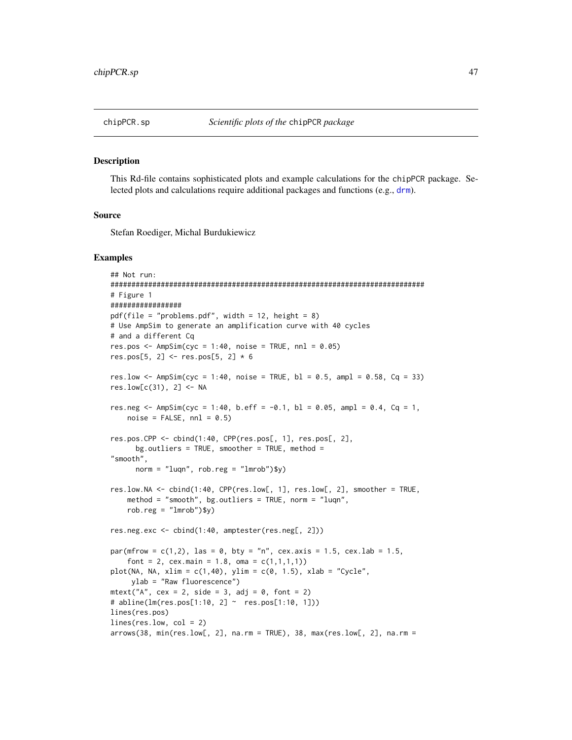#### Description

This Rd-file contains sophisticated plots and example calculations for the chipPCR package. Selected plots and calculations require additional packages and functions (e.g., [drm](#page-0-0)).

#### Source

Stefan Roediger, Michal Burdukiewicz

```
## Not run:
###########################################################################
# Figure 1
#################
pdf(file = "problems.pdf", width = 12, height = 8)# Use AmpSim to generate an amplification curve with 40 cycles
# and a different Cq
res.pos \leq AmpSim(cyc = 1:40, noise = TRUE, nnl = 0.05)
res.pos[5, 2] <- res.pos[5, 2] * 6
res.low \leq AmpSim(cyc = 1:40, noise = TRUE, bl = 0.5, ampl = 0.58, Cq = 33)
res.low[c(31), 2] <- NA
res.neg <- AmpSim(cyc = 1:40, b.eff = -0.1, bl = 0.05, ampl = 0.4, Cq = 1,
   noise = FALSE, nn1 = 0.5)res.pos.CPP <- cbind(1:40, CPP(res.pos[, 1], res.pos[, 2],
      bg.outliers = TRUE, smoother = TRUE, method ="smooth",
      norm = "luqn", rob.read = "lmrob")$y)
res.low.NA <- cbind(1:40, CPP(res.low[, 1], res.low[, 2], smoother = TRUE,
    method = "smooth", bg.outliers = TRUE, norm = "luqn",
    rob.reg = "lmrob")$y)
res.neg.exc <- cbind(1:40, amptester(res.neg[, 2]))
par(mfrow = c(1,2), las = 0, bty = "n", cex.axis = 1.5, cex.lab = 1.5,
    font = 2, cex.main = 1.8, oma = c(1,1,1,1))
plot(NA, NA, xlim = c(1,40), ylim = c(0, 1.5), xlab = "Cycle",ylab = "Raw fluorescence")
mtext{text("A", cex = 2, side = 3, adj = 0, font = 2)}# abline(lm(res.pos[1:10, 2] ~ res.pos[1:10, 1]))
lines(res.pos)
lines(res.low, col = 2)
arrows(38, min(res.low[, 2], na.rm = TRUE), 38, max(res.low[, 2], na.rm =
```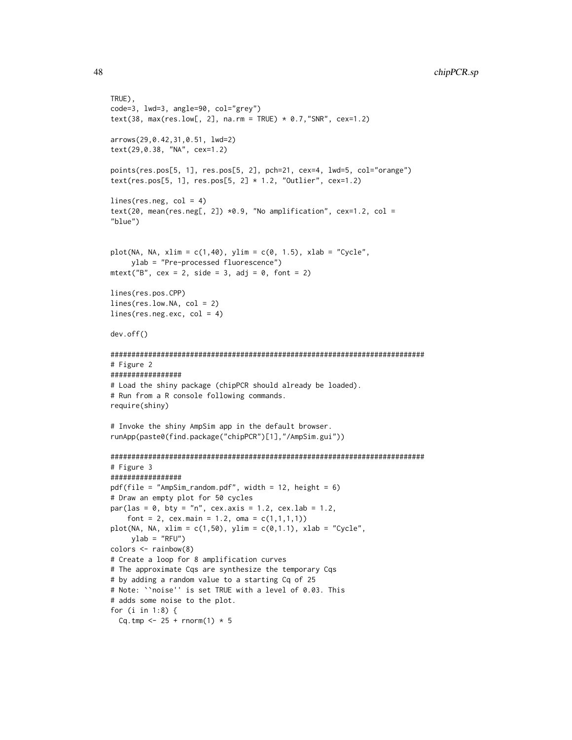```
TRUE),
code=3, lwd=3, angle=90, col="grey")
text(38, max(res.low[, 2], na.rm = TRUE) * 0.7,"SNR", cex=1.2)
arrows(29,0.42,31,0.51, lwd=2)
text(29,0.38, "NA", cex=1.2)
points(res.pos[5, 1], res.pos[5, 2], pch=21, cex=4, lwd=5, col="orange")
text(res.pos[5, 1], res.pos[5, 2] * 1.2, "Outlier", cex=1.2)lines(res.neg, col = 4)text(20, mean(res.neg[, 2]) *0.9, "No amplification", cex=1.2, col =
"blue")
plot(NA, NA, xlim = c(1,40), ylim = c(0, 1.5), xlab = "Cycle",ylab = "Pre-processed fluorescence")
mtext{text("B", cex = 2, side = 3, adj = 0, font = 2)}lines(res.pos.CPP)
lines(res.low.NA, col = 2)
lines(res.neg.exc, col = 4)
dev.off()
###########################################################################
# Figure 2
#################
# Load the shiny package (chipPCR should already be loaded).
# Run from a R console following commands.
require(shiny)
# Invoke the shiny AmpSim app in the default browser.
runApp(paste0(find.package("chipPCR")[1],"/AmpSim.gui"))
###########################################################################
# Figure 3
#################
pdf(file = "AmpSim_random.pdf", width = 12, height = 6)
# Draw an empty plot for 50 cycles
par(las = 0, bty = "n", cex.axis = 1.2, cex.lab = 1.2,font = 2, cex.main = 1.2, oma = c(1,1,1,1)plot(NA, NA, xlim = c(1,50), ylim = c(0,1.1), xlab = "Cycle",ylab = "RFU")
colors <- rainbow(8)
# Create a loop for 8 amplification curves
# The approximate Cqs are synthesize the temporary Cqs
# by adding a random value to a starting Cq of 25
# Note: ``noise'' is set TRUE with a level of 0.03. This
# adds some noise to the plot.
for (i in 1:8) {
  Cq.tmp <- 25 + rnorm(1) * 5
```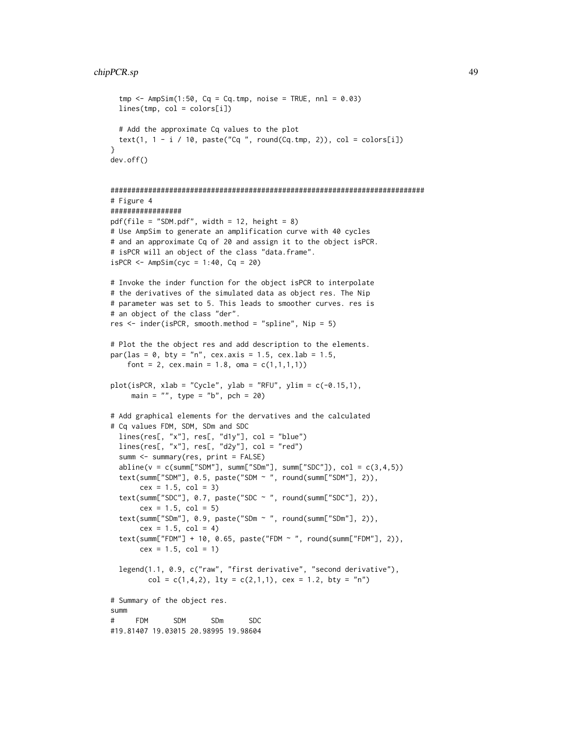```
tmp \leftarrow AmpSim(1:50, Cq = Cq.tmp, noise = TRUE, nn1 = 0.03)lines(tmp, col = colors[i])# Add the approximate Cq values to the plot
  text(1, 1 - i / 10, paste("Cq ", round(Cq.tmp, 2)), col = colors[i])
}
dev.off()
###########################################################################
# Figure 4
#################
pdf(file = "SDM.pdf", width = 12, height = 8)# Use AmpSim to generate an amplification curve with 40 cycles
# and an approximate Cq of 20 and assign it to the object isPCR.
# isPCR will an object of the class "data.frame".
isPCR \leftarrow AmpSim(cyc = 1:40, Cq = 20)# Invoke the inder function for the object isPCR to interpolate
# the derivatives of the simulated data as object res. The Nip
# parameter was set to 5. This leads to smoother curves. res is
# an object of the class "der".
res <- inder(isPCR, smooth.method = "spline", Nip = 5)
# Plot the the object res and add description to the elements.
par(las = 0, bty = "n", cex. axis = 1.5, cex. lab = 1.5,font = 2, cex.main = 1.8, oma = c(1,1,1,1))
plot(isPCR, xlab = "Cycle", ylab = "RFU", ylim = c(-0.15,1),main = "", type = "b", pch = 20)
# Add graphical elements for the dervatives and the calculated
# Cq values FDM, SDM, SDm and SDC
  lines(res[, "x"], res[, "d1y"], col = "blue")lines(res[, "x"], res[, "d2y"], col = "red")
  summ <- summary(res, print = FALSE)
  abline(v = c(sum['SDM''], summ["SDm"], summ["SDC"]), col = c(3, 4, 5)text(summ["SDM"], 0.5, paste("SDM ~ ", round(summ["SDM"], 2)),
       cex = 1.5, col = 3)
  text(summ["SDC"], 0.7, paste("SDC ~ ", round(summ["SDC"], 2)),
       cex = 1.5, col = 5)
  text(summ["SDm"], 0.9, paste("SDm ~ ", round(summ["SDm"], 2)),
       cex = 1.5, col = 4)
  text(summ["FDM"] + 10, 0.65, paste("FDM ~ ", round(summ["FDM"], 2)),
       cex = 1.5, col = 1)
  legend(1.1, 0.9, c("raw", "first derivative", "second derivative"),
         col = c(1, 4, 2), lty = c(2, 1, 1), cex = 1.2, bty = "n")# Summary of the object res.
summ
# FDM SDM SDm SDC
#19.81407 19.03015 20.98995 19.98604
```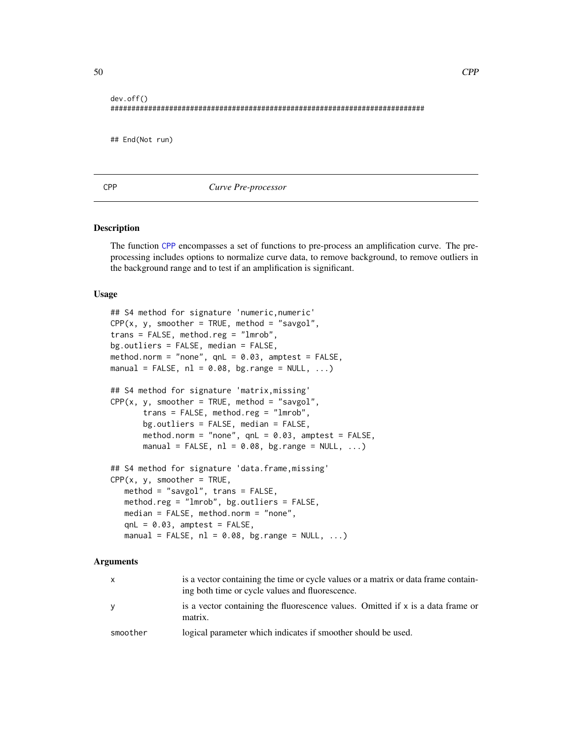```
dev.off()
###########################################################################
## End(Not run)
```
## <span id="page-49-0"></span>CPP *Curve Pre-processor*

#### Description

The function [CPP](#page-49-0) encompasses a set of functions to pre-process an amplification curve. The preprocessing includes options to normalize curve data, to remove background, to remove outliers in the background range and to test if an amplification is significant.

## Usage

```
## S4 method for signature 'numeric,numeric'
CPP(x, y, smoother = TRUE, method = "saygol",trans = FALSE, method.reg = "lmrob",
bg.outliers = FALSE, median = FALSE,
method.norm = "none", qnL = 0.03, amptest = FALSE,
manual = FALSE, nl = 0.08, bg.range = NULL, ...)
## S4 method for signature 'matrix,missing'
CPP(x, y, smoother = TRUE, method = "saygol",trans = FALSE, method.reg = "lmrob",
       bg.outliers = FALSE, median = FALSE,
      method.norm = "none", qnL = 0.03, amptest = FALSE,
      manual = FALSE, nl = 0.08, bg.range = NULL, ...)
## S4 method for signature 'data.frame, missing'
CPP(x, y, smoother = TRUE,method = "savgol", trans = FALSE,
   method.reg = "lmrob", bg.outliers = FALSE,
   median = FALSE, method.norm = "none",
   qnL = 0.03, amptest = FALSE,
   manual = FALSE, nl = 0.08, bg.range = NULL, ...)
```
#### Arguments

| $\mathsf{x}$ | is a vector containing the time or cycle values or a matrix or data frame contain-<br>ing both time or cycle values and fluorescence. |
|--------------|---------------------------------------------------------------------------------------------------------------------------------------|
| y            | is a vector containing the fluorescence values. Omitted if x is a data frame or<br>matrix.                                            |
| smoother     | logical parameter which indicates if smoother should be used.                                                                         |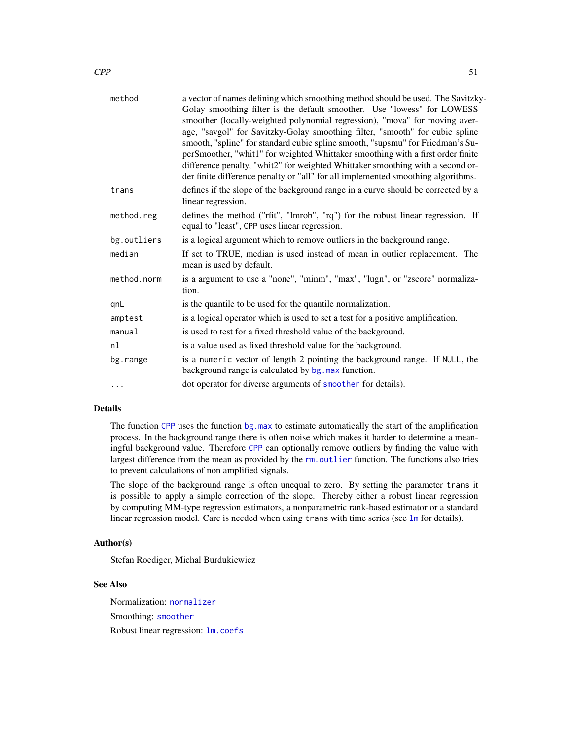| method      | a vector of names defining which smoothing method should be used. The Savitzky-<br>Golay smoothing filter is the default smoother. Use "lowess" for LOWESS |
|-------------|------------------------------------------------------------------------------------------------------------------------------------------------------------|
|             | smoother (locally-weighted polynomial regression), "mova" for moving aver-                                                                                 |
|             | age, "savgol" for Savitzky-Golay smoothing filter, "smooth" for cubic spline                                                                               |
|             | smooth, "spline" for standard cubic spline smooth, "supsmu" for Friedman's Su-                                                                             |
|             | perSmoother, "whit1" for weighted Whittaker smoothing with a first order finite                                                                            |
|             | difference penalty, "whit2" for weighted Whittaker smoothing with a second or-                                                                             |
|             | der finite difference penalty or "all" for all implemented smoothing algorithms.                                                                           |
| trans       | defines if the slope of the background range in a curve should be corrected by a<br>linear regression.                                                     |
| method.reg  | defines the method ("rfit", "lmrob", "rq") for the robust linear regression. If<br>equal to "least", CPP uses linear regression.                           |
| bg.outliers | is a logical argument which to remove outliers in the background range.                                                                                    |
| median      | If set to TRUE, median is used instead of mean in outlier replacement. The<br>mean is used by default.                                                     |
| method.norm | is a argument to use a "none", "minm", "max", "lugn", or "zscore" normaliza-<br>tion.                                                                      |
| qnL         | is the quantile to be used for the quantile normalization.                                                                                                 |
| amptest     | is a logical operator which is used to set a test for a positive amplification.                                                                            |
| manual      | is used to test for a fixed threshold value of the background.                                                                                             |
| nl          | is a value used as fixed threshold value for the background.                                                                                               |
| bg.range    | is a numeric vector of length 2 pointing the background range. If NULL, the<br>background range is calculated by bg. max function.                         |
| $\cdots$    | dot operator for diverse arguments of smoother for details).                                                                                               |

# Details

The function [CPP](#page-49-0) uses the function [bg.max](#page-13-0) to estimate automatically the start of the amplification process. In the background range there is often noise which makes it harder to determine a meaningful background value. Therefore [CPP](#page-49-0) can optionally remove outliers by finding the value with largest difference from the mean as provided by the rm. outlier function. The functions also tries to prevent calculations of non amplified signals.

The slope of the background range is often unequal to zero. By setting the parameter trans it is possible to apply a simple correction of the slope. Thereby either a robust linear regression by computing MM-type regression estimators, a nonparametric rank-based estimator or a standard linear regression model. Care is needed when using trans with time series (see [lm](#page-0-0) for details).

## Author(s)

Stefan Roediger, Michal Burdukiewicz

# See Also

Normalization: [normalizer](#page-68-0) Smoothing: [smoother](#page-77-0) Robust linear regression: [lm.coefs](#page-64-0)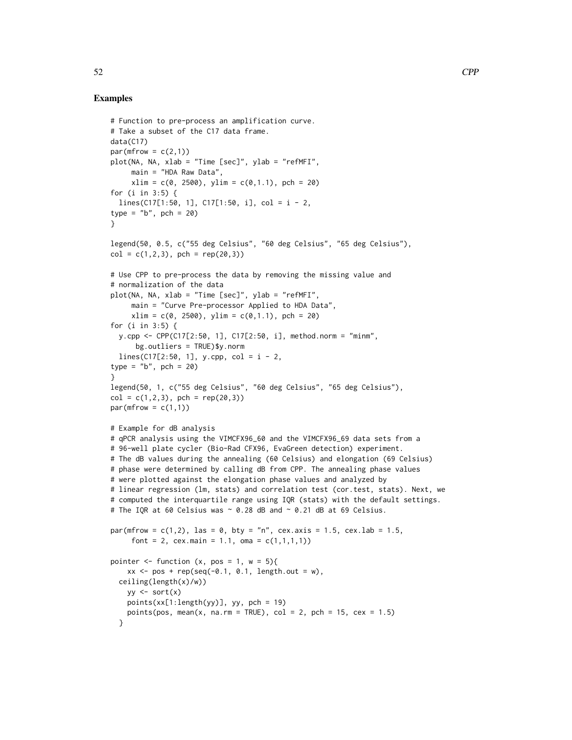```
# Function to pre-process an amplification curve.
# Take a subset of the C17 data frame.
data(C17)
par(mfrow = c(2,1))plot(NA, NA, xlab = "Time [sec]", ylab = "refMFI",
     main = "HDA Raw Data",
     xlim = c(0, 2500), ylim = c(0, 1.1), pch = 20)for (i in 3:5) {
  lines(C17[1:50, 1], C17[1:50, i], col = i - 2,
type = nb'', pch = 20)
}
legend(50, 0.5, c("55 deg Celsius", "60 deg Celsius", "65 deg Celsius"),
col = c(1, 2, 3), pch = rep(20,3))
# Use CPP to pre-process the data by removing the missing value and
# normalization of the data
plot(NA, NA, xlab = "Time [sec]", ylab = "refMFI",
     main = "Curve Pre-processor Applied to HDA Data",
     xlim = c(0, 2500), ylim = c(0, 1.1), pch = 20)for (i in 3:5) {
  y.cpp <- CPP(C17[2:50, 1], C17[2:50, i], method.norm = "minm",
      bg.outliers = TRUE)$y.norm
  lines(C17[2:50, 1], y.cpp, col = i - 2,type = nb'', pch = 20)
}
legend(50, 1, c("55 deg Celsius", "60 deg Celsius", "65 deg Celsius"),
col = c(1, 2, 3), pch = rep(20,3))
par(mfrow = c(1,1))# Example for dB analysis
# qPCR analysis using the VIMCFX96_60 and the VIMCFX96_69 data sets from a
# 96-well plate cycler (Bio-Rad CFX96, EvaGreen detection) experiment.
# The dB values during the annealing (60 Celsius) and elongation (69 Celsius)
# phase were determined by calling dB from CPP. The annealing phase values
# were plotted against the elongation phase values and analyzed by
# linear regression (lm, stats) and correlation test (cor.test, stats). Next, we
# computed the interquartile range using IQR (stats) with the default settings.
# The IQR at 60 Celsius was \sim 0.28 dB and \sim 0.21 dB at 69 Celsius.
par(mfrow = c(1,2), las = 0, bty = "n", cex.axis = 1.5, cex.lab = 1.5,
     font = 2, cex.main = 1.1, oma = c(1,1,1,1))
pointer \leq function (x, pos = 1, w = 5)xx \le - pos + rep(seq(-0.1, 0.1, length.out = w),
  ceiling(length(x)/w))
   yy \leftarrow sort(x)points(xx[1:length(yy)], yy, pch = 19)
   points(pos, mean(x, na.rm = TRUE), col = 2, pch = 15, cex = 1.5)
  }
```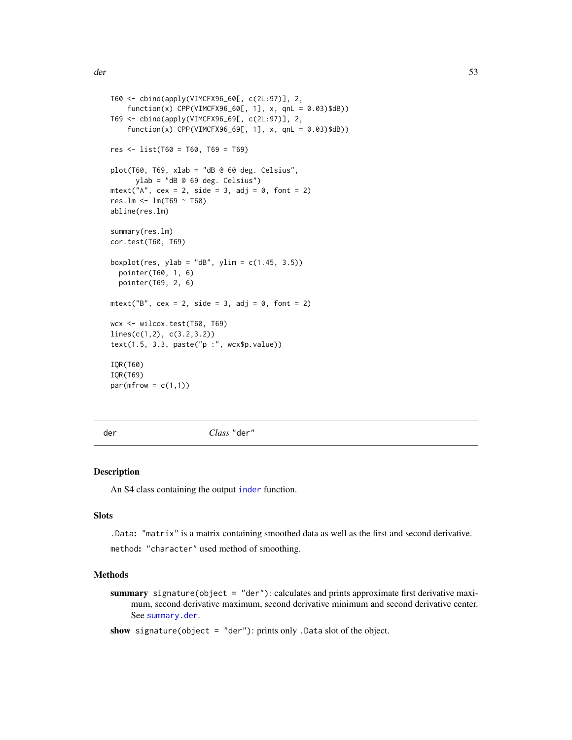```
T60 <- cbind(apply(VIMCFX96_60[, c(2L:97)], 2,
    function(x) CPP(VIMCFX96_60[, 1], x, qnL = 0.03)$dB))
T69 <- cbind(apply(VIMCFX96_69[, c(2L:97)], 2,
    function(x) CPP(VIMCFX96_69[, 1], x, qnL = 0.03)$dB))
res <- list(T60 = T60, T69 = T69)
plot(T60, T69, xlab = "dB 0 60 deg. Celsius",ylab = "dB @ 69 deg. Celsius")
mtext{text('A", cex = 2, side = 3, adj = 0, font = 2)}res.lm <- lm(T69 ~ T60)
abline(res.lm)
summary(res.lm)
cor.test(T60, T69)
boxplot(res, ylab = "dB", ylim = c(1.45, 3.5))
  pointer(T60, 1, 6)
  pointer(T69, 2, 6)
mtext{text("B", cex = 2, side = 3, adj = 0, font = 2)}wcx <- wilcox.test(T60, T69)
lines(c(1,2), c(3.2,3.2))
text(1.5, 3.3, paste("p :", wcx$p.value))
IQR(T60)
IQR(T69)
par(mfrow = c(1,1))
```
der *Class* "der"

#### <span id="page-52-0"></span>Description

An S4 class containing the output [inder](#page-62-0) function.

#### **Slots**

.Data: "matrix" is a matrix containing smoothed data as well as the first and second derivative. method: "character" used method of smoothing.

# Methods

summary signature(object = "der"): calculates and prints approximate first derivative maximum, second derivative maximum, second derivative minimum and second derivative center. See [summary.der](#page-81-0).

show signature(object = "der"): prints only . Data slot of the object.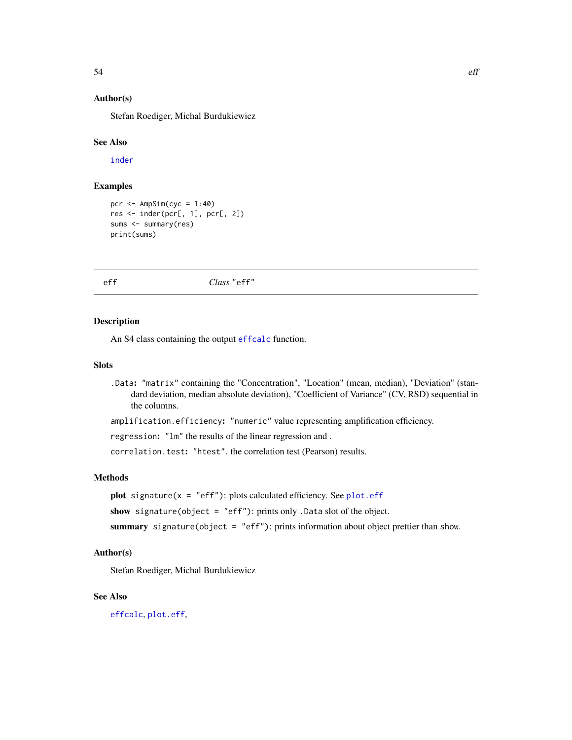# Author(s)

Stefan Roediger, Michal Burdukiewicz

# See Also

[inder](#page-62-0)

# Examples

```
pcr \leq AmpSim(cyc = 1:40)
res <- inder(pcr[, 1], pcr[, 2])
sums <- summary(res)
print(sums)
```
eff *Class* "eff"

## <span id="page-53-0"></span>Description

An S4 class containing the output [effcalc](#page-56-1) function.

## Slots

- .Data: "matrix" containing the "Concentration", "Location" (mean, median), "Deviation" (standard deviation, median absolute deviation), "Coefficient of Variance" (CV, RSD) sequential in the columns.
- amplification.efficiency: "numeric" value representing amplification efficiency.

regression: "lm" the results of the linear regression and .

correlation.test: "htest". the correlation test (Pearson) results.

# Methods

**plot** signature( $x = "eff"$ ): plots calculated efficiency. See [plot.eff](#page-72-0)

show signature(object = "eff"): prints only .Data slot of the object.

summary signature(object = "eff"): prints information about object prettier than show.

## Author(s)

Stefan Roediger, Michal Burdukiewicz

# See Also

[effcalc](#page-56-1), [plot.eff](#page-72-0),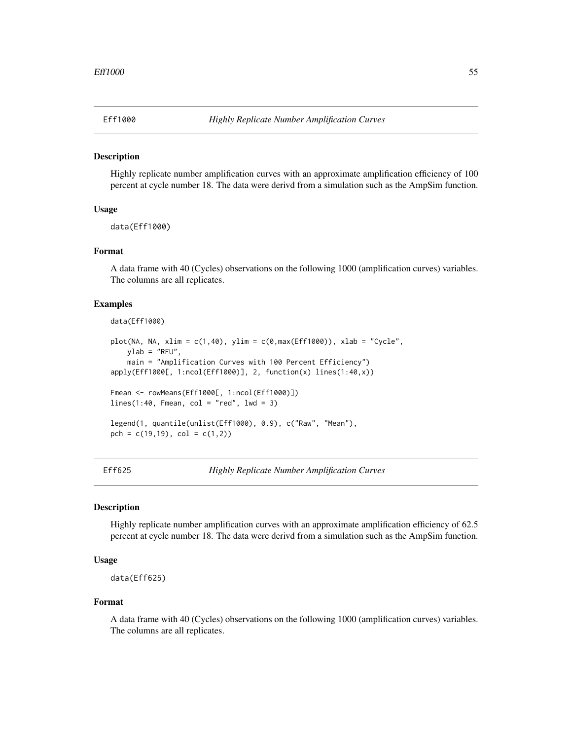<span id="page-54-1"></span>

#### Description

Highly replicate number amplification curves with an approximate amplification efficiency of 100 percent at cycle number 18. The data were derivd from a simulation such as the AmpSim function.

## Usage

data(Eff1000)

## Format

A data frame with 40 (Cycles) observations on the following 1000 (amplification curves) variables. The columns are all replicates.

# Examples

```
data(Eff1000)
```

```
plot(NA, NA, xlim = c(1,40), ylim = c(0, max(Eff1000)), xlab = "Cycle",
   ylab = "RFU",main = "Amplification Curves with 100 Percent Efficiency")
apply(Eff1000[, 1:ncol(Eff1000)], 2, function(x) lines(1:40,x))
Fmean <- rowMeans(Eff1000[, 1:ncol(Eff1000)])
lines(1:40, Fmean, col = "red", lwd = 3)legend(1, quantile(unlist(Eff1000), 0.9), c("Raw", "Mean"),
pch = c(19,19), col = c(1,2))
```
<span id="page-54-0"></span>

Eff625 *Highly Replicate Number Amplification Curves*

## **Description**

Highly replicate number amplification curves with an approximate amplification efficiency of 62.5 percent at cycle number 18. The data were derivd from a simulation such as the AmpSim function.

# Usage

data(Eff625)

#### Format

A data frame with 40 (Cycles) observations on the following 1000 (amplification curves) variables. The columns are all replicates.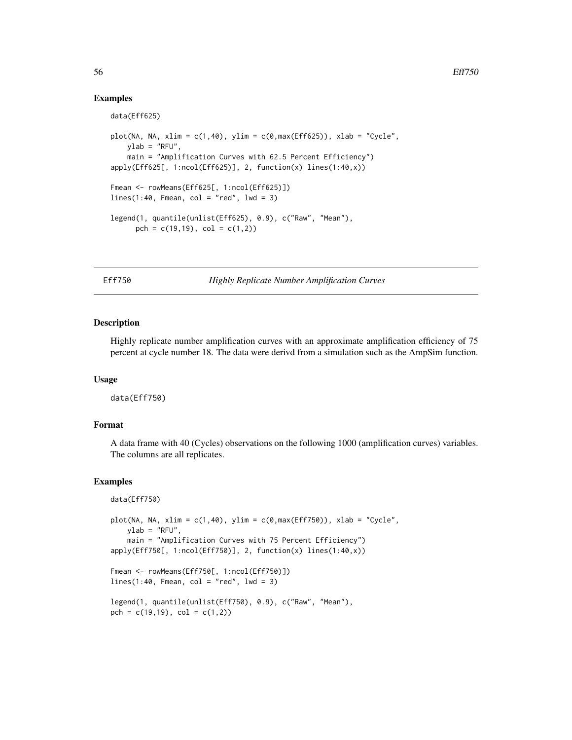## Examples

```
data(Eff625)
plot(NA, NA, xlim = c(1,40), ylim = c(\theta, max(Eff625)), xlab = "Cycle",
   ylab = "RFU",
   main = "Amplification Curves with 62.5 Percent Efficiency")
apply(Eff625[, 1:ncol(Eff625)], 2, function(x) lines(1:40,x))
Fmean <- rowMeans(Eff625[, 1:ncol(Eff625)])
lines(1:40, Fmean, col = "red", lwd = 3)legend(1, quantile(unlist(Eff625), 0.9), c("Raw", "Mean"),
      pch = c(19,19), col = c(1,2))
```
Eff750 *Highly Replicate Number Amplification Curves*

# **Description**

Highly replicate number amplification curves with an approximate amplification efficiency of 75 percent at cycle number 18. The data were derivd from a simulation such as the AmpSim function.

#### Usage

data(Eff750)

#### Format

A data frame with 40 (Cycles) observations on the following 1000 (amplification curves) variables. The columns are all replicates.

```
data(Eff750)
```

```
plot(NA, NA, xlim = c(1,40), ylim = c(0, max(Eff750)), xlab = "Cycle",
   ylab = "RFU",
   main = "Amplification Curves with 75 Percent Efficiency")
apply(Eff750[, 1:ncol(Eff750)], 2, function(x) lines(1:40,x))
Fmean <- rowMeans(Eff750[, 1:ncol(Eff750)])
lines(1:40, Fmean, col = "red", lwd = 3)legend(1, quantile(unlist(Eff750), 0.9), c("Raw", "Mean"),
pch = c(19,19), col = c(1,2))
```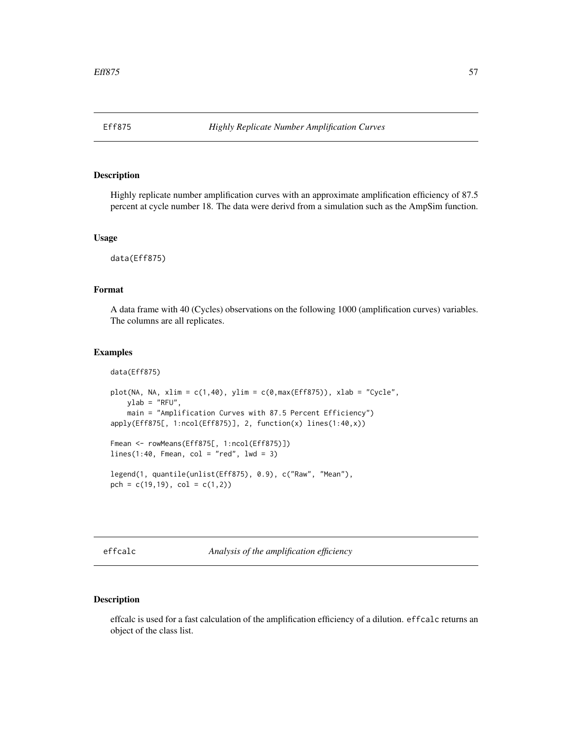<span id="page-56-0"></span>

# Description

Highly replicate number amplification curves with an approximate amplification efficiency of 87.5 percent at cycle number 18. The data were derivd from a simulation such as the AmpSim function.

#### Usage

data(Eff875)

# Format

A data frame with 40 (Cycles) observations on the following 1000 (amplification curves) variables. The columns are all replicates.

## Examples

```
data(Eff875)
plot(NA, NA, xlim = c(1,40), ylim = c(\theta, max(Eff875)), xlab = "Cycle",
   ylab = "RFU".main = "Amplification Curves with 87.5 Percent Efficiency")
apply(Eff875[, 1:ncol(Eff875)], 2, function(x) lines(1:40,x))
Fmean <- rowMeans(Eff875[, 1:ncol(Eff875)])
lines(1:40, Fmean, col = "red", lwd = 3)legend(1, quantile(unlist(Eff875), 0.9), c("Raw", "Mean"),
pch = c(19,19), col = c(1,2))
```
<span id="page-56-1"></span>effcalc *Analysis of the amplification efficiency*

#### Description

effcalc is used for a fast calculation of the amplification efficiency of a dilution. effcalc returns an object of the class list.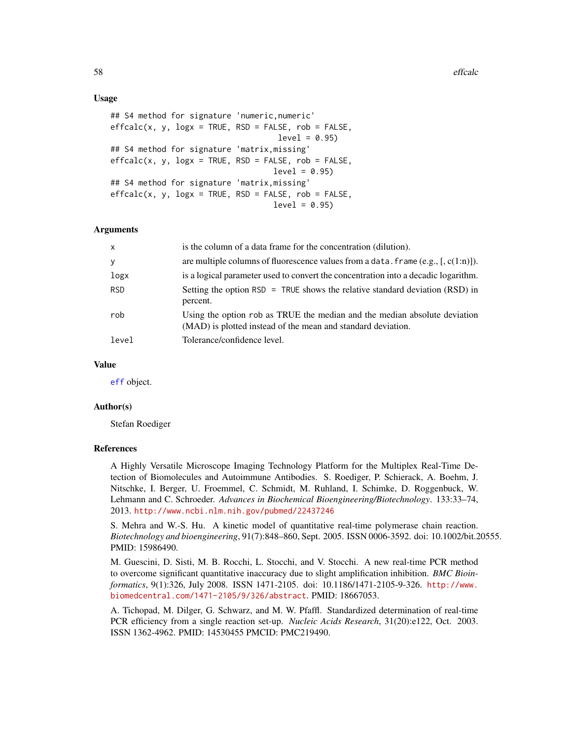## Usage

```
## S4 method for signature 'numeric,numeric'
effcalc(x, y, logx = TRUE, RSD = FALSE, rob = FALSE,level = 0.95## S4 method for signature 'matrix,missing'
effcalc(x, y, logx = TRUE, RSD = FALSE, rob = FALSE,level = 0.95## S4 method for signature 'matrix,missing'
effcalc(x, y, logx = TRUE, RSD = FALSE, rob = FALSE,level = 0.95
```
## Arguments

| $\mathsf{x}$ | is the column of a data frame for the concentration (dilution).                                                                           |
|--------------|-------------------------------------------------------------------------------------------------------------------------------------------|
| y            | are multiple columns of fluorescence values from a data. frame (e.g., $[$ , c(1:n)]).                                                     |
| logx         | is a logical parameter used to convert the concentration into a decadic logarithm.                                                        |
| <b>RSD</b>   | Setting the option RSD = TRUE shows the relative standard deviation (RSD) in<br>percent.                                                  |
| rob          | Using the option rob as TRUE the median and the median absolute deviation<br>(MAD) is plotted instead of the mean and standard deviation. |
| level        | Tolerance/confidence level.                                                                                                               |

#### Value

[eff](#page-53-0) object.

## Author(s)

Stefan Roediger

#### References

A Highly Versatile Microscope Imaging Technology Platform for the Multiplex Real-Time Detection of Biomolecules and Autoimmune Antibodies. S. Roediger, P. Schierack, A. Boehm, J. Nitschke, I. Berger, U. Froemmel, C. Schmidt, M. Ruhland, I. Schimke, D. Roggenbuck, W. Lehmann and C. Schroeder. *Advances in Biochemical Bioengineering/Biotechnology*. 133:33–74, 2013. <http://www.ncbi.nlm.nih.gov/pubmed/22437246>

S. Mehra and W.-S. Hu. A kinetic model of quantitative real-time polymerase chain reaction. *Biotechnology and bioengineering*, 91(7):848–860, Sept. 2005. ISSN 0006-3592. doi: 10.1002/bit.20555. PMID: 15986490.

M. Guescini, D. Sisti, M. B. Rocchi, L. Stocchi, and V. Stocchi. A new real-time PCR method to overcome significant quantitative inaccuracy due to slight amplification inhibition. *BMC Bioinformatics*, 9(1):326, July 2008. ISSN 1471-2105. doi: 10.1186/1471-2105-9-326. [http://www.](http: //www.biomedcentral.com/1471-2105/9/326/abstract) [biomedcentral.com/1471-2105/9/326/abstract](http: //www.biomedcentral.com/1471-2105/9/326/abstract). PMID: 18667053.

A. Tichopad, M. Dilger, G. Schwarz, and M. W. Pfaffl. Standardized determination of real-time PCR efficiency from a single reaction set-up. *Nucleic Acids Research*, 31(20):e122, Oct. 2003. ISSN 1362-4962. PMID: 14530455 PMCID: PMC219490.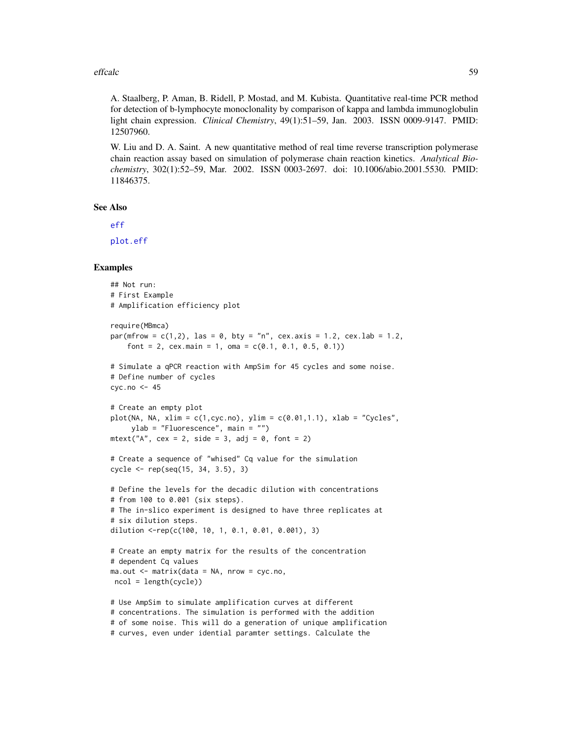#### effcalc 59

A. Staalberg, P. Aman, B. Ridell, P. Mostad, and M. Kubista. Quantitative real-time PCR method for detection of b-lymphocyte monoclonality by comparison of kappa and lambda immunoglobulin light chain expression. *Clinical Chemistry*, 49(1):51–59, Jan. 2003. ISSN 0009-9147. PMID: 12507960.

W. Liu and D. A. Saint. A new quantitative method of real time reverse transcription polymerase chain reaction assay based on simulation of polymerase chain reaction kinetics. *Analytical Biochemistry*, 302(1):52–59, Mar. 2002. ISSN 0003-2697. doi: 10.1006/abio.2001.5530. PMID: 11846375.

## See Also

# [eff](#page-53-0)

[plot.eff](#page-72-0)

```
## Not run:
# First Example
# Amplification efficiency plot
require(MBmca)
par(mfrow = c(1,2), las = 0, bty = "n", cex.axis = 1.2, cex.lab = 1.2,
    font = 2, cex.main = 1, oma = c(0.1, 0.1, 0.5, 0.1))
# Simulate a qPCR reaction with AmpSim for 45 cycles and some noise.
# Define number of cycles
cyc.no < -45# Create an empty plot
plot(NA, NA, xlim = c(1, cyc.no), ylim = c(0.01, 1.1), xlab = "Cycles",ylab = "Fluorescence", main = "")
mtext{text("A", cex = 2, side = 3, adj = 0, font = 2)}# Create a sequence of "whised" Cq value for the simulation
cycle <- rep(seq(15, 34, 3.5), 3)
# Define the levels for the decadic dilution with concentrations
# from 100 to 0.001 (six steps).
# The in-slico experiment is designed to have three replicates at
# six dilution steps.
dilution <-rep(c(100, 10, 1, 0.1, 0.01, 0.001), 3)
# Create an empty matrix for the results of the concentration
# dependent Cq values
ma.out <- matrix(data = NA, nrow = cyc.no,
ncol = length(cycle))
# Use AmpSim to simulate amplification curves at different
# concentrations. The simulation is performed with the addition
# of some noise. This will do a generation of unique amplification
```
<sup>#</sup> curves, even under idential paramter settings. Calculate the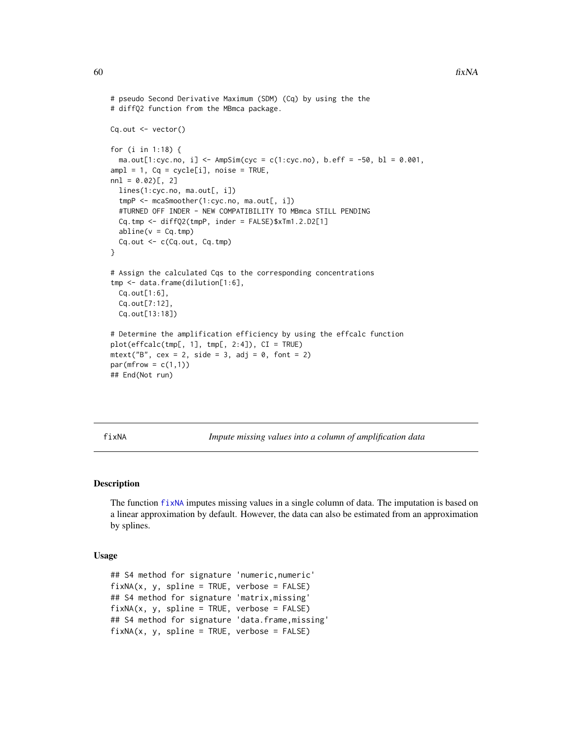```
# pseudo Second Derivative Maximum (SDM) (Cq) by using the the
# diffQ2 function from the MBmca package.
Cq.out <- vector()
for (i in 1:18) {
 ma.out[1:cyc.no, i] <- AmpSim(cyc = c(1:cyc.no), b.eff = -50, bl = 0.001,
ampl = 1, Cq = cycle[i], noise = TRUE,
nn1 = 0.02[, 2]
 lines(1:cyc.no, ma.out[, i])
 tmpP <- mcaSmoother(1:cyc.no, ma.out[, i])
 #TURNED OFF INDER - NEW COMPATIBILITY TO MBmca STILL PENDING
 Cq.tmp <- diffQ2(tmpP, inder = FALSE)$xTm1.2.D2[1]
 abline(v = Cq.time)Cq.out <- c(Cq.out, Cq.tmp)
}
# Assign the calculated Cqs to the corresponding concentrations
tmp <- data.frame(dilution[1:6],
 Cq.out[1:6],
 Cq.out[7:12],
 Cq.out[13:18])
# Determine the amplification efficiency by using the effcalc function
plot(effcalc(tmp[, 1], tmp[, 2:4]), CI = TRUE)
mtext{text("B", cex = 2, side = 3, adj = 0, font = 2)}par(mfrow = c(1,1))## End(Not run)
```
<span id="page-59-0"></span>

fixNA *Impute missing values into a column of amplification data*

## Description

The function [fixNA](#page-59-0) imputes missing values in a single column of data. The imputation is based on a linear approximation by default. However, the data can also be estimated from an approximation by splines.

## Usage

```
## S4 method for signature 'numeric,numeric'
fixNA(x, y, spline = TRUE, verbose = FALSE)## S4 method for signature 'matrix,missing'
fixNA(x, y, spline = TRUE, verbose = FALSE)## S4 method for signature 'data.frame,missing'
fixNA(x, y, spline = TRUE, verbose = FALSE)
```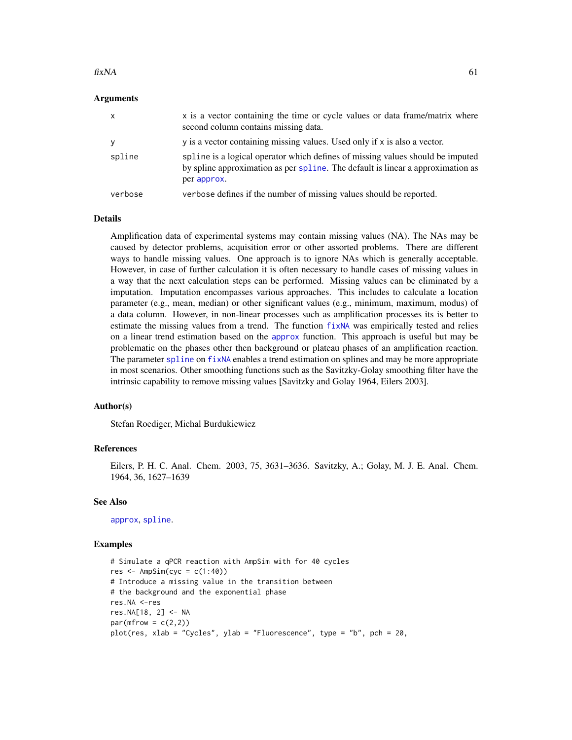#### $fixNA$  61

## Arguments

| $\mathsf{x}$ | x is a vector containing the time or cycle values or data frame/matrix where<br>second column contains missing data.                                                             |
|--------------|----------------------------------------------------------------------------------------------------------------------------------------------------------------------------------|
| y            | y is a vector containing missing values. Used only if x is also a vector.                                                                                                        |
| spline       | spline is a logical operator which defines of missing values should be imputed<br>by spline approximation as per spline. The default is linear a approximation as<br>per approx. |
| verbose      | verbose defines if the number of missing values should be reported.                                                                                                              |

#### Details

Amplification data of experimental systems may contain missing values (NA). The NAs may be caused by detector problems, acquisition error or other assorted problems. There are different ways to handle missing values. One approach is to ignore NAs which is generally acceptable. However, in case of further calculation it is often necessary to handle cases of missing values in a way that the next calculation steps can be performed. Missing values can be eliminated by a imputation. Imputation encompasses various approaches. This includes to calculate a location parameter (e.g., mean, median) or other significant values (e.g., minimum, maximum, modus) of a data column. However, in non-linear processes such as amplification processes its is better to estimate the missing values from a trend. The function [fixNA](#page-59-0) was empirically tested and relies on a linear trend estimation based on the [approx](#page-0-0) function. This approach is useful but may be problematic on the phases other then background or plateau phases of an amplification reaction. The parameter [spline](#page-0-0) on [fixNA](#page-59-0) enables a trend estimation on splines and may be more appropriate in most scenarios. Other smoothing functions such as the Savitzky-Golay smoothing filter have the intrinsic capability to remove missing values [Savitzky and Golay 1964, Eilers 2003].

## Author(s)

Stefan Roediger, Michal Burdukiewicz

#### References

Eilers, P. H. C. Anal. Chem. 2003, 75, 3631–3636. Savitzky, A.; Golay, M. J. E. Anal. Chem. 1964, 36, 1627–1639

## See Also

[approx](#page-0-0), [spline](#page-0-0).

```
# Simulate a qPCR reaction with AmpSim with for 40 cycles
res \leq AmpSim(cyc = c(1:40))
# Introduce a missing value in the transition between
# the background and the exponential phase
res.NA <-res
res.NA[18, 2] <- NA
par(mfrow = c(2,2))plot(res, xlab = "Cycles", ylab = "Fluorescence", type = "b", pch = 20,
```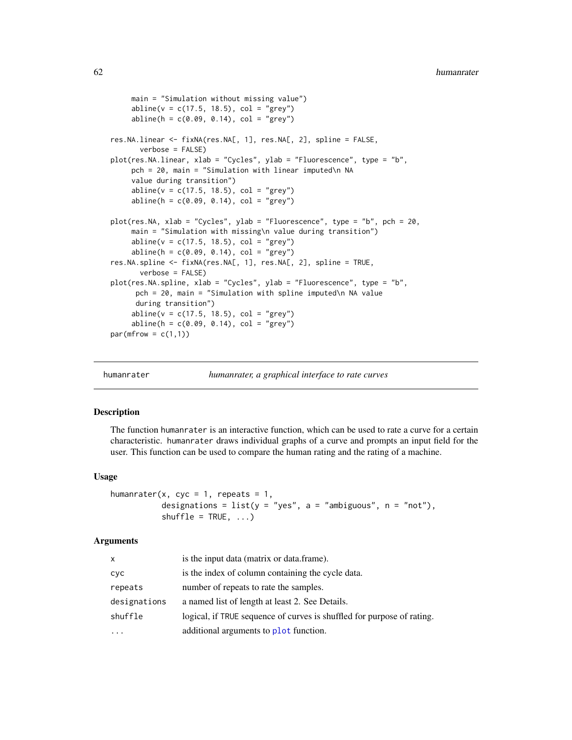```
main = "Simulation without missing value")
     abline(v = c(17.5, 18.5), col = "grey")abline(h = c(0.09, 0.14), col = "grey")res.NA.linear <- fixNA(res.NA[, 1], res.NA[, 2], spline = FALSE,
      verbose = FALSE)
plot(res.NA.linear, xlab = "Cycles", ylab = "Fluorescence", type = "b",
    pch = 20, main = "Simulation with linear imputed\n NA
     value during transition")
     abline(v = c(17.5, 18.5), col = "grey")abline(h = c(0.09, 0.14), col = "grey")plot(res.NA, xlab = "Cycles", ylab = "Fluorescence", type = "b", pch = 20,
     main = "Simulation with missing\n value during transition")
     abline(v = c(17.5, 18.5), col = "grey")abline(h = c(0.09, 0.14), col = "grey")res.NA.spline <- fixNA(res.NA[, 1], res.NA[, 2], spline = TRUE,
      verbose = FALSE)
plot(res.NA.spline, xlab = "Cycles", ylab = "Fluorescence", type = "b",
     pch = 20, main = "Simulation with spline imputed\n NA value
     during transition")
     abline(v = c(17.5, 18.5), col = "grey")abline(h = c(0.09, 0.14), col = "grey")par(mfrow = c(1,1))
```

```
humanrater humanrater, a graphical interface to rate curves
```
#### Description

The function humanrater is an interactive function, which can be used to rate a curve for a certain characteristic. humanrater draws individual graphs of a curve and prompts an input field for the user. This function can be used to compare the human rating and the rating of a machine.

# Usage

```
humanrater(x, cyc = 1, repeats = 1,
          designations = list(y = "yes", a = "ambiguous", n = "not").shuffle = TRUE, ...
```
## **Arguments**

| x            | is the input data (matrix or data.frame).                              |
|--------------|------------------------------------------------------------------------|
| сус          | is the index of column containing the cycle data.                      |
| repeats      | number of repeats to rate the samples.                                 |
| designations | a named list of length at least 2. See Details.                        |
| shuffle      | logical, if TRUE sequence of curves is shuffled for purpose of rating. |
| $\cdots$     | additional arguments to plot function.                                 |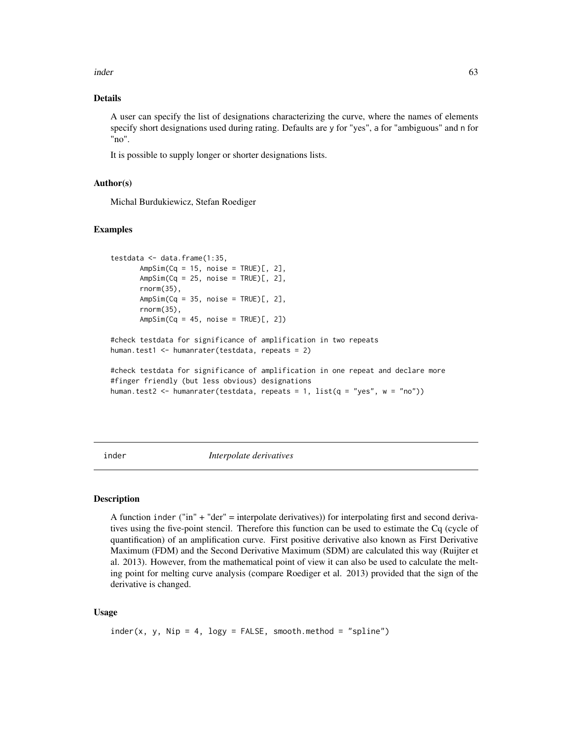inder 63

# Details

A user can specify the list of designations characterizing the curve, where the names of elements specify short designations used during rating. Defaults are y for "yes", a for "ambiguous" and n for "no".

It is possible to supply longer or shorter designations lists.

## Author(s)

Michal Burdukiewicz, Stefan Roediger

## Examples

```
testdata <- data.frame(1:35,
      AmpSim(Cq = 15, noise = TRUE)[, 2],
      AmpSim(Cq = 25, noise = TRUE)[, 2],
      rnorm(35),
      AmpSim(Cq = 35, noise = TRUE)[, 2],
      rnorm(35),
      AmpSim(Cq = 45, noise = TRUE)[, 2])
#check testdata for significance of amplification in two repeats
human.test1 <- humanrater(testdata, repeats = 2)
#check testdata for significance of amplification in one repeat and declare more
#finger friendly (but less obvious) designations
human.test2 <- humanrater(testdata, repeats = 1, list(q = "yes", w = "no")))
```
<span id="page-62-0"></span>inder *Interpolate derivatives*

# Description

A function inder ("in" + "der" = interpolate derivatives)) for interpolating first and second derivatives using the five-point stencil. Therefore this function can be used to estimate the Cq (cycle of quantification) of an amplification curve. First positive derivative also known as First Derivative Maximum (FDM) and the Second Derivative Maximum (SDM) are calculated this way (Ruijter et al. 2013). However, from the mathematical point of view it can also be used to calculate the melting point for melting curve analysis (compare Roediger et al. 2013) provided that the sign of the derivative is changed.

## Usage

```
inder(x, y, Nip = 4, logy = FALSE, smooth.method = "spline")
```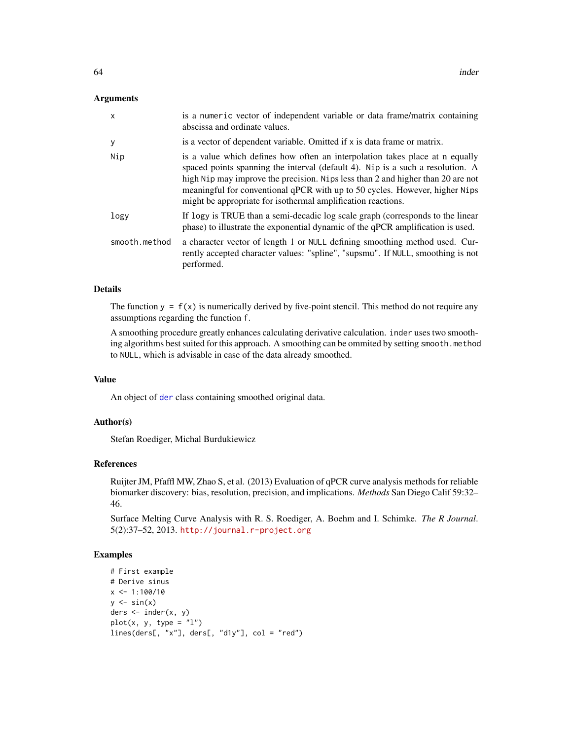## Arguments

| $\mathsf{x}$  | is a numeric vector of independent variable or data frame/matrix containing<br>abscissa and ordinate values.                                                                                                                                                                                                                                                                                     |
|---------------|--------------------------------------------------------------------------------------------------------------------------------------------------------------------------------------------------------------------------------------------------------------------------------------------------------------------------------------------------------------------------------------------------|
| У             | is a vector of dependent variable. Omitted if x is data frame or matrix.                                                                                                                                                                                                                                                                                                                         |
| Nip           | is a value which defines how often an interpolation takes place at n equally<br>spaced points spanning the interval (default 4). Nip is a such a resolution. A<br>high Nip may improve the precision. Nips less than 2 and higher than 20 are not<br>meaningful for conventional qPCR with up to 50 cycles. However, higher Nips<br>might be appropriate for isothermal amplification reactions. |
| logy          | If logy is TRUE than a semi-decadic log scale graph (corresponds to the linear<br>phase) to illustrate the exponential dynamic of the qPCR amplification is used.                                                                                                                                                                                                                                |
| smooth.method | a character vector of length 1 or NULL defining smoothing method used. Cur-<br>rently accepted character values: "spline", "supsmu". If NULL, smoothing is not<br>performed.                                                                                                                                                                                                                     |

# Details

The function  $y = f(x)$  is numerically derived by five-point stencil. This method do not require any assumptions regarding the function f.

A smoothing procedure greatly enhances calculating derivative calculation. inder uses two smoothing algorithms best suited for this approach. A smoothing can be ommited by setting smooth.method to NULL, which is advisable in case of the data already smoothed.

#### Value

An object of [der](#page-52-0) class containing smoothed original data.

# Author(s)

Stefan Roediger, Michal Burdukiewicz

## References

Ruijter JM, Pfaffl MW, Zhao S, et al. (2013) Evaluation of qPCR curve analysis methods for reliable biomarker discovery: bias, resolution, precision, and implications. *Methods* San Diego Calif 59:32– 46.

Surface Melting Curve Analysis with R. S. Roediger, A. Boehm and I. Schimke. *The R Journal*. 5(2):37–52, 2013. <http://journal.r-project.org>

```
# First example
# Derive sinus
x \le -1:100/10y \leftarrow \sin(x)ders <- inder(x, y)
plot(x, y, type = "l")lines(ders[, "x"], ders[, "d1y"], col = "red")
```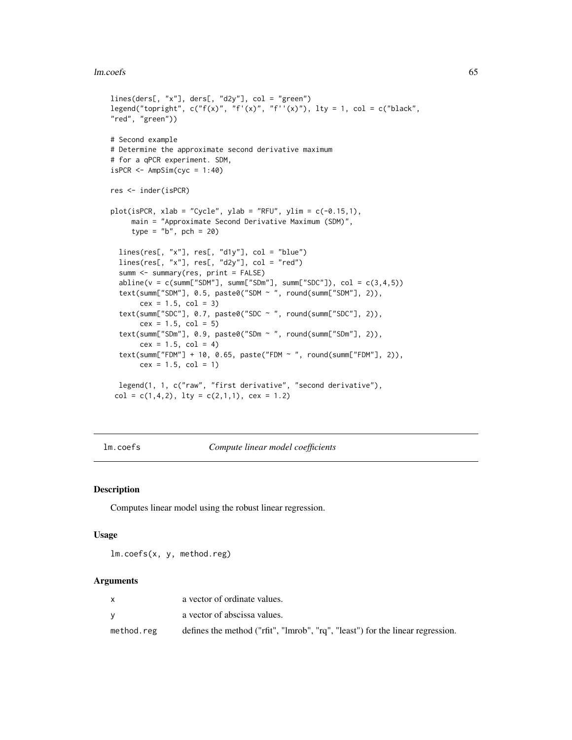#### lm.coefs 65

```
lines(ders[, "x"], ders[, "d2y"], col = "green")
legend("topright", c("f(x)", "f'(x)", "f''(x)", Ity = 1, col = c("black","red", "green"))
# Second example
# Determine the approximate second derivative maximum
# for a qPCR experiment. SDM,
isPCR \leftarrow AmpSim(cyc = 1:40)res <- inder(isPCR)
plot(isPCR, xlab = "Cycle", ylab = "RFU", ylim = c(-0.15,1),main = "Approximate Second Derivative Maximum (SDM)",
     type = nb'', pch = 20)
  lines(res[, "x"], res[, "d1y"], col = "blue")
  lines(res[, "x"], res[, "d2y"], col = "red")
  summ <- summary(res, print = FALSE)
  abline(v = c(summ["SDM"], summ["SDm"], summ["SDC"]), col = c(3, 4, 5)text(summ["SDM"], 0.5, paste0("SDM ~ ", round(summ["SDM"], 2)),
       cex = 1.5, col = 3)
  text(summ["SDC"], 0.7, paste0("SDC ~ ", round(summ["SDC"], 2)),
      cex = 1.5, col = 5text(summ["SDm"], 0.9, paste0("SDm ~ ", round(summ["SDm"], 2)),
       cex = 1.5, col = 4)
  text(summ["FDM"] + 10, 0.65, paste("FDM ~ ", round(summ["FDM"], 2)),
       cex = 1.5, col = 1)
  legend(1, 1, c("raw", "first derivative", "second derivative"),
 col = c(1, 4, 2), lty = c(2, 1, 1), cex = 1.2)
```
<span id="page-64-0"></span>lm.coefs *Compute linear model coefficients*

#### Description

Computes linear model using the robust linear regression.

#### Usage

lm.coefs(x, y, method.reg)

#### Arguments

|            | a vector of ordinate values.                                                   |
|------------|--------------------------------------------------------------------------------|
|            | a vector of abscissa values.                                                   |
| method.reg | defines the method ("rfit", "lmrob", "rq", "least") for the linear regression. |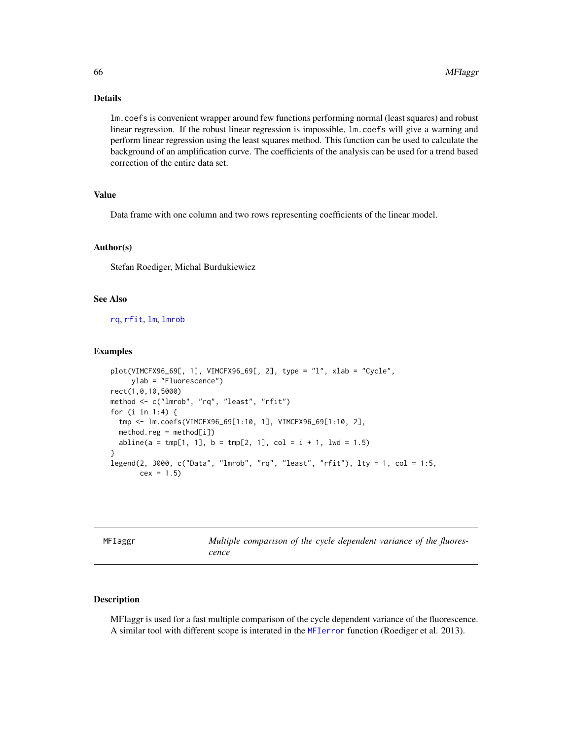# Details

lm.coefs is convenient wrapper around few functions performing normal (least squares) and robust linear regression. If the robust linear regression is impossible, lm.coefs will give a warning and perform linear regression using the least squares method. This function can be used to calculate the background of an amplification curve. The coefficients of the analysis can be used for a trend based correction of the entire data set.

# Value

Data frame with one column and two rows representing coefficients of the linear model.

# Author(s)

Stefan Roediger, Michal Burdukiewicz

# See Also

[rq](#page-0-0), [rfit](#page-0-0), [lm](#page-0-0), [lmrob](#page-0-0)

#### Examples

```
plot(VIMCFX96_69[, 1], VIMCFX96_69[, 2], type = "l", xlab = "Cycle",
    ylab = "Fluorescence")
rect(1,0,10,5000)
method <- c("lmrob", "rq", "least", "rfit")
for (i in 1:4) {
 tmp <- lm.coefs(VIMCFX96_69[1:10, 1], VIMCFX96_69[1:10, 2],
 method.read = method[i])abline(a = tmp[1, 1], b = tmp[2, 1], col = i + 1, lw = 1.5)}
legend(2, 3000, c("Data", "lmrob", "rq", "least", "rfit"), lty = 1, col = 1:5,
      cex = 1.5
```
<span id="page-65-0"></span>MFIaggr *Multiple comparison of the cycle dependent variance of the fluorescence*

#### Description

MFIaggr is used for a fast multiple comparison of the cycle dependent variance of the fluorescence. A similar tool with different scope is interated in the [MFIerror](#page-0-0) function (Roediger et al. 2013).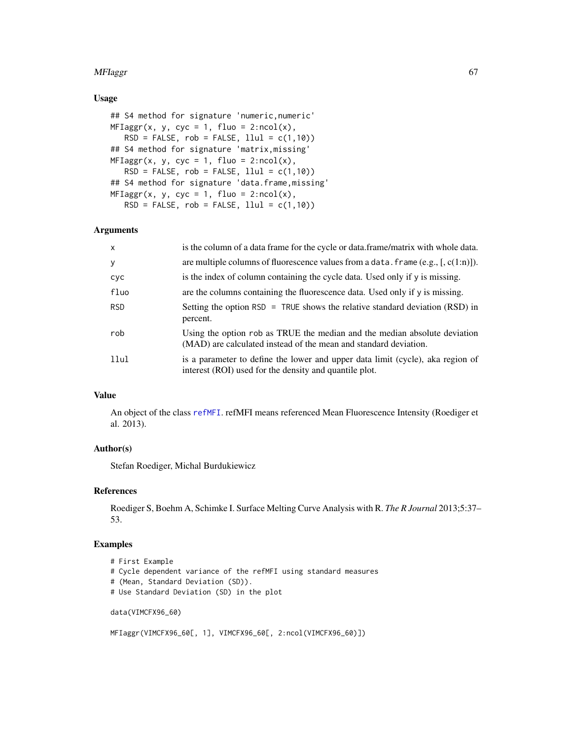## MFIaggr 67 (1999) and the state of the state of the state of the state of the state of the state of the state of the state of the state of the state of the state of the state of the state of the state of the state of the s

# Usage

```
## S4 method for signature 'numeric,numeric'
MFIagger(x, y, cyc = 1, fluo = 2:ncol(x),RSD = FALSE, rob = FALSE, llu1 = c(1,10))## S4 method for signature 'matrix,missing'
MFIagger(x, y, cyc = 1, fluo = 2:ncol(x),RSD = FALSE, rob = FALSE, llu1 = c(1,10))## S4 method for signature 'data.frame,missing'
MFIagger(x, y, cyc = 1, fluo = 2:ncol(x),RSD = FALSE, rob = FALSE, llu1 = c(1,10))
```
#### Arguments

| $\mathsf{x}$ | is the column of a data frame for the cycle or data.frame/matrix with whole data.                                                             |
|--------------|-----------------------------------------------------------------------------------------------------------------------------------------------|
| y            | are multiple columns of fluorescence values from a data. frame $(e.g., [c(1:n)])$ .                                                           |
| cyc          | is the index of column containing the cycle data. Used only if y is missing.                                                                  |
| fluo         | are the columns containing the fluorescence data. Used only if y is missing.                                                                  |
| <b>RSD</b>   | Setting the option RSD = TRUE shows the relative standard deviation $(RSD)$ in<br>percent.                                                    |
| rob          | Using the option rob as TRUE the median and the median absolute deviation<br>(MAD) are calculated instead of the mean and standard deviation. |
| 11ul         | is a parameter to define the lower and upper data limit (cycle), aka region of<br>interest (ROI) used for the density and quantile plot.      |

# Value

An object of the class [refMFI](#page-75-0). refMFI means referenced Mean Fluorescence Intensity (Roediger et al. 2013).

## Author(s)

Stefan Roediger, Michal Burdukiewicz

## References

Roediger S, Boehm A, Schimke I. Surface Melting Curve Analysis with R. *The R Journal* 2013;5:37– 53.

## Examples

```
# First Example
```
- # Cycle dependent variance of the refMFI using standard measures
- # (Mean, Standard Deviation (SD)).
- # Use Standard Deviation (SD) in the plot

data(VIMCFX96\_60)

```
MFIaggr(VIMCFX96_60[, 1], VIMCFX96_60[, 2:ncol(VIMCFX96_60)])
```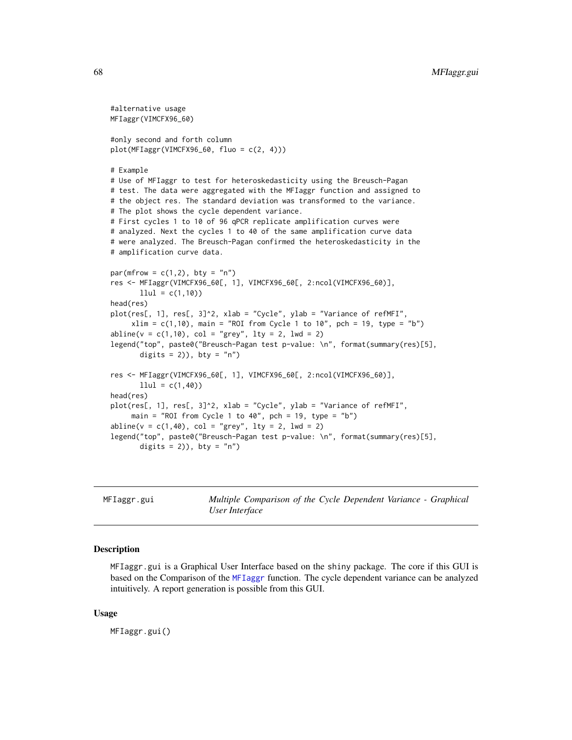```
#alternative usage
MFIaggr(VIMCFX96_60)
#only second and forth column
plot(MFIagger(VIMCFX96_60, flow = c(2, 4)))# Example
# Use of MFIaggr to test for heteroskedasticity using the Breusch-Pagan
# test. The data were aggregated with the MFIaggr function and assigned to
# the object res. The standard deviation was transformed to the variance.
# The plot shows the cycle dependent variance.
# First cycles 1 to 10 of 96 qPCR replicate amplification curves were
# analyzed. Next the cycles 1 to 40 of the same amplification curve data
# were analyzed. The Breusch-Pagan confirmed the heteroskedasticity in the
# amplification curve data.
par(mfrow = c(1,2), bty = "n")
res <- MFIaggr(VIMCFX96_60[, 1], VIMCFX96_60[, 2:ncol(VIMCFX96_60)],
      llul = c(1,10)head(res)
plot(res[, 1], res[, 3]^2, xlab = "Cycle", ylab = "Variance of refMFI",
     xlim = c(1,10), main = "ROI from Cycle 1 to 10", pch = 19, type = "b")
abline(v = c(1, 10), col = "grey", lty = 2, lwd = 2)legend("top", paste0("Breusch-Pagan test p-value: \n", format(summary(res)[5],
      digits = 2)), bty = "n")res <- MFIaggr(VIMCFX96_60[, 1], VIMCFX96_60[, 2:ncol(VIMCFX96_60)],
      llul = c(1,40)head(res)
plot(res[, 1], res[, 3]^2, xlab = "Cycle", ylab = "Variance of refMFI",
     main = "ROI from Cycle 1 to 40", pch = 19, type = "b")
abline(v = c(1, 40), col = "grey", lty = 2, lwd = 2)legend("top", paste0("Breusch-Pagan test p-value: \n", format(summary(res)[5],
      digits = 2), bty = "n")
```
MFIaggr.gui *Multiple Comparison of the Cycle Dependent Variance - Graphical User Interface*

#### Description

MFIaggr.gui is a Graphical User Interface based on the shiny package. The core if this GUI is based on the Comparison of the [MFIaggr](#page-65-0) function. The cycle dependent variance can be analyzed intuitively. A report generation is possible from this GUI.

#### Usage

MFIaggr.gui()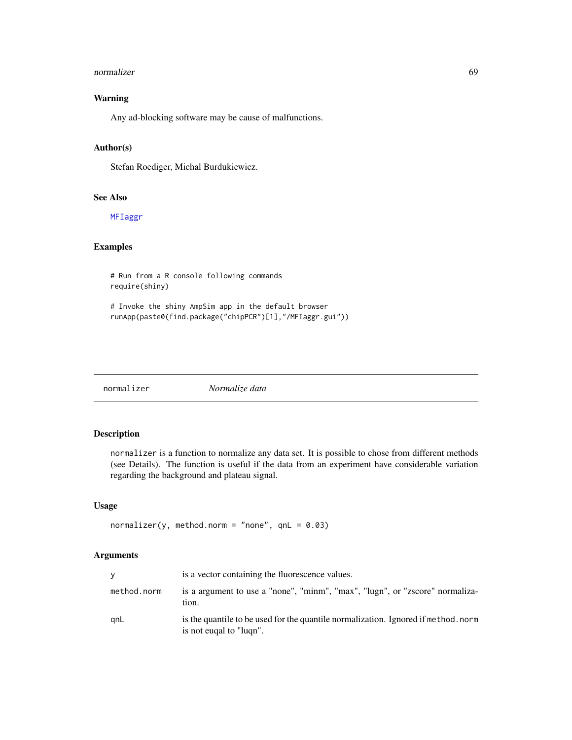#### normalizer 69 and 2008 and 2008 and 2008 and 2008 and 2008 and 2008 and 2008 and 2008 and 2008 and 2008 and 20

# Warning

Any ad-blocking software may be cause of malfunctions.

## Author(s)

Stefan Roediger, Michal Burdukiewicz.

#### See Also

[MFIaggr](#page-65-0)

# Examples

# Run from a R console following commands require(shiny)

# Invoke the shiny AmpSim app in the default browser runApp(paste0(find.package("chipPCR")[1],"/MFIaggr.gui"))

<span id="page-68-0"></span>normalizer *Normalize data*

# Description

normalizer is a function to normalize any data set. It is possible to chose from different methods (see Details). The function is useful if the data from an experiment have considerable variation regarding the background and plateau signal.

#### Usage

```
normalizer(y, method.norm = "none", qnL = 0.03)
```
# Arguments

| v           | is a vector containing the fluorescence values.                                                               |
|-------------|---------------------------------------------------------------------------------------------------------------|
| method.norm | is a argument to use a "none", "minm", "max", "lugn", or "zscore" normaliza-<br>tion.                         |
| anL         | is the quantile to be used for the quantile normalization. Ignored if method, norm<br>is not eugal to "lugn". |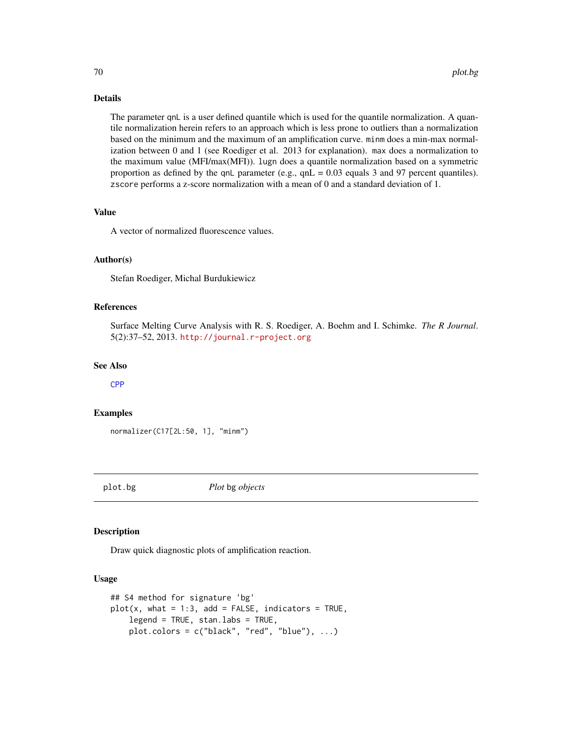# Details

The parameter qnL is a user defined quantile which is used for the quantile normalization. A quantile normalization herein refers to an approach which is less prone to outliers than a normalization based on the minimum and the maximum of an amplification curve. minm does a min-max normalization between 0 and 1 (see Roediger et al. 2013 for explanation). max does a normalization to the maximum value (MFI/max(MFI)). lugn does a quantile normalization based on a symmetric proportion as defined by the qnL parameter (e.g., qnL = 0.03 equals 3 and 97 percent quantiles). zscore performs a z-score normalization with a mean of 0 and a standard deviation of 1.

## Value

A vector of normalized fluorescence values.

# Author(s)

Stefan Roediger, Michal Burdukiewicz

## References

Surface Melting Curve Analysis with R. S. Roediger, A. Boehm and I. Schimke. *The R Journal*. 5(2):37–52, 2013. <http://journal.r-project.org>

#### See Also

[CPP](#page-49-0)

#### Examples

normalizer(C17[2L:50, 1], "minm")

plot.bg *Plot* bg *objects*

## Description

Draw quick diagnostic plots of amplification reaction.

## Usage

```
## S4 method for signature 'bg'
plot(x, what = 1:3, add = FALSE, indicators = TRUE,legend = TRUE, stan.labs = TRUE,
   plot.colors = c("black", "red", "blue"), ...)
```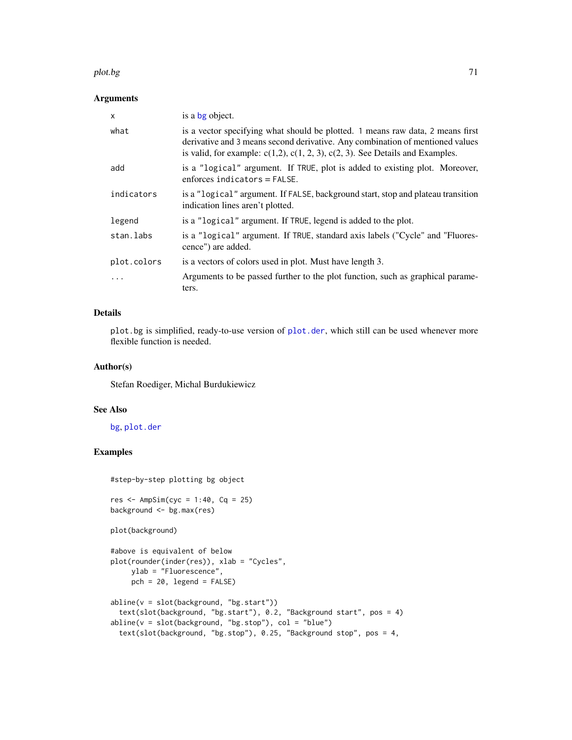#### plot.bg 71

## Arguments

| X           | is a bg object.                                                                                                                                                                                                                                           |
|-------------|-----------------------------------------------------------------------------------------------------------------------------------------------------------------------------------------------------------------------------------------------------------|
| what        | is a vector specifying what should be plotted. 1 means raw data, 2 means first<br>derivative and 3 means second derivative. Any combination of mentioned values<br>is valid, for example: $c(1,2)$ , $c(1, 2, 3)$ , $c(2, 3)$ . See Details and Examples. |
| add         | is a "logical" argument. If TRUE, plot is added to existing plot. Moreover,<br>enforces indicators $=$ FALSE.                                                                                                                                             |
| indicators  | is a "logical" argument. If FALSE, background start, stop and plateau transition<br>indication lines aren't plotted.                                                                                                                                      |
| legend      | is a "logical" argument. If TRUE, legend is added to the plot.                                                                                                                                                                                            |
| stan.labs   | is a "logical" argument. If TRUE, standard axis labels ("Cycle" and "Fluores-<br>cence") are added.                                                                                                                                                       |
| plot.colors | is a vectors of colors used in plot. Must have length 3.                                                                                                                                                                                                  |
| $\cdots$    | Arguments to be passed further to the plot function, such as graphical parame-<br>ters.                                                                                                                                                                   |

# Details

plot.bg is simplified, ready-to-use version of [plot.der](#page-71-0), which still can be used whenever more flexible function is needed.

#### Author(s)

Stefan Roediger, Michal Burdukiewicz

#### See Also

[bg](#page-12-0), [plot.der](#page-71-0)

# Examples

#step-by-step plotting bg object

```
res <- AmpSim(cyc = 1:40, Cq = 25)
background <- bg.max(res)
```

```
plot(background)
```

```
#above is equivalent of below
plot(rounder(inder(res)), xlab = "Cycles",
    ylab = "Fluorescence",
    pch = 20, legend = FALSE)
abline(v = slot(background, "bg.start"))
 text(slot(background, "bg.start"), 0.2, "Background start", pos = 4)
abline(v = slot(background, "bg.stop"), col = "blue")text(slot(background, "bg.stop"), 0.25, "Background stop", pos = 4,
```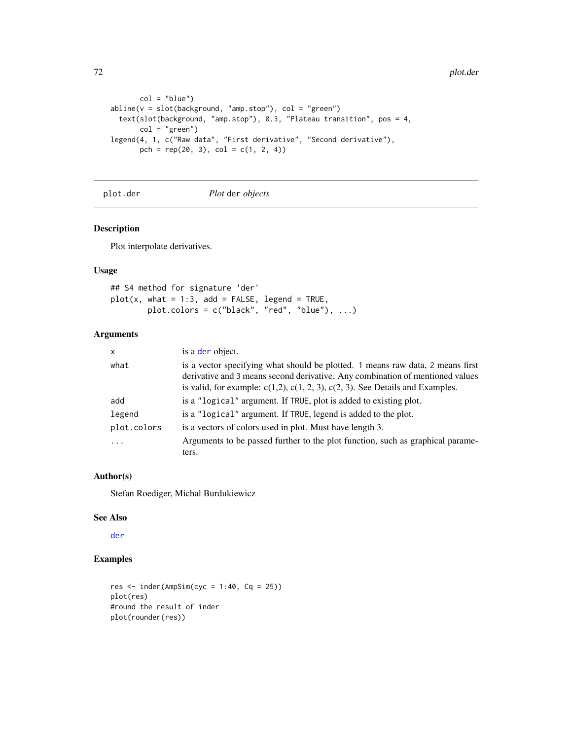```
col = "blue")abline(v = slot(background, "amp.stop"), col = "green")text(slot(background, "amp.stop"), 0.3, "Plateau transition", pos = 4,
      col = "green")legend(4, 1, c("Raw data", "First derivative", "Second derivative"),
      pch = rep(20, 3), col = c(1, 2, 4)
```
<span id="page-71-0"></span>plot.der *Plot* der *objects*

## Description

Plot interpolate derivatives.

## Usage

```
## S4 method for signature 'der'
plot(x, what = 1:3, add = FALSE, legend = TRUE,plot.colors = c("black", "red", "blue"), ...)
```
# Arguments

| X           | is a der object.                                                                                                                                                                                                                                          |
|-------------|-----------------------------------------------------------------------------------------------------------------------------------------------------------------------------------------------------------------------------------------------------------|
| what        | is a vector specifying what should be plotted. 1 means raw data, 2 means first<br>derivative and 3 means second derivative. Any combination of mentioned values<br>is valid, for example: $c(1,2)$ , $c(1, 2, 3)$ , $c(2, 3)$ . See Details and Examples. |
| add         | is a "logical" argument. If TRUE, plot is added to existing plot.                                                                                                                                                                                         |
| legend      | is a "logical" argument. If TRUE, legend is added to the plot.                                                                                                                                                                                            |
| plot.colors | is a vectors of colors used in plot. Must have length 3.                                                                                                                                                                                                  |
| .           | Arguments to be passed further to the plot function, such as graphical parame-                                                                                                                                                                            |
|             | ters.                                                                                                                                                                                                                                                     |

## Author(s)

Stefan Roediger, Michal Burdukiewicz

## See Also

[der](#page-52-0)

```
res <- inder(AmpSim(cyc = 1:40, Cq = 25))
plot(res)
#round the result of inder
plot(rounder(res))
```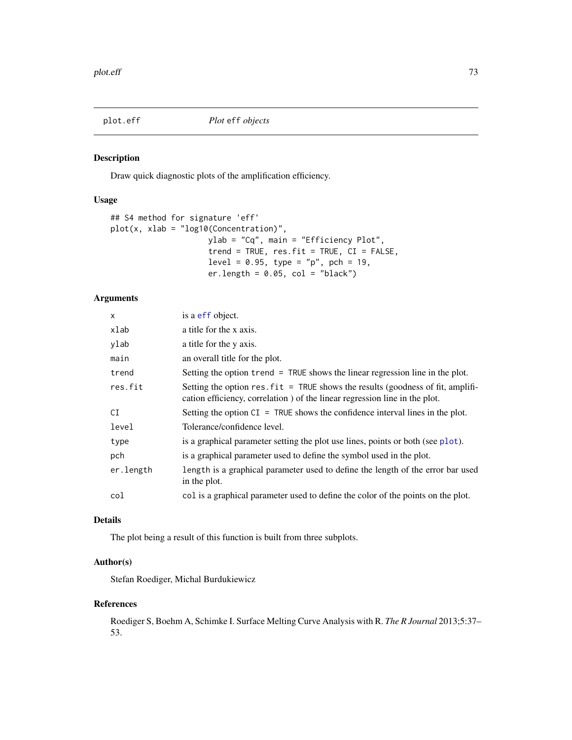<span id="page-72-0"></span>

#### Description

Draw quick diagnostic plots of the amplification efficiency.

# Usage

```
## S4 method for signature 'eff'
plot(x, xlab = "log10(Concentration)",
                     ylab = "Cq", main = "Efficiency Plot",
                     trend = TRUE, res.fit = TRUE, CI = FALSE,
                     level = 0.95, type = "p", pch = 19,
                     er.length = 0.05, col = "black")
```
# Arguments

| $\mathsf{x}$ | is a eff object.                                                                                                                                               |  |
|--------------|----------------------------------------------------------------------------------------------------------------------------------------------------------------|--|
| xlab         | a title for the x axis.                                                                                                                                        |  |
| ylab         | a title for the y axis.                                                                                                                                        |  |
| main         | an overall title for the plot.                                                                                                                                 |  |
| trend        | Setting the option trend = TRUE shows the linear regression line in the plot.                                                                                  |  |
| res.fit      | Setting the option $res.fit = TRUE$ shows the results (goodness of fit, amplifi-<br>cation efficiency, correlation) of the linear regression line in the plot. |  |
| СI           | Setting the option $CI = TRUE$ shows the confidence interval lines in the plot.                                                                                |  |
| level        | Tolerance/confidence level.                                                                                                                                    |  |
| type         | is a graphical parameter setting the plot use lines, points or both (see plot).                                                                                |  |
| pch          | is a graphical parameter used to define the symbol used in the plot.                                                                                           |  |
| er.length    | length is a graphical parameter used to define the length of the error bar used<br>in the plot.                                                                |  |
| col          | col is a graphical parameter used to define the color of the points on the plot.                                                                               |  |

# Details

The plot being a result of this function is built from three subplots.

#### Author(s)

Stefan Roediger, Michal Burdukiewicz

#### References

Roediger S, Boehm A, Schimke I. Surface Melting Curve Analysis with R. *The R Journal* 2013;5:37– 53.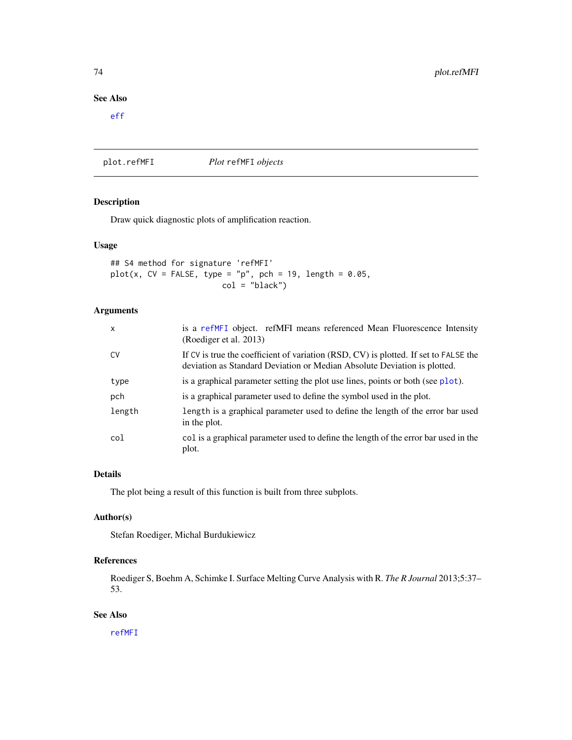# <span id="page-73-1"></span>See Also

[eff](#page-53-0)

<span id="page-73-0"></span>plot.refMFI *Plot* refMFI *objects*

# Description

Draw quick diagnostic plots of amplification reaction.

# Usage

## S4 method for signature 'refMFI'  $plot(x, CV = FALSE, type = "p", pch = 19, length = 0.05,$  $col = "black")$ 

# Arguments

| $\mathsf{x}$ | is a refMFI object. refMFI means referenced Mean Fluorescence Intensity<br>(Roediger et al. 2013)                                                                |
|--------------|------------------------------------------------------------------------------------------------------------------------------------------------------------------|
| <b>CV</b>    | If CV is true the coefficient of variation (RSD, CV) is plotted. If set to FALSE the<br>deviation as Standard Deviation or Median Absolute Deviation is plotted. |
| type         | is a graphical parameter setting the plot use lines, points or both (see plot).                                                                                  |
| pch          | is a graphical parameter used to define the symbol used in the plot.                                                                                             |
| length       | length is a graphical parameter used to define the length of the error bar used<br>in the plot.                                                                  |
| col          | col is a graphical parameter used to define the length of the error bar used in the<br>plot.                                                                     |

# Details

The plot being a result of this function is built from three subplots.

### Author(s)

Stefan Roediger, Michal Burdukiewicz

# References

Roediger S, Boehm A, Schimke I. Surface Melting Curve Analysis with R. *The R Journal* 2013;5:37– 53.

# See Also

[refMFI](#page-75-0)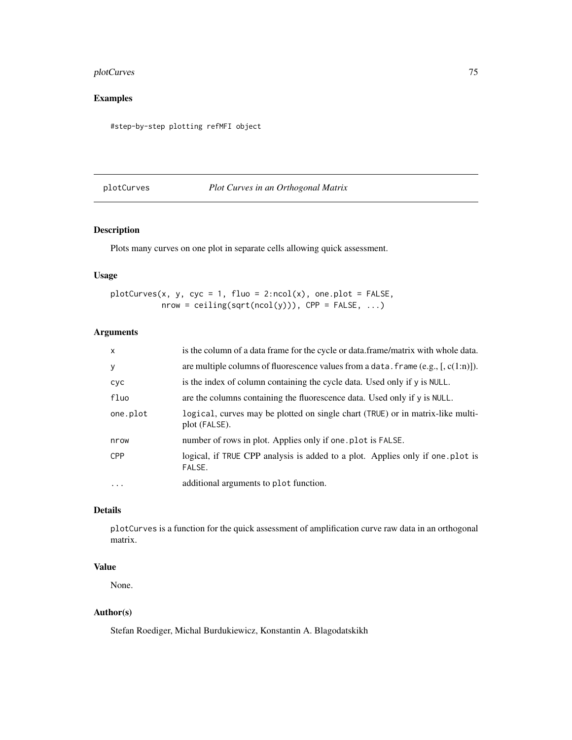# <span id="page-74-0"></span>plotCurves 75

# Examples

#step-by-step plotting refMFI object

# plotCurves *Plot Curves in an Orthogonal Matrix*

# Description

Plots many curves on one plot in separate cells allowing quick assessment.

# Usage

 $plotCurves(x, y, cyc = 1, fluo = 2:ncol(x), one.plot = FALSE,$  $nrow = ceiling(sqrt(ncol(y)))$ ,  $CPP = FALSE, ...)$ 

# Arguments

| $\mathsf{x}$ | is the column of a data frame for the cycle or data.frame/matrix with whole data.               |  |  |
|--------------|-------------------------------------------------------------------------------------------------|--|--|
| y            | are multiple columns of fluorescence values from a data. frame $(e.g., [c(1:n)])$ .             |  |  |
| cyc          | is the index of column containing the cycle data. Used only if y is NULL.                       |  |  |
| fluo         | are the columns containing the fluorescence data. Used only if y is NULL.                       |  |  |
| one.plot     | logical, curves may be plotted on single chart (TRUE) or in matrix-like multi-<br>plot (FALSE). |  |  |
| nrow         | number of rows in plot. Applies only if one plot is FALSE.                                      |  |  |
| <b>CPP</b>   | logical, if TRUE CPP analysis is added to a plot. Applies only if one plot is<br>FALSE.         |  |  |
| $\ddots$ .   | additional arguments to plot function.                                                          |  |  |

# Details

plotCurves is a function for the quick assessment of amplification curve raw data in an orthogonal matrix.

# Value

None.

# Author(s)

Stefan Roediger, Michal Burdukiewicz, Konstantin A. Blagodatskikh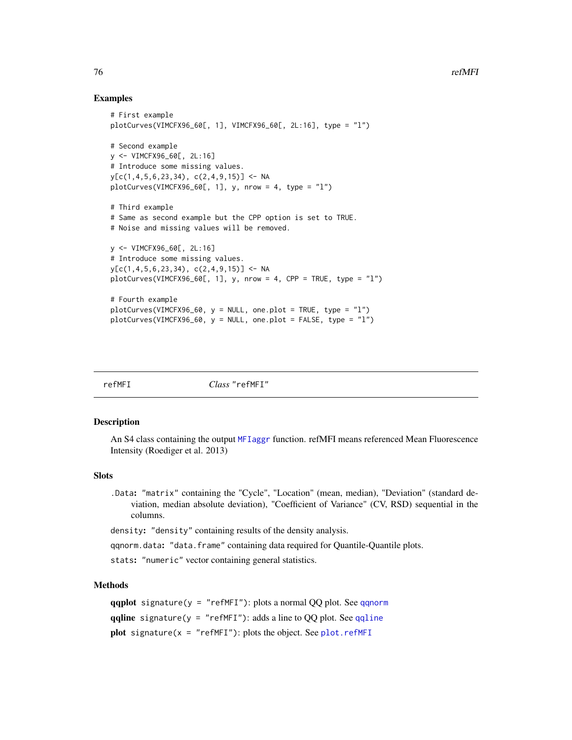# Examples

```
# First example
plotCurves(VIMCFX96_60[, 1], VIMCFX96_60[, 2L:16], type = "l")
# Second example
y <- VIMCFX96_60[, 2L:16]
# Introduce some missing values.
y[c(1,4,5,6,23,34), c(2,4,9,15)] <- NA
plotCurves(VIMCFX96_60[, 1], y, nrow = 4, type = "1")# Third example
# Same as second example but the CPP option is set to TRUE.
# Noise and missing values will be removed.
y <- VIMCFX96_60[, 2L:16]
# Introduce some missing values.
v[c(1,4,5,6,23,34), c(2,4,9,15)] <- NA
plotCurves(VIMCFX96_60[, 1], y, nrow = 4, CPP = TRUE, type = "l")
# Fourth example
plotCurves(VIMCFX96_60, y = NULL, one.plot = TRUE, type = "l")
plotCurves(VIMCFX96_60, y = NULL, one.plot = FALSE, type = "l")
```

| ΛF<br>г |  |
|---------|--|
|---------|--|

refMFI *Class* "refMFI"

#### <span id="page-75-0"></span>Description

An S4 class containing the output [MFIaggr](#page-65-0) function. refMFI means referenced Mean Fluorescence Intensity (Roediger et al. 2013)

#### **Slots**

.Data: "matrix" containing the "Cycle", "Location" (mean, median), "Deviation" (standard deviation, median absolute deviation), "Coefficient of Variance" (CV, RSD) sequential in the columns.

density: "density" containing results of the density analysis.

qqnorm.data: "data.frame" containing data required for Quantile-Quantile plots.

stats: "numeric" vector containing general statistics.

# Methods

```
qqplot signature(y = "refMFI")qqnorm
qqline signature(y = "refMFI"): adds a line to QQ plot. See qqline
plot signature(x = "refMFI"plot.refMFI
```
<span id="page-75-1"></span>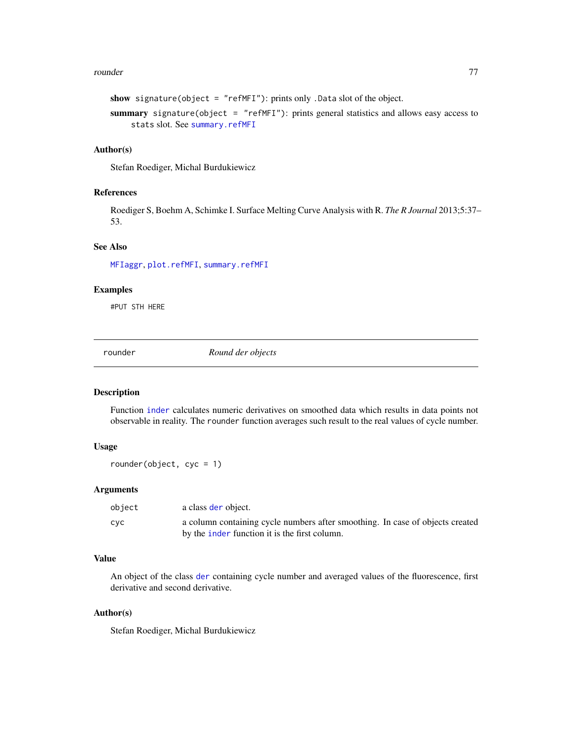#### <span id="page-76-0"></span>rounder 77

```
show signature(object = "refMFI"): prints only .Data slot of the object.
summary signature(object = "refMFI"): prints general statistics and allows easy access to
     stats slot. See summary.refMFI
```
### Author(s)

Stefan Roediger, Michal Burdukiewicz

#### References

Roediger S, Boehm A, Schimke I. Surface Melting Curve Analysis with R. *The R Journal* 2013;5:37– 53.

# See Also

[MFIaggr](#page-65-0), [plot.refMFI](#page-73-0), [summary.refMFI](#page-83-0)

#### Examples

#PUT STH HERE

rounder *Round der objects*

## Description

Function [inder](#page-62-0) calculates numeric derivatives on smoothed data which results in data points not observable in reality. The rounder function averages such result to the real values of cycle number.

#### Usage

rounder(object, cyc = 1)

# Arguments

| object | a class der object.                                                           |
|--------|-------------------------------------------------------------------------------|
| cyc    | a column containing cycle numbers after smoothing. In case of objects created |
|        | by the <i>inder function</i> it is the first column.                          |

# Value

An object of the class [der](#page-52-0) containing cycle number and averaged values of the fluorescence, first derivative and second derivative.

# Author(s)

Stefan Roediger, Michal Burdukiewicz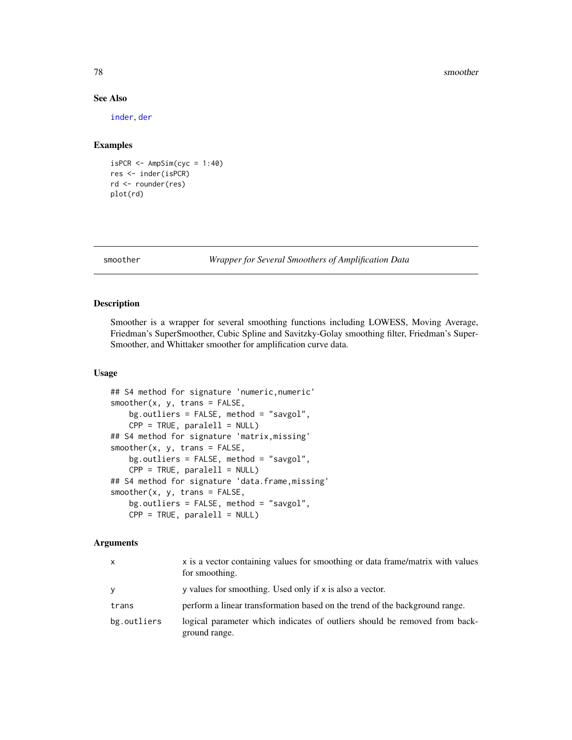#### 78 smoother

# See Also

[inder](#page-62-0), [der](#page-52-0)

#### Examples

```
isPCR \leftarrow AmpSim(cyc = 1:40)res <- inder(isPCR)
rd <- rounder(res)
plot(rd)
```
<span id="page-77-0"></span>

smoother *Wrapper for Several Smoothers of Amplification Data*

# Description

Smoother is a wrapper for several smoothing functions including LOWESS, Moving Average, Friedman's SuperSmoother, Cubic Spline and Savitzky-Golay smoothing filter, Friedman's Super-Smoother, and Whittaker smoother for amplification curve data.

#### Usage

```
## S4 method for signature 'numeric,numeric'
smoother(x, y, trans = FALSE,bg.outliers = FALSE, method = "savgol",
   CPP = TRUE, parallel1 = NULL)## S4 method for signature 'matrix,missing'
smoother(x, y, trans = FALSE,bg.outliers = FALSE, method = "savgol",
   CPP = TRUE, parallel1 = NULL)## S4 method for signature 'data.frame,missing'
smoother(x, y, trans = FALSE,bg.outliers = FALSE, method = "savgol",
   CPP = TRUE, paralell = NULL)
```
# Arguments

| X           | x is a vector containing values for smoothing or data frame/matrix with values<br>for smoothing. |
|-------------|--------------------------------------------------------------------------------------------------|
| V           | y values for smoothing. Used only if x is also a vector.                                         |
| trans       | perform a linear transformation based on the trend of the background range.                      |
| bg.outliers | logical parameter which indicates of outliers should be removed from back-<br>ground range.      |

<span id="page-77-1"></span>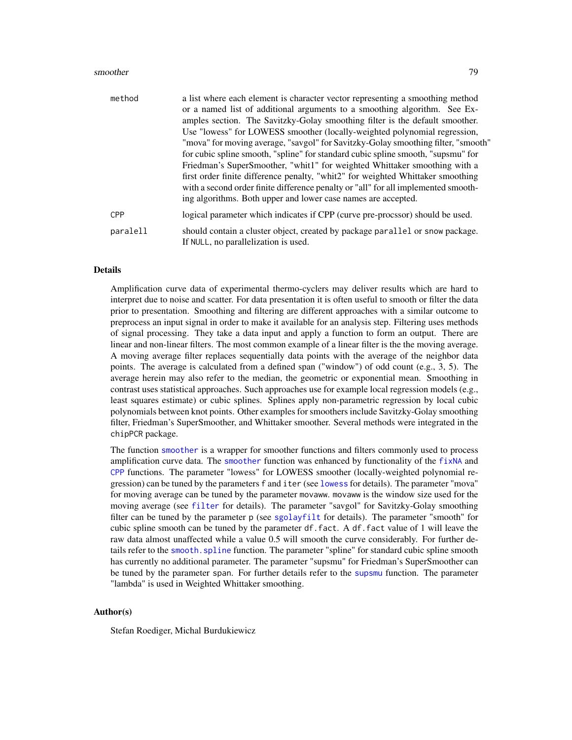#### <span id="page-78-0"></span>smoother 79

| method     | a list where each element is character vector representing a smoothing method<br>or a named list of additional arguments to a smoothing algorithm. See Ex-<br>amples section. The Savitzky-Golay smoothing filter is the default smoother.<br>Use "lowess" for LOWESS smoother (locally-weighted polynomial regression,<br>"mova" for moving average, "savgol" for Savitzky-Golay smoothing filter, "smooth"<br>for cubic spline smooth, "spline" for standard cubic spline smooth, "supsmu" for<br>Friedman's SuperSmoother, "whit1" for weighted Whittaker smoothing with a<br>first order finite difference penalty, "whit2" for weighted Whittaker smoothing<br>with a second order finite difference penalty or "all" for all implemented smooth-<br>ing algorithms. Both upper and lower case names are accepted. |
|------------|-------------------------------------------------------------------------------------------------------------------------------------------------------------------------------------------------------------------------------------------------------------------------------------------------------------------------------------------------------------------------------------------------------------------------------------------------------------------------------------------------------------------------------------------------------------------------------------------------------------------------------------------------------------------------------------------------------------------------------------------------------------------------------------------------------------------------|
| <b>CPP</b> | logical parameter which indicates if CPP (curve pre-procssor) should be used.                                                                                                                                                                                                                                                                                                                                                                                                                                                                                                                                                                                                                                                                                                                                           |
| paralell   | should contain a cluster object, created by package parallel or snow package.<br>If NULL, no parallelization is used.                                                                                                                                                                                                                                                                                                                                                                                                                                                                                                                                                                                                                                                                                                   |

#### Details

Amplification curve data of experimental thermo-cyclers may deliver results which are hard to interpret due to noise and scatter. For data presentation it is often useful to smooth or filter the data prior to presentation. Smoothing and filtering are different approaches with a similar outcome to preprocess an input signal in order to make it available for an analysis step. Filtering uses methods of signal processing. They take a data input and apply a function to form an output. There are linear and non-linear filters. The most common example of a linear filter is the the moving average. A moving average filter replaces sequentially data points with the average of the neighbor data points. The average is calculated from a defined span ("window") of odd count (e.g., 3, 5). The average herein may also refer to the median, the geometric or exponential mean. Smoothing in contrast uses statistical approaches. Such approaches use for example local regression models (e.g., least squares estimate) or cubic splines. Splines apply non-parametric regression by local cubic polynomials between knot points. Other examples for smoothers include Savitzky-Golay smoothing filter, Friedman's SuperSmoother, and Whittaker smoother. Several methods were integrated in the chipPCR package.

The function [smoother](#page-77-0) is a wrapper for smoother functions and filters commonly used to process amplification curve data. The [smoother](#page-77-0) function was enhanced by functionality of the  $fixNA$  and [CPP](#page-49-0) functions. The parameter "lowess" for LOWESS smoother (locally-weighted polynomial regression) can be tuned by the parameters f and iter (see [lowess](#page-0-0) for details). The parameter "mova" for moving average can be tuned by the parameter movaww. movaww is the window size used for the moving average (see [filter](#page-0-0) for details). The parameter "savgol" for Savitzky-Golay smoothing filter can be tuned by the parameter p (see [sgolayfilt](#page-0-0) for details). The parameter "smooth" for cubic spline smooth can be tuned by the parameter df.fact. A df.fact value of 1 will leave the raw data almost unaffected while a value 0.5 will smooth the curve considerably. For further details refer to the smooth. spline function. The parameter "spline" for standard cubic spline smooth has currently no additional parameter. The parameter "supsmu" for Friedman's SuperSmoother can be tuned by the parameter span. For further details refer to the [supsmu](#page-0-0) function. The parameter "lambda" is used in Weighted Whittaker smoothing.

# Author(s)

Stefan Roediger, Michal Burdukiewicz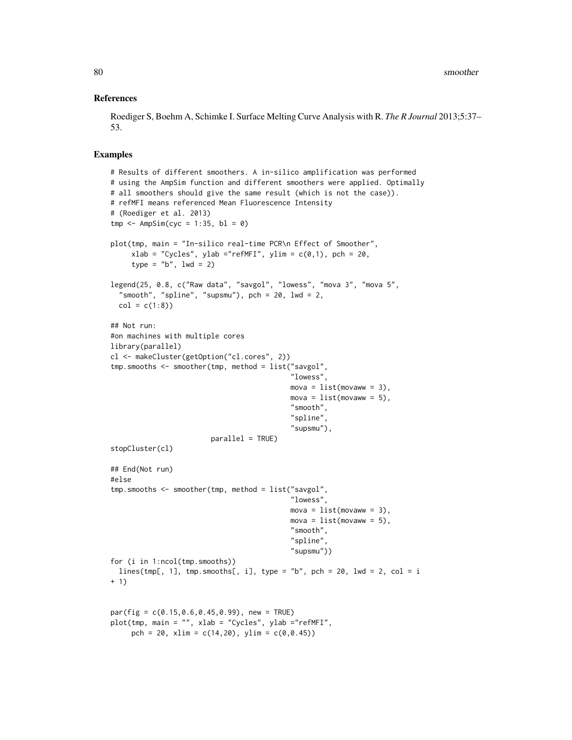#### References

Roediger S, Boehm A, Schimke I. Surface Melting Curve Analysis with R. *The R Journal* 2013;5:37– 53.

#### Examples

```
# Results of different smoothers. A in-silico amplification was performed
# using the AmpSim function and different smoothers were applied. Optimally
# all smoothers should give the same result (which is not the case)).
# refMFI means referenced Mean Fluorescence Intensity
# (Roediger et al. 2013)
tmp \leftarrow AmpSim(cyc = 1:35, bl = 0)plot(tmp, main = "In-silico real-time PCR\n Effect of Smoother",
     xlab = "Cycles", ylab = "refMFI", ylim = c(0,1), pch = 20,type = nb", lwd = 2)
legend(25, 0.8, c("Raw data", "savgol", "lowess", "mova 3", "mova 5",
  "smooth", "spline", "supsmu"), pch = 20, lwd = 2,
  col = c(1:8)## Not run:
#on machines with multiple cores
library(parallel)
cl <- makeCluster(getOption("cl.cores", 2))
tmp.smooths <- smoother(tmp, method = list("savgol",
                                            "lowess",
                                            mova = list(movaww = 3),
                                            mova = list(movaww = 5),
                                            "smooth",
                                            "spline",
                                            "supsmu"),
                        parallel = TRUE)
stopCluster(cl)
## End(Not run)
#else
tmp.smooths <- smoother(tmp, method = list("savgol",
                                            "lowess",
                                            mova = list(movaww = 3),mova = list(movaww = 5),
                                            "smooth",
                                            "spline",
                                            "supsmu"))
for (i in 1:ncol(tmp.smooths))
  lines(tmp[, 1], tmp.smooths[, i], type = "b", pch = 20, lwd = 2, col = i
+ 1)
par(fig = c(0.15, 0.6, 0.45, 0.99), new = TRUE)
plot(tmp, main = "", xlab = "Cycles", ylab ="refMFI",
     pch = 20, x \lim = c(14, 20), y \lim = c(0, 0.45)
```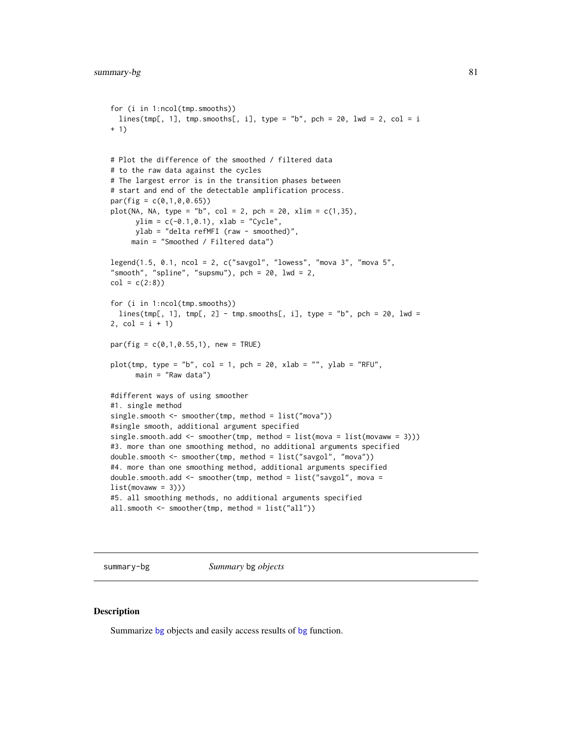```
for (i in 1:ncol(tmp.smooths))
  lines(tmp[, 1], tmp.smooths[, i], type = "b", pch = 20, lwd = 2, col = i
+ 1)
# Plot the difference of the smoothed / filtered data
# to the raw data against the cycles
# The largest error is in the transition phases between
# start and end of the detectable amplification process.
par(fig = c(0,1,0,0.65))plot(NA, NA, type = "b", col = 2, pch = 20, xlim = c(1, 35),ylim = c(-0.1, 0.1), xlab = "Cycle",ylab = "delta refMFI (raw - smoothed)",
     main = "Smoothed / Filtered data")
legend(1.5, 0.1, ncol = 2, c("savgol", "lowess", "mova 3", "mova 5",
"smooth", "spline", "supsmu"), pch = 20, lwd = 2,
col = c(2:8)for (i in 1:ncol(tmp.smooths))
  lines(tmp[, 1], tmp[, 2] - tmp.smooths[, i], type = "b", pch = 20, lwd =2, col = i + 1)par(fig = c(0,1,0.55,1), new = TRUE)
plot(tmp, type = "b", col = 1, pch = 20, xlab = "", ylab = "RFU",
      main = "Raw data")
#different ways of using smoother
#1. single method
single.smooth <- smoother(tmp, method = list("mova"))
#single smooth, additional argument specified
single.smooth.add \leq smoother(tmp, method = list(mova = list(movaww = 3)))
#3. more than one smoothing method, no additional arguments specified
double.smooth <- smoother(tmp, method = list("savgol", "mova"))
#4. more than one smoothing method, additional arguments specified
double.smooth.add <- smoother(tmp, method = list("savgol", mova =
list(movaww = 3))#5. all smoothing methods, no additional arguments specified
all.smooth <- smoother(tmp, method = list("all"))
```
summary-bg *Summary* bg *objects*

#### **Description**

Summarize [bg](#page-12-1) objects and easily access results of bg function.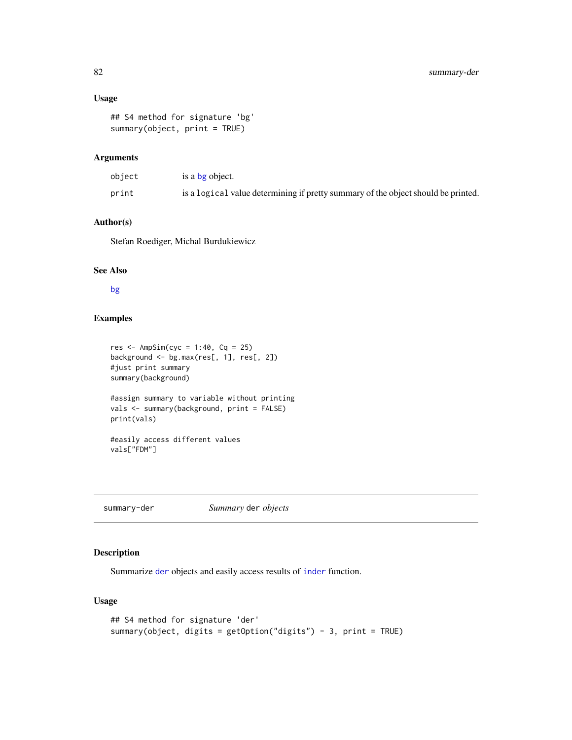# Usage

```
## S4 method for signature 'bg'
summary(object, print = TRUE)
```
## Arguments

| object | is a bg object.                                                                   |
|--------|-----------------------------------------------------------------------------------|
| print  | is a logical value determining if pretty summary of the object should be printed. |

# Author(s)

Stefan Roediger, Michal Burdukiewicz

# See Also

[bg](#page-12-0)

# Examples

```
res \leq AmpSim(cyc = 1:40, Cq = 25)
background <- bg.max(res[, 1], res[, 2])
#just print summary
summary(background)
#assign summary to variable without printing
vals <- summary(background, print = FALSE)
print(vals)
#easily access different values
vals["FDM"]
```
summary-der *Summary* der *objects*

# Description

Summarize [der](#page-52-0) objects and easily access results of [inder](#page-62-0) function.

# Usage

```
## S4 method for signature 'der'
summary(object, digits = getOption("digits") - 3, print = TRUE)
```
<span id="page-81-0"></span>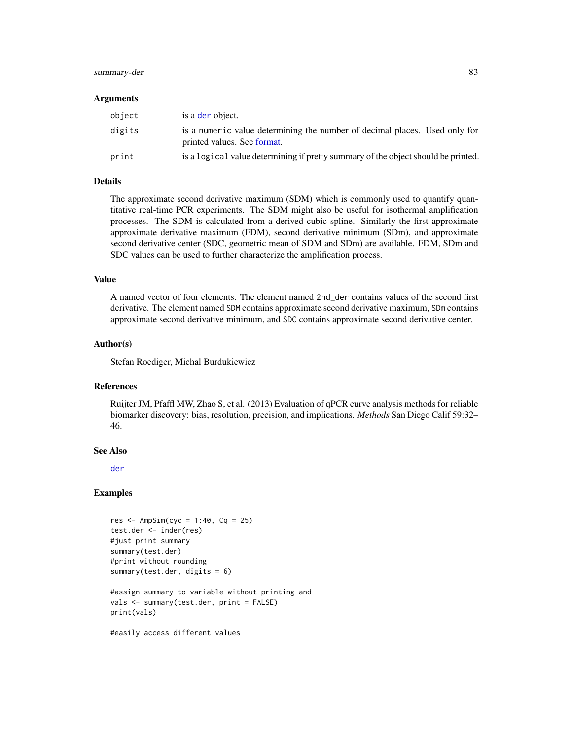# <span id="page-82-0"></span>summary-der 83

#### Arguments

| object | is a der object.                                                                                          |
|--------|-----------------------------------------------------------------------------------------------------------|
| digits | is a numeric value determining the number of decimal places. Used only for<br>printed values. See format. |
| print  | is a logical value determining if pretty summary of the object should be printed.                         |

# Details

The approximate second derivative maximum (SDM) which is commonly used to quantify quantitative real-time PCR experiments. The SDM might also be useful for isothermal amplification processes. The SDM is calculated from a derived cubic spline. Similarly the first approximate approximate derivative maximum (FDM), second derivative minimum (SDm), and approximate second derivative center (SDC, geometric mean of SDM and SDm) are available. FDM, SDm and SDC values can be used to further characterize the amplification process.

#### Value

A named vector of four elements. The element named 2nd\_der contains values of the second first derivative. The element named SDM contains approximate second derivative maximum, SDm contains approximate second derivative minimum, and SDC contains approximate second derivative center.

# Author(s)

Stefan Roediger, Michal Burdukiewicz

#### References

Ruijter JM, Pfaffl MW, Zhao S, et al. (2013) Evaluation of qPCR curve analysis methods for reliable biomarker discovery: bias, resolution, precision, and implications. *Methods* San Diego Calif 59:32– 46.

#### See Also

[der](#page-52-0)

#### Examples

```
res \leq AmpSim(cyc = 1:40, Cq = 25)
test.der <- inder(res)
#just print summary
summary(test.der)
#print without rounding
summary(test.der, digits = 6)
#assign summary to variable without printing and
vals <- summary(test.der, print = FALSE)
print(vals)
```
#easily access different values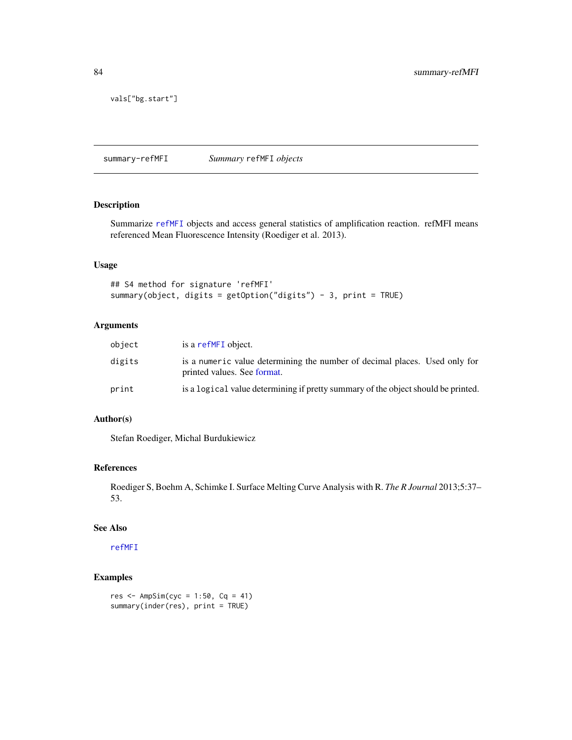<span id="page-83-1"></span>vals["bg.start"]

summary-refMFI *Summary* refMFI *objects*

#### <span id="page-83-0"></span>Description

Summarize [refMFI](#page-75-0) objects and access general statistics of amplification reaction. refMFI means referenced Mean Fluorescence Intensity (Roediger et al. 2013).

### Usage

```
## S4 method for signature 'refMFI'
summary(object, digits = getOption("digits") - 3, print = TRUE)
```
# Arguments

| object | is a refMFI object.                                                                                       |
|--------|-----------------------------------------------------------------------------------------------------------|
| digits | is a numeric value determining the number of decimal places. Used only for<br>printed values. See format. |
| print  | is a logical value determining if pretty summary of the object should be printed.                         |

# Author(s)

Stefan Roediger, Michal Burdukiewicz

# References

Roediger S, Boehm A, Schimke I. Surface Melting Curve Analysis with R. *The R Journal* 2013;5:37– 53.

#### See Also

[refMFI](#page-75-0)

# Examples

res <- AmpSim(cyc = 1:50, Cq = 41) summary(inder(res), print = TRUE)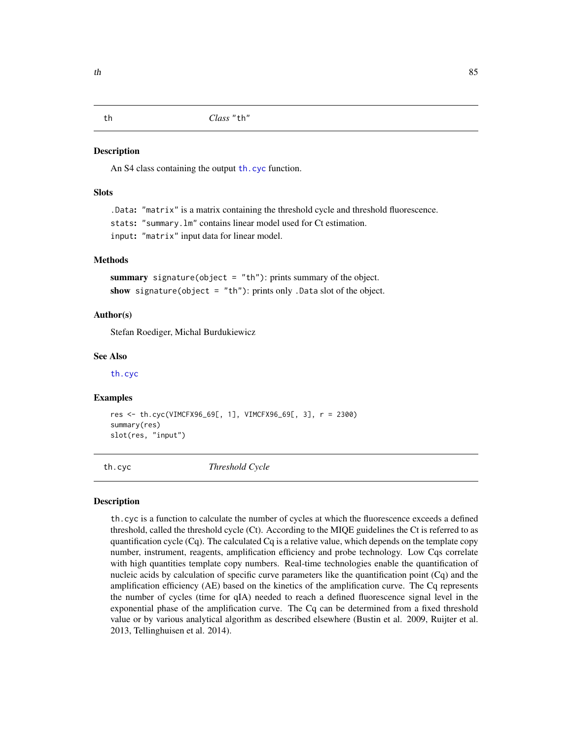<span id="page-84-1"></span>

#### **Description**

An S4 class containing the output [th.cyc](#page-84-0) function.

#### **Slots**

.Data: "matrix" is a matrix containing the threshold cycle and threshold fluorescence. stats: "summary.lm" contains linear model used for Ct estimation. input: "matrix" input data for linear model.

#### Methods

summary signature(object =  $"th"$ ): prints summary of the object. show signature(object = "th"): prints only . Data slot of the object.

#### Author(s)

Stefan Roediger, Michal Burdukiewicz

#### See Also

[th.cyc](#page-84-0)

#### Examples

res <- th.cyc(VIMCFX96\_69[, 1], VIMCFX96\_69[, 3], r = 2300) summary(res) slot(res, "input")

<span id="page-84-0"></span>th.cyc *Threshold Cycle*

# Description

th.cyc is a function to calculate the number of cycles at which the fluorescence exceeds a defined threshold, called the threshold cycle (Ct). According to the MIQE guidelines the Ct is referred to as quantification cycle (Cq). The calculated Cq is a relative value, which depends on the template copy number, instrument, reagents, amplification efficiency and probe technology. Low Cqs correlate with high quantities template copy numbers. Real-time technologies enable the quantification of nucleic acids by calculation of specific curve parameters like the quantification point (Cq) and the amplification efficiency (AE) based on the kinetics of the amplification curve. The Cq represents the number of cycles (time for qIA) needed to reach a defined fluorescence signal level in the exponential phase of the amplification curve. The Cq can be determined from a fixed threshold value or by various analytical algorithm as described elsewhere (Bustin et al. 2009, Ruijter et al. 2013, Tellinghuisen et al. 2014).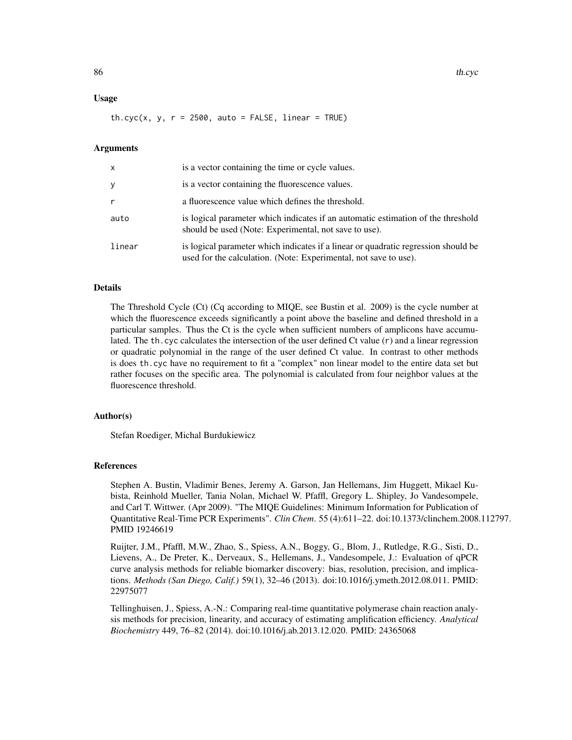#### Usage

 $th.cyc(x, y, r = 2500, auto = FALSE, linear = TRUE)$ 

### Arguments

| x      | is a vector containing the time or cycle values.                                                                                                       |
|--------|--------------------------------------------------------------------------------------------------------------------------------------------------------|
| y      | is a vector containing the fluorescence values.                                                                                                        |
| r      | a fluorescence value which defines the threshold.                                                                                                      |
| auto   | is logical parameter which indicates if an automatic estimation of the threshold<br>should be used (Note: Experimental, not save to use).              |
| linear | is logical parameter which indicates if a linear or quadratic regression should be<br>used for the calculation. (Note: Experimental, not save to use). |

#### Details

The Threshold Cycle (Ct) (Cq according to MIQE, see Bustin et al. 2009) is the cycle number at which the fluorescence exceeds significantly a point above the baseline and defined threshold in a particular samples. Thus the Ct is the cycle when sufficient numbers of amplicons have accumulated. The th.cyc calculates the intersection of the user defined Ct value (r) and a linear regression or quadratic polynomial in the range of the user defined Ct value. In contrast to other methods is does th.cyc have no requirement to fit a "complex" non linear model to the entire data set but rather focuses on the specific area. The polynomial is calculated from four neighbor values at the fluorescence threshold.

#### Author(s)

Stefan Roediger, Michal Burdukiewicz

#### References

Stephen A. Bustin, Vladimir Benes, Jeremy A. Garson, Jan Hellemans, Jim Huggett, Mikael Kubista, Reinhold Mueller, Tania Nolan, Michael W. Pfaffl, Gregory L. Shipley, Jo Vandesompele, and Carl T. Wittwer. (Apr 2009). "The MIQE Guidelines: Minimum Information for Publication of Quantitative Real-Time PCR Experiments". *Clin Chem*. 55 (4):611–22. doi:10.1373/clinchem.2008.112797. PMID 19246619

Ruijter, J.M., Pfaffl, M.W., Zhao, S., Spiess, A.N., Boggy, G., Blom, J., Rutledge, R.G., Sisti, D., Lievens, A., De Preter, K., Derveaux, S., Hellemans, J., Vandesompele, J.: Evaluation of qPCR curve analysis methods for reliable biomarker discovery: bias, resolution, precision, and implications. *Methods (San Diego, Calif.)* 59(1), 32–46 (2013). doi:10.1016/j.ymeth.2012.08.011. PMID: 22975077

Tellinghuisen, J., Spiess, A.-N.: Comparing real-time quantitative polymerase chain reaction analysis methods for precision, linearity, and accuracy of estimating amplification efficiency. *Analytical Biochemistry* 449, 76–82 (2014). doi:10.1016/j.ab.2013.12.020. PMID: 24365068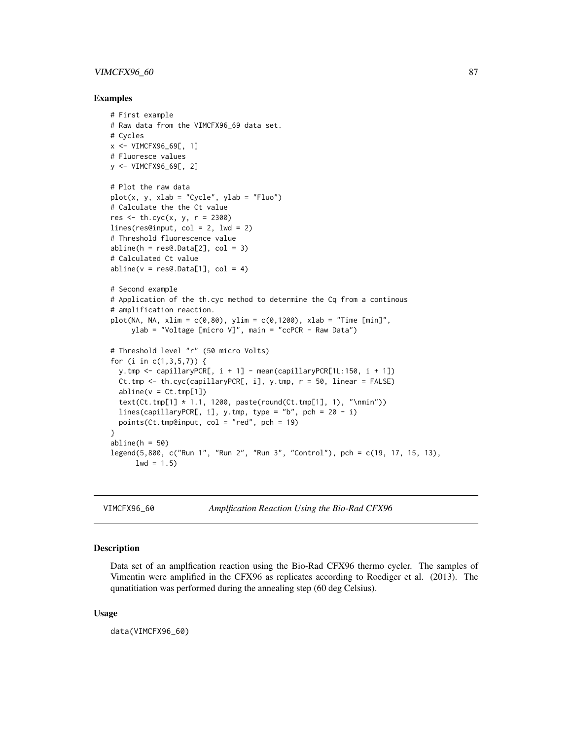# <span id="page-86-0"></span>VIMCFX96\_60 87

#### Examples

```
# First example
# Raw data from the VIMCFX96_69 data set.
# Cycles
x <- VIMCFX96_69[, 1]
# Fluoresce values
y <- VIMCFX96_69[, 2]
# Plot the raw data
plot(x, y, xlab = "Cycle", ylab = "Fluo")# Calculate the the Ct value
res <- th.cyc(x, y, r = 2300)
lines(res@input, col = 2, 1wd = 2)
# Threshold fluorescence value
abline(h = res@.DataFrame2], col = 3)# Calculated Ct value
abline(v = res@.DataFrame[1], col = 4)# Second example
# Application of the th.cyc method to determine the Cq from a continous
# amplification reaction.
plot(NA, NA, xlim = c(0, 80), ylim = c(0, 1200), xlab = "Time [min]",ylab = "Voltage [micro V]", main = "ccPCR - Raw Data")
# Threshold level "r" (50 micro Volts)
for (i in c(1,3,5,7)) {
  y.tmp <- capillaryPCR[, i + 1] - mean(capillaryPCR[1L:150, i + 1])
  Ct.tmp <- th.cyc(capillaryPCR[, i], y.tmp, r = 50, linear = FALSE)
  abline(v = Ct.tmp[1])text(Ct.tmp[1] * 1.1, 1200, paste(round(Ct.tmp[1], 1), "\\min"))lines(capillaryPCR[, i], y.tmp, type = "b", pch = 20 - i)
  points(Ct.tmp@input, col = "red", pch = 19)
}
abline(h = 50)legend(5,800, c("Run 1", "Run 2", "Run 3", "Control"), pch = c(19, 17, 15, 13),
      1wd = 1.5
```
VIMCFX96\_60 *Amplfication Reaction Using the Bio-Rad CFX96*

#### Description

Data set of an amplfication reaction using the Bio-Rad CFX96 thermo cycler. The samples of Vimentin were amplified in the CFX96 as replicates according to Roediger et al. (2013). The qunatitiation was performed during the annealing step (60 deg Celsius).

#### Usage

data(VIMCFX96\_60)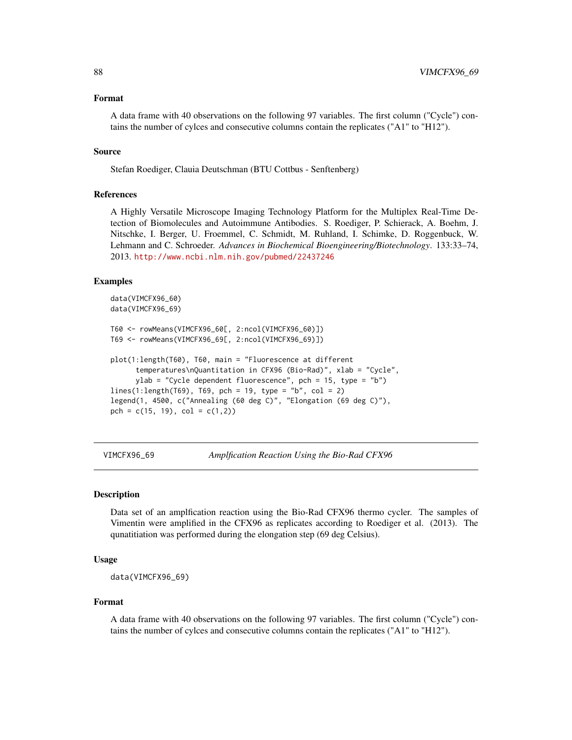#### <span id="page-87-0"></span>Format

A data frame with 40 observations on the following 97 variables. The first column ("Cycle") contains the number of cylces and consecutive columns contain the replicates ("A1" to "H12").

#### Source

Stefan Roediger, Clauia Deutschman (BTU Cottbus - Senftenberg)

#### References

A Highly Versatile Microscope Imaging Technology Platform for the Multiplex Real-Time Detection of Biomolecules and Autoimmune Antibodies. S. Roediger, P. Schierack, A. Boehm, J. Nitschke, I. Berger, U. Froemmel, C. Schmidt, M. Ruhland, I. Schimke, D. Roggenbuck, W. Lehmann and C. Schroeder. *Advances in Biochemical Bioengineering/Biotechnology*. 133:33–74, 2013. <http://www.ncbi.nlm.nih.gov/pubmed/22437246>

#### Examples

```
data(VIMCFX96_60)
data(VIMCFX96_69)
```

```
T60 <- rowMeans(VIMCFX96_60[, 2:ncol(VIMCFX96_60)])
T69 <- rowMeans(VIMCFX96_69[, 2:ncol(VIMCFX96_69)])
```

```
plot(1:length(T60), T60, main = "Fluorescence at different
      temperatures\nQuantitation in CFX96 (Bio-Rad)", xlab = "Cycle",
      ylab = "Cycle dependent fluorescence", pch = 15, type = "b")
lines(1:length(T69), T69, pch = 19, type = "b", col = 2)
legend(1, 4500, c("Annealing (60 deg C)", "Elongation (69 deg C)"),
pch = c(15, 19), col = c(1, 2)
```
VIMCFX96\_69 *Amplfication Reaction Using the Bio-Rad CFX96*

#### **Description**

Data set of an amplfication reaction using the Bio-Rad CFX96 thermo cycler. The samples of Vimentin were amplified in the CFX96 as replicates according to Roediger et al. (2013). The qunatitiation was performed during the elongation step (69 deg Celsius).

# Usage

data(VIMCFX96\_69)

#### Format

A data frame with 40 observations on the following 97 variables. The first column ("Cycle") contains the number of cylces and consecutive columns contain the replicates ("A1" to "H12").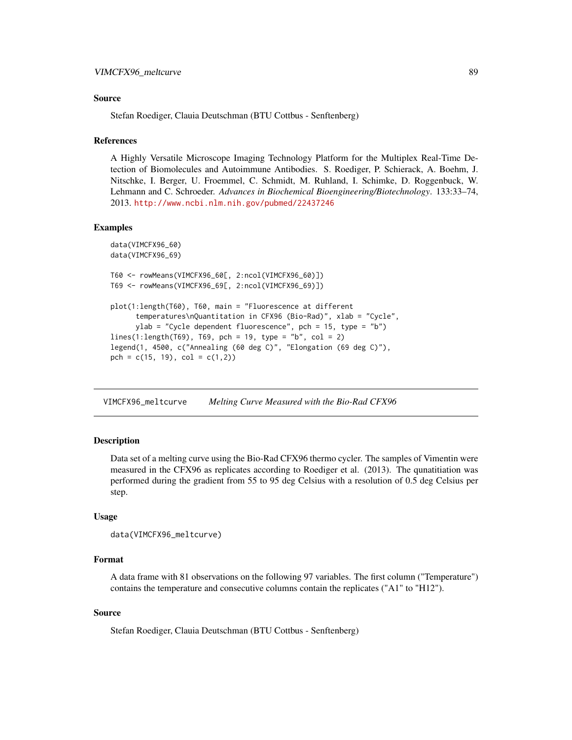#### <span id="page-88-0"></span>Source

Stefan Roediger, Clauia Deutschman (BTU Cottbus - Senftenberg)

#### References

A Highly Versatile Microscope Imaging Technology Platform for the Multiplex Real-Time Detection of Biomolecules and Autoimmune Antibodies. S. Roediger, P. Schierack, A. Boehm, J. Nitschke, I. Berger, U. Froemmel, C. Schmidt, M. Ruhland, I. Schimke, D. Roggenbuck, W. Lehmann and C. Schroeder. *Advances in Biochemical Bioengineering/Biotechnology*. 133:33–74, 2013. <http://www.ncbi.nlm.nih.gov/pubmed/22437246>

#### Examples

```
data(VIMCFX96_60)
data(VIMCFX96_69)
T60 <- rowMeans(VIMCFX96_60[, 2:ncol(VIMCFX96_60)])
T69 <- rowMeans(VIMCFX96_69[, 2:ncol(VIMCFX96_69)])
plot(1:length(T60), T60, main = "Fluorescence at different
      temperatures\nQuantitation in CFX96 (Bio-Rad)", xlab = "Cycle",
     ylab = "Cycle dependent fluorescence", pch = 15, type = "b")
lines(1:length(T69), T69, pch = 19, type = "b", col = 2)legend(1, 4500, c("Annealing (60 deg C)", "Elongation (69 deg C)"),
pch = c(15, 19), col = c(1,2)
```
VIMCFX96\_meltcurve *Melting Curve Measured with the Bio-Rad CFX96*

#### Description

Data set of a melting curve using the Bio-Rad CFX96 thermo cycler. The samples of Vimentin were measured in the CFX96 as replicates according to Roediger et al. (2013). The qunatitiation was performed during the gradient from 55 to 95 deg Celsius with a resolution of 0.5 deg Celsius per step.

#### Usage

```
data(VIMCFX96_meltcurve)
```
#### Format

A data frame with 81 observations on the following 97 variables. The first column ("Temperature") contains the temperature and consecutive columns contain the replicates ("A1" to "H12").

#### Source

Stefan Roediger, Clauia Deutschman (BTU Cottbus - Senftenberg)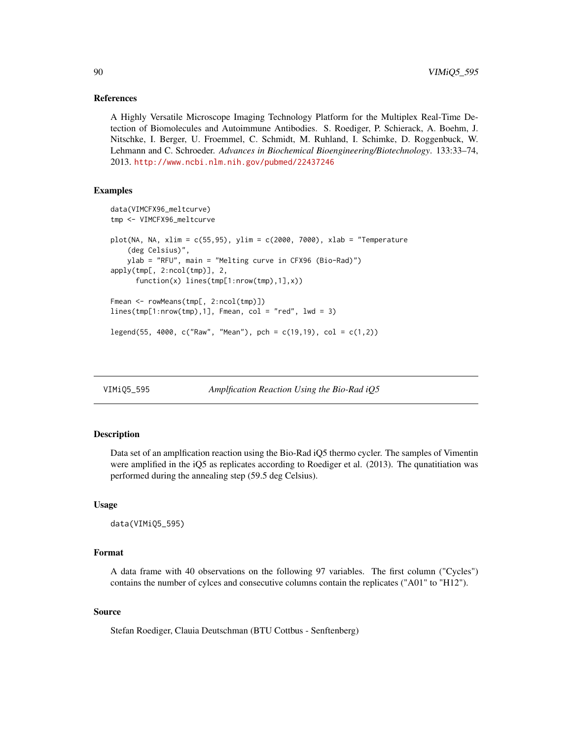### References

A Highly Versatile Microscope Imaging Technology Platform for the Multiplex Real-Time Detection of Biomolecules and Autoimmune Antibodies. S. Roediger, P. Schierack, A. Boehm, J. Nitschke, I. Berger, U. Froemmel, C. Schmidt, M. Ruhland, I. Schimke, D. Roggenbuck, W. Lehmann and C. Schroeder. *Advances in Biochemical Bioengineering/Biotechnology*. 133:33–74, 2013. <http://www.ncbi.nlm.nih.gov/pubmed/22437246>

#### Examples

```
data(VIMCFX96_meltcurve)
tmp <- VIMCFX96_meltcurve
plot(NA, NA, xlim = c(55,95), ylim = c(2000, 7000), xlab = "Temperature
    (deg Celsius)",
   ylab = "RFU", main = "Melting curve in CFX96 (Bio-Rad)")
apply(tmp[, 2:ncol(tmp)], 2,
      function(x) lines(tmp[1:nrow(tmp),1],x))
Fmean <- rowMeans(tmp[, 2:ncol(tmp)])
lines(tmp[1:nrow(tmp),1], Fmean, col = "red", lwd = 3)
legend(55, 4000, c("Raw", "Mean"), pch = c(19,19), col = c(1,2))
```

| VIMiQ5_595 | Amplfication Reaction Using the Bio-Rad iQ5 |  |
|------------|---------------------------------------------|--|
|            |                                             |  |

#### Description

Data set of an amplfication reaction using the Bio-Rad iQ5 thermo cycler. The samples of Vimentin were amplified in the iQ5 as replicates according to Roediger et al. (2013). The qunatitiation was performed during the annealing step (59.5 deg Celsius).

#### Usage

```
data(VIMiQ5_595)
```
#### Format

A data frame with 40 observations on the following 97 variables. The first column ("Cycles") contains the number of cylces and consecutive columns contain the replicates ("A01" to "H12").

## Source

Stefan Roediger, Clauia Deutschman (BTU Cottbus - Senftenberg)

<span id="page-89-0"></span>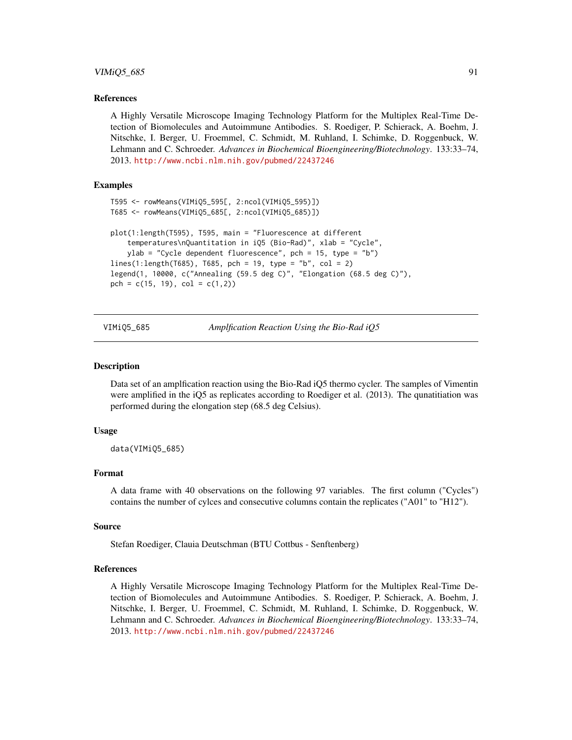#### <span id="page-90-0"></span> $VIMiQ5_685$  91

#### References

A Highly Versatile Microscope Imaging Technology Platform for the Multiplex Real-Time Detection of Biomolecules and Autoimmune Antibodies. S. Roediger, P. Schierack, A. Boehm, J. Nitschke, I. Berger, U. Froemmel, C. Schmidt, M. Ruhland, I. Schimke, D. Roggenbuck, W. Lehmann and C. Schroeder. *Advances in Biochemical Bioengineering/Biotechnology*. 133:33–74, 2013. <http://www.ncbi.nlm.nih.gov/pubmed/22437246>

# Examples

```
T595 <- rowMeans(VIMiQ5_595[, 2:ncol(VIMiQ5_595)])
T685 <- rowMeans(VIMiQ5_685[, 2:ncol(VIMiQ5_685)])
plot(1:length(T595), T595, main = "Fluorescence at different
    temperatures\nQuantitation in iQ5 (Bio-Rad)", xlab = "Cycle",
    ylab = "Cycle dependent fluorescence", pch = 15, type = "b")
lines(1:length(T685), T685, pch = 19, type = "b", col = 2)legend(1, 10000, c("Annealing (59.5 deg C)", "Elongation (68.5 deg C)"),
pch = c(15, 19), col = c(1,2))
```
VIMiQ5\_685 *Amplfication Reaction Using the Bio-Rad iQ5*

#### **Description**

Data set of an amplfication reaction using the Bio-Rad iQ5 thermo cycler. The samples of Vimentin were amplified in the iQ5 as replicates according to Roediger et al. (2013). The qunatitiation was performed during the elongation step (68.5 deg Celsius).

#### Usage

data(VIMiQ5\_685)

#### Format

A data frame with 40 observations on the following 97 variables. The first column ("Cycles") contains the number of cylces and consecutive columns contain the replicates ("A01" to "H12").

#### Source

Stefan Roediger, Clauia Deutschman (BTU Cottbus - Senftenberg)

#### References

A Highly Versatile Microscope Imaging Technology Platform for the Multiplex Real-Time Detection of Biomolecules and Autoimmune Antibodies. S. Roediger, P. Schierack, A. Boehm, J. Nitschke, I. Berger, U. Froemmel, C. Schmidt, M. Ruhland, I. Schimke, D. Roggenbuck, W. Lehmann and C. Schroeder. *Advances in Biochemical Bioengineering/Biotechnology*. 133:33–74, 2013. <http://www.ncbi.nlm.nih.gov/pubmed/22437246>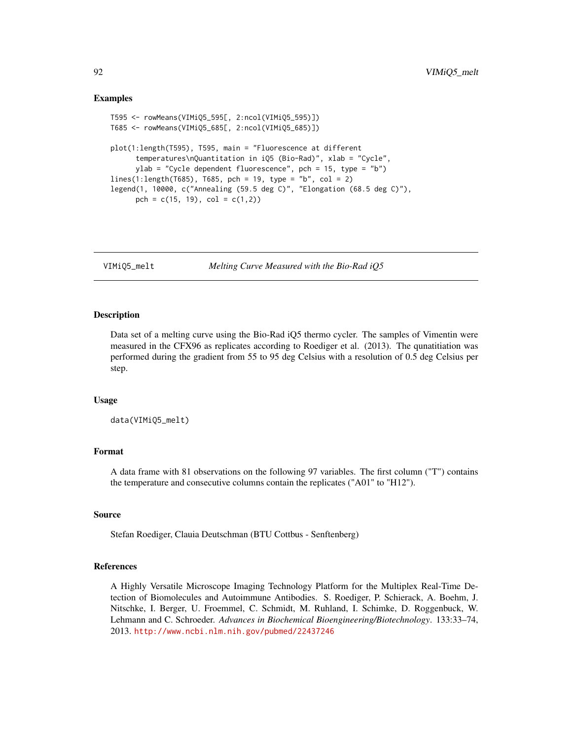#### Examples

```
T595 <- rowMeans(VIMiQ5_595[, 2:ncol(VIMiQ5_595)])
T685 <- rowMeans(VIMiQ5_685[, 2:ncol(VIMiQ5_685)])
plot(1:length(T595), T595, main = "Fluorescence at different
      temperatures\nQuantitation in iQ5 (Bio-Rad)", xlab = "Cycle",
     ylab = "Cycle dependent fluorescence", pch = 15, type = "b")
lines(1:length(7685), 7685, pch = 19, type = "b", col = 2)legend(1, 10000, c("Annealing (59.5 deg C)", "Elongation (68.5 deg C)"),
     pch = c(15, 19), col = c(1,2))
```
VIMiQ5\_melt *Melting Curve Measured with the Bio-Rad iQ5*

#### Description

Data set of a melting curve using the Bio-Rad iQ5 thermo cycler. The samples of Vimentin were measured in the CFX96 as replicates according to Roediger et al. (2013). The qunatitiation was performed during the gradient from 55 to 95 deg Celsius with a resolution of 0.5 deg Celsius per step.

#### Usage

data(VIMiQ5\_melt)

# Format

A data frame with 81 observations on the following 97 variables. The first column ("T") contains the temperature and consecutive columns contain the replicates ("A01" to "H12").

#### Source

Stefan Roediger, Clauia Deutschman (BTU Cottbus - Senftenberg)

#### References

A Highly Versatile Microscope Imaging Technology Platform for the Multiplex Real-Time Detection of Biomolecules and Autoimmune Antibodies. S. Roediger, P. Schierack, A. Boehm, J. Nitschke, I. Berger, U. Froemmel, C. Schmidt, M. Ruhland, I. Schimke, D. Roggenbuck, W. Lehmann and C. Schroeder. *Advances in Biochemical Bioengineering/Biotechnology*. 133:33–74, 2013. <http://www.ncbi.nlm.nih.gov/pubmed/22437246>

<span id="page-91-0"></span>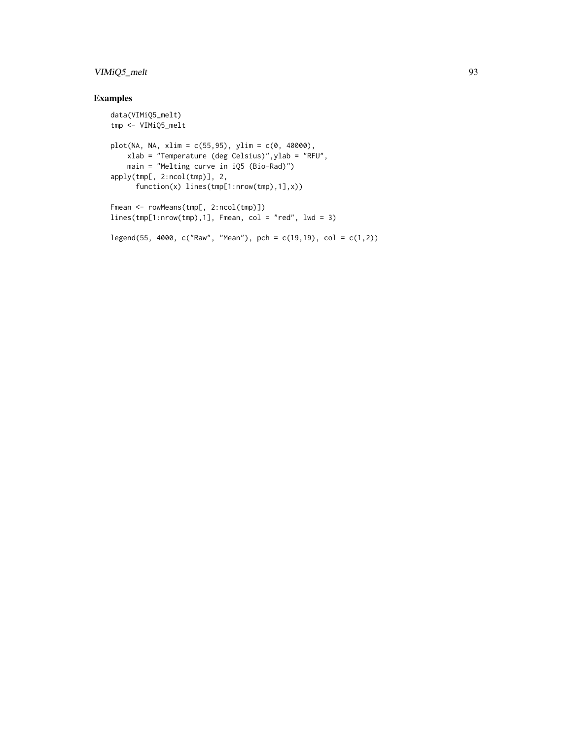# VIMiQ5\_melt 93

# Examples

```
data(VIMiQ5_melt)
tmp <- VIMiQ5_melt
plot(NA, NA, xlim = c(55,95), ylim = c(0, 40000),
    xlab = "Temperature (deg Celsius)",ylab = "RFU",
    main = "Melting curve in iQ5 (Bio-Rad)")
apply(tmp[, 2:ncol(tmp)], 2,
      function(x) lines(tmp[1:nrow(tmp),1],x))
Fmean <- rowMeans(tmp[, 2:ncol(tmp)])
lines(tmp[1:nrow(tmp),1], Fmean, col = "red", lwd = 3)legend(55, 4000, c("Raw", "Mean"), pch = c(19,19), col = c(1,2))
```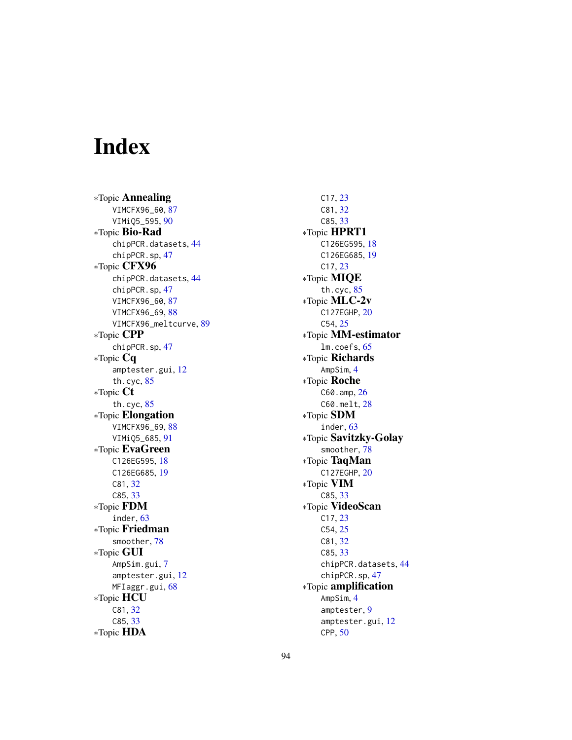# Index

∗Topic Annealing VIMCFX96\_60, [87](#page-86-0) VIMiQ5\_595, [90](#page-89-0) ∗Topic Bio-Rad chipPCR.datasets, [44](#page-43-0) chipPCR.sp, [47](#page-46-0) ∗Topic CFX96 chipPCR.datasets, [44](#page-43-0) chipPCR.sp, [47](#page-46-0) VIMCFX96\_60, [87](#page-86-0) VIMCFX96\_69, [88](#page-87-0) VIMCFX96\_meltcurve, [89](#page-88-0) ∗Topic CPP chipPCR.sp, [47](#page-46-0) ∗Topic Cq amptester.gui, [12](#page-11-0) th.cyc, [85](#page-84-1) ∗Topic Ct th.cyc, [85](#page-84-1) ∗Topic Elongation VIMCFX96\_69, [88](#page-87-0) VIMiQ5\_685, [91](#page-90-0) ∗Topic EvaGreen C126EG595, [18](#page-17-0) C126EG685, [19](#page-18-0) C81, [32](#page-31-0) C85, [33](#page-32-0) ∗Topic FDM inder, [63](#page-62-1) ∗Topic Friedman smoother, [78](#page-77-1) ∗Topic GUI AmpSim.gui, [7](#page-6-0) amptester.gui, [12](#page-11-0) MFIaggr.gui, [68](#page-67-0) ∗Topic HCU C81, [32](#page-31-0) C85, [33](#page-32-0) ∗Topic HDA

C17, [23](#page-22-0) C81, [32](#page-31-0) C85, [33](#page-32-0) ∗Topic HPRT1 C126EG595, [18](#page-17-0) C126EG685, [19](#page-18-0) C17, [23](#page-22-0) ∗Topic MIQE th.cyc, [85](#page-84-1) ∗Topic MLC-2v C127EGHP, [20](#page-19-0) C54, [25](#page-24-0) ∗Topic MM-estimator lm.coefs, [65](#page-64-0) ∗Topic Richards AmpSim, [4](#page-3-0) ∗Topic Roche C60.amp, [26](#page-25-0) C60.melt, [28](#page-27-0) ∗Topic SDM inder, [63](#page-62-1) ∗Topic Savitzky-Golay smoother, [78](#page-77-1) ∗Topic TaqMan C127EGHP, [20](#page-19-0) ∗Topic VIM C85, [33](#page-32-0) ∗Topic VideoScan C17, [23](#page-22-0) C54, [25](#page-24-0) C81, [32](#page-31-0) C85, [33](#page-32-0) chipPCR.datasets, [44](#page-43-0) chipPCR.sp, [47](#page-46-0) ∗Topic amplification AmpSim, [4](#page-3-0) amptester, [9](#page-8-0) amptester.gui, [12](#page-11-0) CPP, [50](#page-49-1)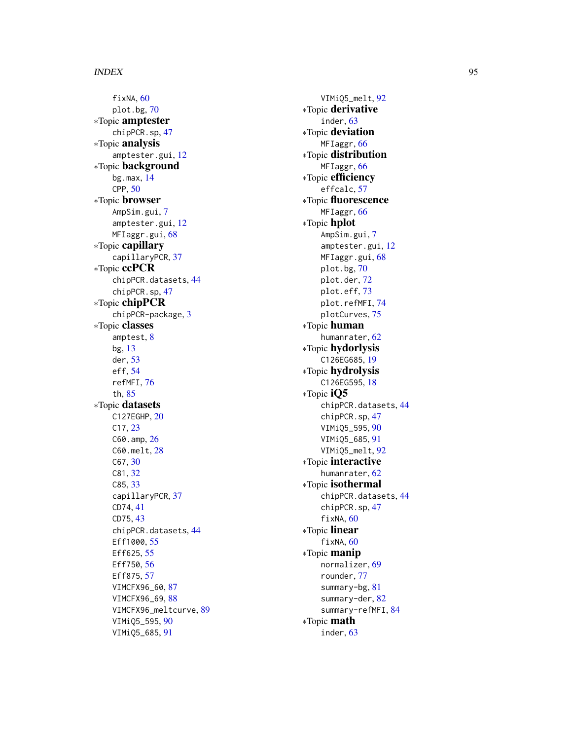#### INDEX 95

fixNA, [60](#page-59-1) plot.bg , [70](#page-69-0) ∗Topic amptester chipPCR.sp , [47](#page-46-0) ∗Topic analysis amptester.gui , [12](#page-11-0) ∗Topic background bg.max , [14](#page-13-0) CPP , [50](#page-49-1) ∗Topic browser AmpSim.gui, [7](#page-6-0) amptester.gui , [12](#page-11-0) MFIaggr.gui, [68](#page-67-0) ∗Topic capillary capillaryPCR, [37](#page-36-0) ∗Topic ccPCR chipPCR.datasets , [44](#page-43-0) chipPCR.sp , [47](#page-46-0) ∗Topic chipPCR chipPCR-package , [3](#page-2-0) ∗Topic classes amptest , [8](#page-7-0) bg , [13](#page-12-2) der , [53](#page-52-1) eff , [54](#page-53-1) refMFI , [76](#page-75-1) th , [85](#page-84-1) ∗Topic datasets C127EGHP , [20](#page-19-0) C17 , [23](#page-22-0) C60.amp, [26](#page-25-0) C60.melt , [28](#page-27-0) C67 , [30](#page-29-0) C81 , [32](#page-31-0) C85, [33](#page-32-0) capillaryPCR, [37](#page-36-0) CD74 , [41](#page-40-0) CD75 , [43](#page-42-0) chipPCR.datasets , [44](#page-43-0) Eff1000, [55](#page-54-0) Eff625, [55](#page-54-0) Eff750, [56](#page-55-0) Eff875, [57](#page-56-0) VIMCFX96\_60 , [87](#page-86-0) VIMCFX96\_69, [88](#page-87-0) VIMCFX96\_meltcurve , [89](#page-88-0) VIMiQ5\_595 , [90](#page-89-0) VIMiQ5\_685 , [91](#page-90-0)

VIMiQ5\_melt , [92](#page-91-0) ∗Topic derivative inder, [63](#page-62-1) ∗Topic deviation MFIaggr, [66](#page-65-1) ∗Topic distribution MFIaggr, [66](#page-65-1) ∗Topic efficiency effcalc , [57](#page-56-0) ∗Topic fluorescence MFIaggr, [66](#page-65-1) ∗Topic hplot AmpSim.gui,[7](#page-6-0) amptester.gui , [12](#page-11-0) MFIaggr.gui, [68](#page-67-0) plot.bg , [70](#page-69-0) plot.der , [72](#page-71-0) plot.eff , [73](#page-72-0) plot.refMFI , [74](#page-73-1) plotCurves , [75](#page-74-0) ∗Topic human humanrater , [62](#page-61-0) ∗Topic hydorlysis C126EG685 , [19](#page-18-0) ∗Topic hydrolysis C126EG595, [18](#page-17-0) ∗Topic iQ5 chipPCR.datasets , [44](#page-43-0) chipPCR.sp , [47](#page-46-0) VIMiQ5\_595 , [90](#page-89-0) VIMiQ5\_685 , [91](#page-90-0) VIMiQ5\_melt , [92](#page-91-0) ∗Topic interactive humanrater , [62](#page-61-0) ∗Topic isothermal chipPCR.datasets , [44](#page-43-0) chipPCR.sp , [47](#page-46-0) fixNA, [60](#page-59-1) ∗Topic linear fixNA, [60](#page-59-1) ∗Topic manip normalizer , [69](#page-68-0) rounder , [77](#page-76-0) summary-bg , [81](#page-80-0) summary-der, [82](#page-81-0) summary-refMFI, [84](#page-83-1) ∗Topic math inder , [63](#page-62-1)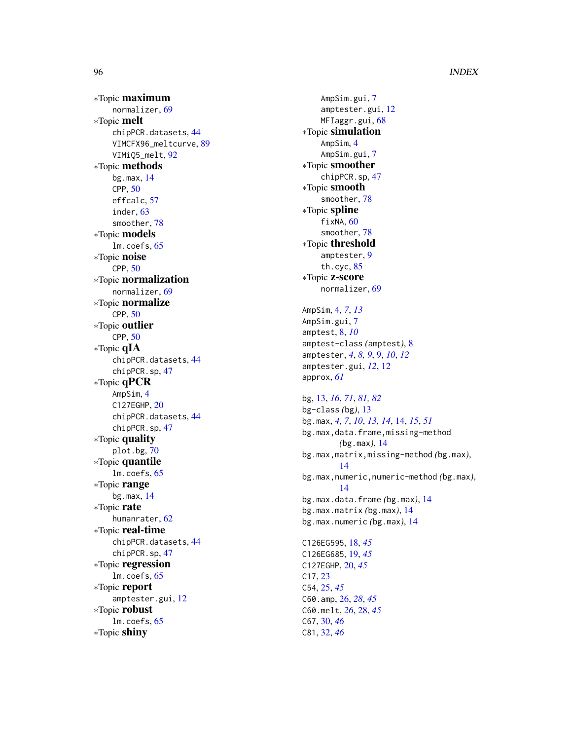# 96 **INDEX**

∗Topic maximum normalizer , [69](#page-68-0) ∗Topic melt chipPCR.datasets , [44](#page-43-0) VIMCFX96\_meltcurve , [89](#page-88-0) VIMiQ5\_melt , [92](#page-91-0) ∗Topic methods bg.max , [14](#page-13-0) CPP , [50](#page-49-1) effcalc , [57](#page-56-0) inder , [63](#page-62-1) smoother , [78](#page-77-1) ∗Topic models lm.coefs , [65](#page-64-0) ∗Topic noise CPP , [50](#page-49-1) ∗Topic normalization normalizer , [69](#page-68-0) ∗Topic normalize CPP , [50](#page-49-1) ∗Topic outlier CPP , [50](#page-49-1) ∗Topic qIA chipPCR.datasets , [44](#page-43-0) chipPCR.sp , [47](#page-46-0) ∗Topic qPCR AmpSim , [4](#page-3-0) C127EGHP , [20](#page-19-0) chipPCR.datasets , [44](#page-43-0) chipPCR.sp , [47](#page-46-0) ∗Topic quality plot.bg , [70](#page-69-0) ∗Topic quantile lm.coefs , [65](#page-64-0) ∗Topic range bg.max , [14](#page-13-0) ∗Topic rate humanrater , [62](#page-61-0) ∗Topic real-time chipPCR.datasets , [44](#page-43-0) chipPCR.sp , [47](#page-46-0) ∗Topic regression lm.coefs , [65](#page-64-0) ∗Topic report amptester.gui , [12](#page-11-0) ∗Topic robust lm.coefs , [65](#page-64-0) ∗Topic shiny

AmpSim.gui,[7](#page-6-0) amptester.gui , [12](#page-11-0) MFIaggr.gui, [68](#page-67-0) ∗Topic simulation AmpSim , [4](#page-3-0) AmpSim.gui,[7](#page-6-0) ∗Topic smoother chipPCR.sp , [47](#page-46-0) ∗Topic smooth smoother , [78](#page-77-1) ∗Topic spline fixNA, [60](#page-59-1) smoother , [78](#page-77-1) ∗Topic threshold amptester , [9](#page-8-0) th.cyc , [85](#page-84-1) ∗Topic z-score normalizer , [69](#page-68-0) AmpSim , [4](#page-3-0) , *[7](#page-6-0)* , *[13](#page-12-2)* AmpSim.gui,[7](#page-6-0) amptest , [8](#page-7-0) , *[10](#page-9-0)* amptest-class *(*amptest *)* , [8](#page-7-0) amptester , *[4](#page-3-0)* , *[8](#page-7-0) , [9](#page-8-0)* , [9](#page-8-0) , *[10](#page-9-0)* , *[12](#page-11-0)* amptester.gui , *[12](#page-11-0)* , [12](#page-11-0) approx , *[61](#page-60-0)* bg , [13](#page-12-2) , *[16](#page-15-0)* , *[71](#page-70-0)* , *[81](#page-80-0) , [82](#page-81-0)* bg-class *(*bg *)* , [13](#page-12-2) bg.max , *[4](#page-3-0)* , *[7](#page-6-0)* , *[10](#page-9-0)* , *[13](#page-12-2) , [14](#page-13-0)* , [14](#page-13-0) , *[15](#page-14-0)* , *[51](#page-50-0)* bg.max,data.frame,missing-method *(*bg.max*)*, [14](#page-13-0) bg.max,matrix,missing-method *(*bg.max *)* , [14](#page-13-0) bg.max,numeric,numeric-method *(*bg.max *)* , [14](#page-13-0) bg.max.data.frame *(*bg.max *)* , [14](#page-13-0) bg.max.matrix *(*bg.max *)* , [14](#page-13-0) bg.max.numeric *(*bg.max *)* , [14](#page-13-0) C126EG595 , [18](#page-17-0) , *[45](#page-44-0)* C126EG685 , [19](#page-18-0) , *[45](#page-44-0)* C127EGHP , [20](#page-19-0) , *[45](#page-44-0)* C17 , [23](#page-22-0) C54 , [25](#page-24-0) , *[45](#page-44-0)* C60.amp , [26](#page-25-0) , *[28](#page-27-0)* , *[45](#page-44-0)* C60.melt , *[26](#page-25-0)* , [28](#page-27-0) , *[45](#page-44-0)* C67 , [30](#page-29-0) , *[46](#page-45-0)* C81 , [32](#page-31-0) , *[46](#page-45-0)*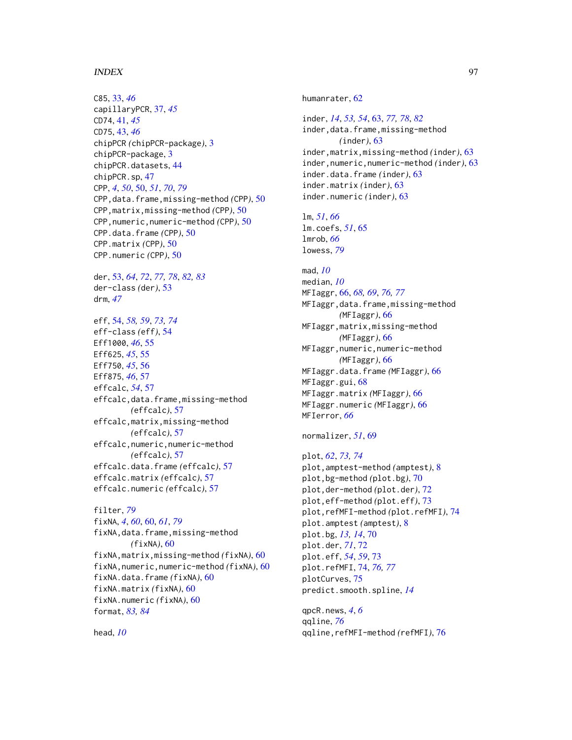#### INDEX  $\sim$  97

C85, [33,](#page-32-0) *[46](#page-45-0)* capillaryPCR, [37,](#page-36-0) *[45](#page-44-0)* CD74, [41,](#page-40-0) *[45](#page-44-0)* CD75, [43,](#page-42-0) *[46](#page-45-0)* chipPCR *(*chipPCR-package*)*, [3](#page-2-0) chipPCR-package, [3](#page-2-0) chipPCR.datasets, [44](#page-43-0) chipPCR.sp, [47](#page-46-0) CPP, *[4](#page-3-0)*, *[50](#page-49-1)*, [50,](#page-49-1) *[51](#page-50-0)*, *[70](#page-69-0)*, *[79](#page-78-0)* CPP,data.frame,missing-method *(*CPP*)*, [50](#page-49-1) CPP,matrix,missing-method *(*CPP*)*, [50](#page-49-1) CPP,numeric,numeric-method *(*CPP*)*, [50](#page-49-1) CPP.data.frame *(*CPP*)*, [50](#page-49-1) CPP.matrix *(*CPP*)*, [50](#page-49-1) CPP.numeric *(*CPP*)*, [50](#page-49-1) der, [53,](#page-52-1) *[64](#page-63-0)*, *[72](#page-71-0)*, *[77,](#page-76-0) [78](#page-77-1)*, *[82,](#page-81-0) [83](#page-82-0)* der-class *(*der*)*, [53](#page-52-1) drm, *[47](#page-46-0)* eff, [54,](#page-53-1) *[58,](#page-57-0) [59](#page-58-0)*, *[73,](#page-72-0) [74](#page-73-1)* eff-class *(*eff*)*, [54](#page-53-1) Eff1000, *[46](#page-45-0)*, [55](#page-54-0) Eff625, *[45](#page-44-0)*, [55](#page-54-0) Eff750, *[45](#page-44-0)*, [56](#page-55-0) Eff875, *[46](#page-45-0)*, [57](#page-56-0) effcalc, *[54](#page-53-1)*, [57](#page-56-0) effcalc,data.frame,missing-method *(*effcalc*)*, [57](#page-56-0) effcalc,matrix,missing-method *(*effcalc*)*, [57](#page-56-0) effcalc,numeric,numeric-method *(*effcalc*)*, [57](#page-56-0) effcalc.data.frame *(*effcalc*)*, [57](#page-56-0) effcalc.matrix *(*effcalc*)*, [57](#page-56-0) effcalc.numeric *(*effcalc*)*, [57](#page-56-0) filter, *[79](#page-78-0)* fixNA, *[4](#page-3-0)*, *[60](#page-59-1)*, [60,](#page-59-1) *[61](#page-60-0)*, *[79](#page-78-0)* fixNA,data.frame,missing-method *(*fixNA*)*, [60](#page-59-1) fixNA,matrix,missing-method *(*fixNA*)*, [60](#page-59-1) fixNA,numeric,numeric-method *(*fixNA*)*, [60](#page-59-1) fixNA.data.frame *(*fixNA*)*, [60](#page-59-1) fixNA.matrix *(*fixNA*)*, [60](#page-59-1) fixNA.numeric *(*fixNA*)*, [60](#page-59-1) format, *[83,](#page-82-0) [84](#page-83-1)*

head, *[10](#page-9-0)*

inder, *[14](#page-13-0)*, *[53,](#page-52-1) [54](#page-53-1)*, [63,](#page-62-1) *[77,](#page-76-0) [78](#page-77-1)*, *[82](#page-81-0)* inder,data.frame,missing-method *(*inder*)*, [63](#page-62-1) inder,matrix,missing-method *(*inder*)*, [63](#page-62-1) inder,numeric,numeric-method *(*inder*)*, [63](#page-62-1) inder.data.frame *(*inder*)*, [63](#page-62-1) inder.matrix *(*inder*)*, [63](#page-62-1) inder.numeric *(*inder*)*, [63](#page-62-1)

lm, *[51](#page-50-0)*, *[66](#page-65-1)* lm.coefs, *[51](#page-50-0)*, [65](#page-64-0) lmrob, *[66](#page-65-1)* lowess, *[79](#page-78-0)*

humanrater, [62](#page-61-0)

mad, *[10](#page-9-0)* median, *[10](#page-9-0)* MFIaggr, [66,](#page-65-1) *[68,](#page-67-0) [69](#page-68-0)*, *[76,](#page-75-1) [77](#page-76-0)* MFIaggr,data.frame,missing-method *(*MFIaggr*)*, [66](#page-65-1) MFIaggr,matrix,missing-method *(*MFIaggr*)*, [66](#page-65-1) MFIaggr,numeric,numeric-method *(*MFIaggr*)*, [66](#page-65-1) MFIaggr.data.frame *(*MFIaggr*)*, [66](#page-65-1) MFIaggr.gui, [68](#page-67-0) MFIaggr.matrix *(*MFIaggr*)*, [66](#page-65-1) MFIaggr.numeric *(*MFIaggr*)*, [66](#page-65-1) MFIerror, *[66](#page-65-1)*

```
normalizer, 51, 69
```
plot, *[62](#page-61-0)*, *[73,](#page-72-0) [74](#page-73-1)* plot,amptest-method *(*amptest*)*, [8](#page-7-0) plot,bg-method *(*plot.bg*)*, [70](#page-69-0) plot,der-method *(*plot.der*)*, [72](#page-71-0) plot,eff-method *(*plot.eff*)*, [73](#page-72-0) plot,refMFI-method *(*plot.refMFI*)*, [74](#page-73-1) plot.amptest *(*amptest*)*, [8](#page-7-0) plot.bg, *[13,](#page-12-2) [14](#page-13-0)*, [70](#page-69-0) plot.der, *[71](#page-70-0)*, [72](#page-71-0) plot.eff, *[54](#page-53-1)*, *[59](#page-58-0)*, [73](#page-72-0) plot.refMFI, [74,](#page-73-1) *[76,](#page-75-1) [77](#page-76-0)* plotCurves, [75](#page-74-0) predict.smooth.spline, *[14](#page-13-0)*

qpcR.news, *[4](#page-3-0)*, *[6](#page-5-0)* qqline, *[76](#page-75-1)* qqline,refMFI-method *(*refMFI*)*, [76](#page-75-1)